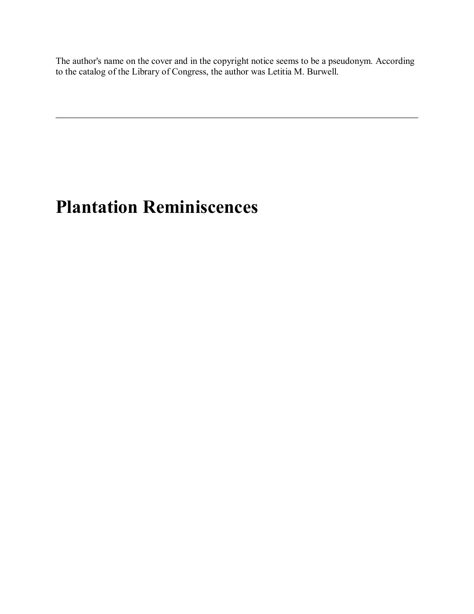The author's name on the cover and in the copyright notice seems to be a pseudonym. According to the catalog of the Library of Congress, the author was Letitia M. Burwell.

# **Plantation Reminiscences**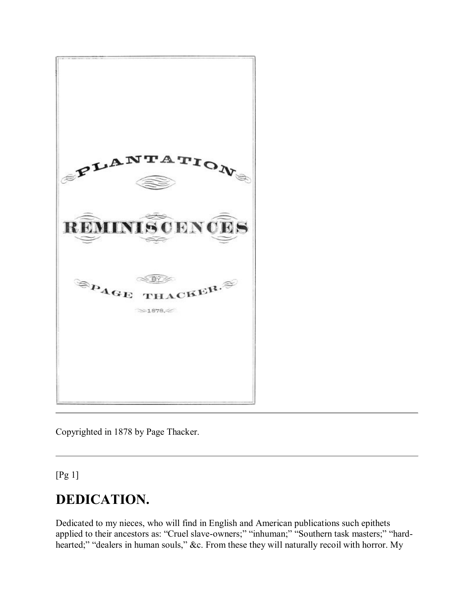

Copyrighted in 1878 by Page Thacker.

[Pg 1]

# **DEDICATION.**

Dedicated to my nieces, who will find in English and American publications such epithets applied to their ancestors as: "Cruel slave-owners;" "inhuman;" "Southern task masters;" "hardhearted;" "dealers in human souls," &c. From these they will naturally recoil with horror. My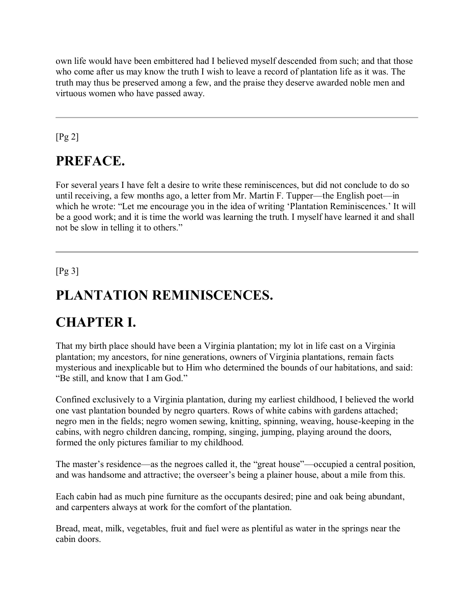own life would have been embittered had I believed myself descended from such; and that those who come after us may know the truth I wish to leave a record of plantation life as it was. The truth may thus be preserved among a few, and the praise they deserve awarded noble men and virtuous women who have passed away.

[Pg 2]

### **PREFACE.**

For several years I have felt a desire to write these reminiscences, but did not conclude to do so until receiving, a few months ago, a letter from Mr. Martin F. Tupper—the English poet—in which he wrote: "Let me encourage you in the idea of writing 'Plantation Reminiscences.' It will be a good work; and it is time the world was learning the truth. I myself have learned it and shall not be slow in telling it to others."

[Pg 3]

# **PLANTATION REMINISCENCES.**

# **CHAPTER I.**

That my birth place should have been a Virginia plantation; my lot in life cast on a Virginia plantation; my ancestors, for nine generations, owners of Virginia plantations, remain facts mysterious and inexplicable but to Him who determined the bounds of our habitations, and said: "Be still, and know that I am God."

Confined exclusively to a Virginia plantation, during my earliest childhood, I believed the world one vast plantation bounded by negro quarters. Rows of white cabins with gardens attached; negro men in the fields; negro women sewing, knitting, spinning, weaving, house-keeping in the cabins, with negro children dancing, romping, singing, jumping, playing around the doors, formed the only pictures familiar to my childhood.

The master's residence—as the negroes called it, the "great house"—occupied a central position, and was handsome and attractive; the overseer's being a plainer house, about a mile from this.

Each cabin had as much pine furniture as the occupants desired; pine and oak being abundant, and carpenters always at work for the comfort of the plantation.

Bread, meat, milk, vegetables, fruit and fuel were as plentiful as water in the springs near the cabin doors.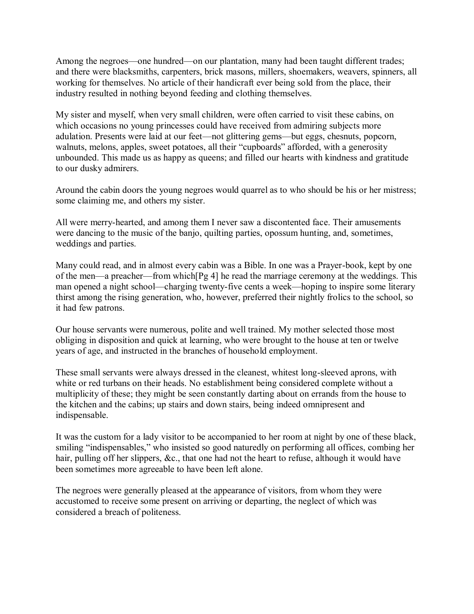Among the negroes—one hundred—on our plantation, many had been taught different trades; and there were blacksmiths, carpenters, brick masons, millers, shoemakers, weavers, spinners, all working for themselves. No article of their handicraft ever being sold from the place, their industry resulted in nothing beyond feeding and clothing themselves.

My sister and myself, when very small children, were often carried to visit these cabins, on which occasions no young princesses could have received from admiring subjects more adulation. Presents were laid at our feet—not glittering gems—but eggs, chesnuts, popcorn, walnuts, melons, apples, sweet potatoes, all their "cupboards" afforded, with a generosity unbounded. This made us as happy as queens; and filled our hearts with kindness and gratitude to our dusky admirers.

Around the cabin doors the young negroes would quarrel as to who should be his or her mistress; some claiming me, and others my sister.

All were merry-hearted, and among them I never saw a discontented face. Their amusements were dancing to the music of the banjo, quilting parties, opossum hunting, and, sometimes, weddings and parties.

Many could read, and in almost every cabin was a Bible. In one was a Prayer-book, kept by one of the men—a preacher—from which[Pg 4] he read the marriage ceremony at the weddings. This man opened a night school—charging twenty-five cents a week—hoping to inspire some literary thirst among the rising generation, who, however, preferred their nightly frolics to the school, so it had few patrons.

Our house servants were numerous, polite and well trained. My mother selected those most obliging in disposition and quick at learning, who were brought to the house at ten or twelve years of age, and instructed in the branches of household employment.

These small servants were always dressed in the cleanest, whitest long-sleeved aprons, with white or red turbans on their heads. No establishment being considered complete without a multiplicity of these; they might be seen constantly darting about on errands from the house to the kitchen and the cabins; up stairs and down stairs, being indeed omnipresent and indispensable.

It was the custom for a lady visitor to be accompanied to her room at night by one of these black, smiling "indispensables," who insisted so good naturedly on performing all offices, combing her hair, pulling off her slippers, &c., that one had not the heart to refuse, although it would have been sometimes more agreeable to have been left alone.

The negroes were generally pleased at the appearance of visitors, from whom they were accustomed to receive some present on arriving or departing, the neglect of which was considered a breach of politeness.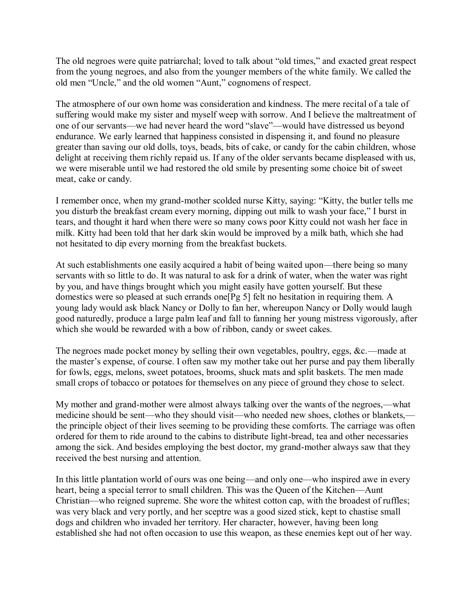The old negroes were quite patriarchal; loved to talk about "old times," and exacted great respect from the young negroes, and also from the younger members of the white family. We called the old men "Uncle," and the old women "Aunt," cognomens of respect.

The atmosphere of our own home was consideration and kindness. The mere recital of a tale of suffering would make my sister and myself weep with sorrow. And I believe the maltreatment of one of our servants—we had never heard the word "slave"—would have distressed us beyond endurance. We early learned that happiness consisted in dispensing it, and found no pleasure greater than saving our old dolls, toys, beads, bits of cake, or candy for the cabin children, whose delight at receiving them richly repaid us. If any of the older servants became displeased with us, we were miserable until we had restored the old smile by presenting some choice bit of sweet meat, cake or candy.

I remember once, when my grand-mother scolded nurse Kitty, saying: "Kitty, the butler tells me you disturb the breakfast cream every morning, dipping out milk to wash your face," I burst in tears, and thought it hard when there were so many cows poor Kitty could not wash her face in milk. Kitty had been told that her dark skin would be improved by a milk bath, which she had not hesitated to dip every morning from the breakfast buckets.

At such establishments one easily acquired a habit of being waited upon—there being so many servants with so little to do. It was natural to ask for a drink of water, when the water was right by you, and have things brought which you might easily have gotten yourself. But these domestics were so pleased at such errands one[Pg 5] felt no hesitation in requiring them. A young lady would ask black Nancy or Dolly to fan her, whereupon Nancy or Dolly would laugh good naturedly, produce a large palm leaf and fall to fanning her young mistress vigorously, after which she would be rewarded with a bow of ribbon, candy or sweet cakes.

The negroes made pocket money by selling their own vegetables, poultry, eggs, &c.—made at the master's expense, of course. I often saw my mother take out her purse and pay them liberally for fowls, eggs, melons, sweet potatoes, brooms, shuck mats and split baskets. The men made small crops of tobacco or potatoes for themselves on any piece of ground they chose to select.

My mother and grand-mother were almost always talking over the wants of the negroes,—what medicine should be sent—who they should visit—who needed new shoes, clothes or blankets, the principle object of their lives seeming to be providing these comforts. The carriage was often ordered for them to ride around to the cabins to distribute light-bread, tea and other necessaries among the sick. And besides employing the best doctor, my grand-mother always saw that they received the best nursing and attention.

In this little plantation world of ours was one being—and only one—who inspired awe in every heart, being a special terror to small children. This was the Queen of the Kitchen—Aunt Christian—who reigned supreme. She wore the whitest cotton cap, with the broadest of ruffles; was very black and very portly, and her sceptre was a good sized stick, kept to chastise small dogs and children who invaded her territory. Her character, however, having been long established she had not often occasion to use this weapon, as these enemies kept out of her way.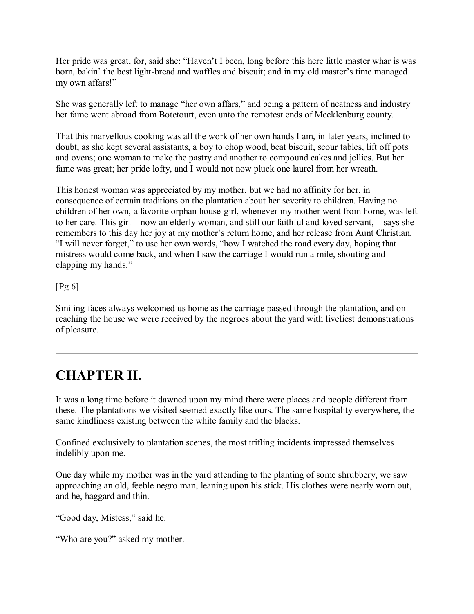Her pride was great, for, said she: "Haven't I been, long before this here little master whar is was born, bakin' the best light-bread and waffles and biscuit; and in my old master's time managed my own affars!"

She was generally left to manage "her own affars," and being a pattern of neatness and industry her fame went abroad from Botetourt, even unto the remotest ends of Mecklenburg county.

That this marvellous cooking was all the work of her own hands I am, in later years, inclined to doubt, as she kept several assistants, a boy to chop wood, beat biscuit, scour tables, lift off pots and ovens; one woman to make the pastry and another to compound cakes and jellies. But her fame was great; her pride lofty, and I would not now pluck one laurel from her wreath.

This honest woman was appreciated by my mother, but we had no affinity for her, in consequence of certain traditions on the plantation about her severity to children. Having no children of her own, a favorite orphan house-girl, whenever my mother went from home, was left to her care. This girl—now an elderly woman, and still our faithful and loved servant,—says she remembers to this day her joy at my mother's return home, and her release from Aunt Christian. "I will never forget," to use her own words, "how I watched the road every day, hoping that mistress would come back, and when I saw the carriage I would run a mile, shouting and clapping my hands."

#### [Pg 6]

Smiling faces always welcomed us home as the carriage passed through the plantation, and on reaching the house we were received by the negroes about the yard with liveliest demonstrations of pleasure.

# **CHAPTER II.**

It was a long time before it dawned upon my mind there were places and people different from these. The plantations we visited seemed exactly like ours. The same hospitality everywhere, the same kindliness existing between the white family and the blacks.

Confined exclusively to plantation scenes, the most trifling incidents impressed themselves indelibly upon me.

One day while my mother was in the yard attending to the planting of some shrubbery, we saw approaching an old, feeble negro man, leaning upon his stick. His clothes were nearly worn out, and he, haggard and thin.

"Good day, Mistess," said he.

"Who are you?" asked my mother.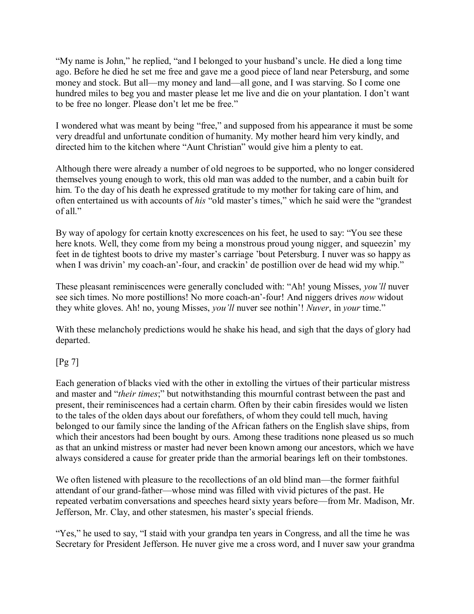"My name is John," he replied, "and I belonged to your husband's uncle. He died a long time ago. Before he died he set me free and gave me a good piece of land near Petersburg, and some money and stock. But all—my money and land—all gone, and I was starving. So I come one hundred miles to beg you and master please let me live and die on your plantation. I don't want to be free no longer. Please don't let me be free."

I wondered what was meant by being "free," and supposed from his appearance it must be some very dreadful and unfortunate condition of humanity. My mother heard him very kindly, and directed him to the kitchen where "Aunt Christian" would give him a plenty to eat.

Although there were already a number of old negroes to be supported, who no longer considered themselves young enough to work, this old man was added to the number, and a cabin built for him. To the day of his death he expressed gratitude to my mother for taking care of him, and often entertained us with accounts of *his* "old master's times," which he said were the "grandest of all."

By way of apology for certain knotty excrescences on his feet, he used to say: "You see these here knots. Well, they come from my being a monstrous proud young nigger, and squeezin' my feet in de tightest boots to drive my master's carriage 'bout Petersburg. I nuver was so happy as when I was drivin' my coach-an'-four, and crackin' de postillion over de head wid my whip."

These pleasant reminiscences were generally concluded with: "Ah! young Misses, *you'll* nuver see sich times. No more postillions! No more coach-an'-four! And niggers drives *now* widout they white gloves. Ah! no, young Misses, *you'll* nuver see nothin'! *Nuver*, in *your* time."

With these melancholy predictions would he shake his head, and sigh that the days of glory had departed.

#### [Pg 7]

Each generation of blacks vied with the other in extolling the virtues of their particular mistress and master and "*their times*;" but notwithstanding this mournful contrast between the past and present, their reminiscences had a certain charm. Often by their cabin firesides would we listen to the tales of the olden days about our forefathers, of whom they could tell much, having belonged to our family since the landing of the African fathers on the English slave ships, from which their ancestors had been bought by ours. Among these traditions none pleased us so much as that an unkind mistress or master had never been known among our ancestors, which we have always considered a cause for greater pride than the armorial bearings left on their tombstones.

We often listened with pleasure to the recollections of an old blind man—the former faithful attendant of our grand-father—whose mind was filled with vivid pictures of the past. He repeated verbatim conversations and speeches heard sixty years before—from Mr. Madison, Mr. Jefferson, Mr. Clay, and other statesmen, his master's special friends.

"Yes," he used to say, "I staid with your grandpa ten years in Congress, and all the time he was Secretary for President Jefferson. He nuver give me a cross word, and I nuver saw your grandma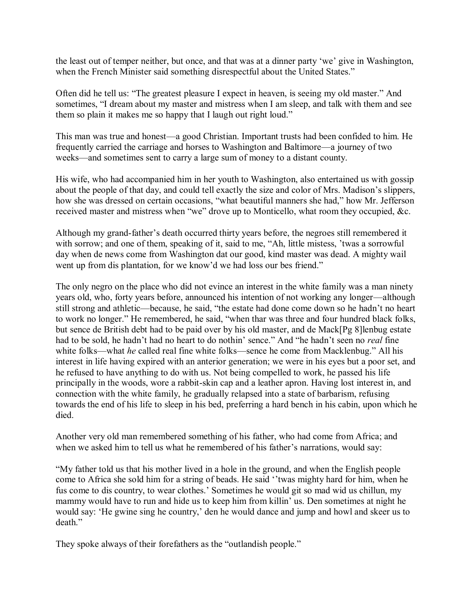the least out of temper neither, but once, and that was at a dinner party 'we' give in Washington, when the French Minister said something disrespectful about the United States."

Often did he tell us: "The greatest pleasure I expect in heaven, is seeing my old master." And sometimes, "I dream about my master and mistress when I am sleep, and talk with them and see them so plain it makes me so happy that I laugh out right loud."

This man was true and honest—a good Christian. Important trusts had been confided to him. He frequently carried the carriage and horses to Washington and Baltimore—a journey of two weeks—and sometimes sent to carry a large sum of money to a distant county.

His wife, who had accompanied him in her youth to Washington, also entertained us with gossip about the people of that day, and could tell exactly the size and color of Mrs. Madison's slippers, how she was dressed on certain occasions, "what beautiful manners she had," how Mr. Jefferson received master and mistress when "we" drove up to Monticello, what room they occupied, &c.

Although my grand-father's death occurred thirty years before, the negroes still remembered it with sorrow; and one of them, speaking of it, said to me, "Ah, little mistess, 'twas a sorrowful day when de news come from Washington dat our good, kind master was dead. A mighty wail went up from dis plantation, for we know'd we had loss our bes friend."

The only negro on the place who did not evince an interest in the white family was a man ninety years old, who, forty years before, announced his intention of not working any longer—although still strong and athletic—because, he said, "the estate had done come down so he hadn't no heart to work no longer." He remembered, he said, "when thar was three and four hundred black folks, but sence de British debt had to be paid over by his old master, and de Mack[Pg 8]lenbug estate had to be sold, he hadn't had no heart to do nothin' sence." And "he hadn't seen no *real* fine white folks—what *he* called real fine white folks—sence he come from Macklenbug." All his interest in life having expired with an anterior generation; we were in his eyes but a poor set, and he refused to have anything to do with us. Not being compelled to work, he passed his life principally in the woods, wore a rabbit-skin cap and a leather apron. Having lost interest in, and connection with the white family, he gradually relapsed into a state of barbarism, refusing towards the end of his life to sleep in his bed, preferring a hard bench in his cabin, upon which he died.

Another very old man remembered something of his father, who had come from Africa; and when we asked him to tell us what he remembered of his father's narrations, would say:

"My father told us that his mother lived in a hole in the ground, and when the English people come to Africa she sold him for a string of beads. He said ''twas mighty hard for him, when he fus come to dis country, to wear clothes.' Sometimes he would git so mad wid us chillun, my mammy would have to run and hide us to keep him from killin' us. Den sometimes at night he would say: 'He gwine sing he country,' den he would dance and jump and howl and skeer us to death."

They spoke always of their forefathers as the "outlandish people."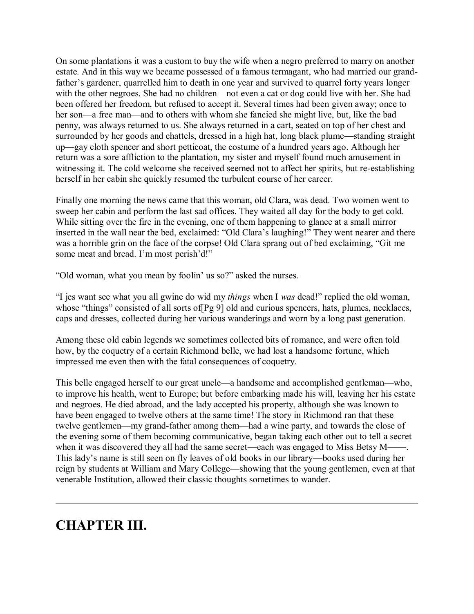On some plantations it was a custom to buy the wife when a negro preferred to marry on another estate. And in this way we became possessed of a famous termagant, who had married our grandfather's gardener, quarrelled him to death in one year and survived to quarrel forty years longer with the other negroes. She had no children—not even a cat or dog could live with her. She had been offered her freedom, but refused to accept it. Several times had been given away; once to her son—a free man—and to others with whom she fancied she might live, but, like the bad penny, was always returned to us. She always returned in a cart, seated on top of her chest and surrounded by her goods and chattels, dressed in a high hat, long black plume—standing straight up—gay cloth spencer and short petticoat, the costume of a hundred years ago. Although her return was a sore affliction to the plantation, my sister and myself found much amusement in witnessing it. The cold welcome she received seemed not to affect her spirits, but re-establishing herself in her cabin she quickly resumed the turbulent course of her career.

Finally one morning the news came that this woman, old Clara, was dead. Two women went to sweep her cabin and perform the last sad offices. They waited all day for the body to get cold. While sitting over the fire in the evening, one of them happening to glance at a small mirror inserted in the wall near the bed, exclaimed: "Old Clara's laughing!" They went nearer and there was a horrible grin on the face of the corpse! Old Clara sprang out of bed exclaiming, "Git me some meat and bread. I'm most perish'd!"

"Old woman, what you mean by foolin' us so?" asked the nurses.

"I jes want see what you all gwine do wid my *things* when I *was* dead!" replied the old woman, whose "things" consisted of all sorts of  $[Pg 9]$  old and curious spencers, hats, plumes, necklaces, caps and dresses, collected during her various wanderings and worn by a long past generation.

Among these old cabin legends we sometimes collected bits of romance, and were often told how, by the coquetry of a certain Richmond belle, we had lost a handsome fortune, which impressed me even then with the fatal consequences of coquetry.

This belle engaged herself to our great uncle—a handsome and accomplished gentleman—who, to improve his health, went to Europe; but before embarking made his will, leaving her his estate and negroes. He died abroad, and the lady accepted his property, although she was known to have been engaged to twelve others at the same time! The story in Richmond ran that these twelve gentlemen—my grand-father among them—had a wine party, and towards the close of the evening some of them becoming communicative, began taking each other out to tell a secret when it was discovered they all had the same secret—each was engaged to Miss Betsy M——. This lady's name is still seen on fly leaves of old books in our library—books used during her reign by students at William and Mary College—showing that the young gentlemen, even at that venerable Institution, allowed their classic thoughts sometimes to wander.

### **CHAPTER III.**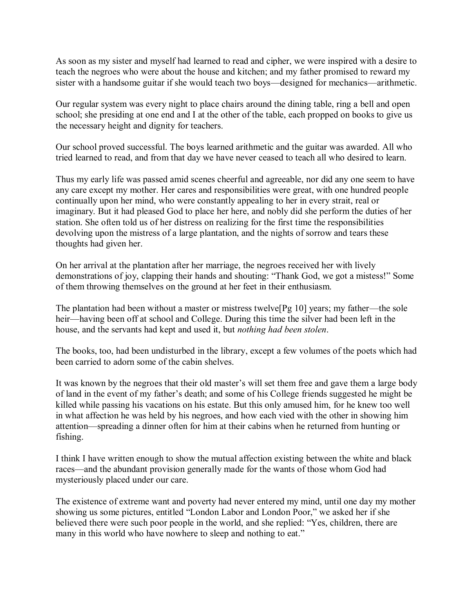As soon as my sister and myself had learned to read and cipher, we were inspired with a desire to teach the negroes who were about the house and kitchen; and my father promised to reward my sister with a handsome guitar if she would teach two boys—designed for mechanics—arithmetic.

Our regular system was every night to place chairs around the dining table, ring a bell and open school; she presiding at one end and I at the other of the table, each propped on books to give us the necessary height and dignity for teachers.

Our school proved successful. The boys learned arithmetic and the guitar was awarded. All who tried learned to read, and from that day we have never ceased to teach all who desired to learn.

Thus my early life was passed amid scenes cheerful and agreeable, nor did any one seem to have any care except my mother. Her cares and responsibilities were great, with one hundred people continually upon her mind, who were constantly appealing to her in every strait, real or imaginary. But it had pleased God to place her here, and nobly did she perform the duties of her station. She often told us of her distress on realizing for the first time the responsibilities devolving upon the mistress of a large plantation, and the nights of sorrow and tears these thoughts had given her.

On her arrival at the plantation after her marriage, the negroes received her with lively demonstrations of joy, clapping their hands and shouting: "Thank God, we got a mistess!" Some of them throwing themselves on the ground at her feet in their enthusiasm.

The plantation had been without a master or mistress twelve[Pg 10] years; my father—the sole heir—having been off at school and College. During this time the silver had been left in the house, and the servants had kept and used it, but *nothing had been stolen*.

The books, too, had been undisturbed in the library, except a few volumes of the poets which had been carried to adorn some of the cabin shelves.

It was known by the negroes that their old master's will set them free and gave them a large body of land in the event of my father's death; and some of his College friends suggested he might be killed while passing his vacations on his estate. But this only amused him, for he knew too well in what affection he was held by his negroes, and how each vied with the other in showing him attention—spreading a dinner often for him at their cabins when he returned from hunting or fishing.

I think I have written enough to show the mutual affection existing between the white and black races—and the abundant provision generally made for the wants of those whom God had mysteriously placed under our care.

The existence of extreme want and poverty had never entered my mind, until one day my mother showing us some pictures, entitled "London Labor and London Poor," we asked her if she believed there were such poor people in the world, and she replied: "Yes, children, there are many in this world who have nowhere to sleep and nothing to eat."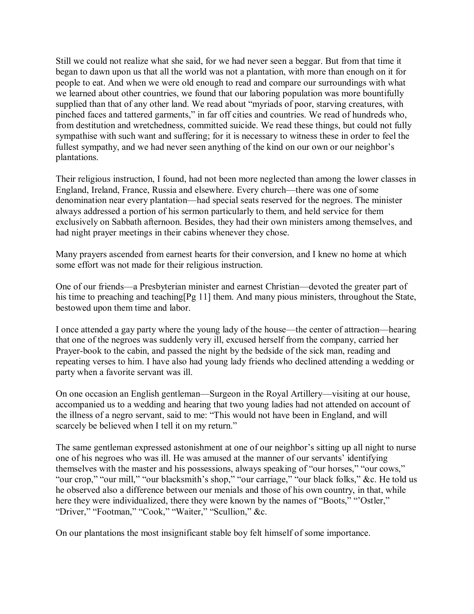Still we could not realize what she said, for we had never seen a beggar. But from that time it began to dawn upon us that all the world was not a plantation, with more than enough on it for people to eat. And when we were old enough to read and compare our surroundings with what we learned about other countries, we found that our laboring population was more bountifully supplied than that of any other land. We read about "myriads of poor, starving creatures, with pinched faces and tattered garments," in far off cities and countries. We read of hundreds who, from destitution and wretchedness, committed suicide. We read these things, but could not fully sympathise with such want and suffering; for it is necessary to witness these in order to feel the fullest sympathy, and we had never seen anything of the kind on our own or our neighbor's plantations.

Their religious instruction, I found, had not been more neglected than among the lower classes in England, Ireland, France, Russia and elsewhere. Every church—there was one of some denomination near every plantation—had special seats reserved for the negroes. The minister always addressed a portion of his sermon particularly to them, and held service for them exclusively on Sabbath afternoon. Besides, they had their own ministers among themselves, and had night prayer meetings in their cabins whenever they chose.

Many prayers ascended from earnest hearts for their conversion, and I knew no home at which some effort was not made for their religious instruction.

One of our friends—a Presbyterian minister and earnest Christian—devoted the greater part of his time to preaching and teaching [Pg 11] them. And many pious ministers, throughout the State, bestowed upon them time and labor.

I once attended a gay party where the young lady of the house—the center of attraction—hearing that one of the negroes was suddenly very ill, excused herself from the company, carried her Prayer-book to the cabin, and passed the night by the bedside of the sick man, reading and repeating verses to him. I have also had young lady friends who declined attending a wedding or party when a favorite servant was ill.

On one occasion an English gentleman—Surgeon in the Royal Artillery—visiting at our house, accompanied us to a wedding and hearing that two young ladies had not attended on account of the illness of a negro servant, said to me: "This would not have been in England, and will scarcely be believed when I tell it on my return."

The same gentleman expressed astonishment at one of our neighbor's sitting up all night to nurse one of his negroes who was ill. He was amused at the manner of our servants' identifying themselves with the master and his possessions, always speaking of "our horses," "our cows," "our crop," "our mill," "our blacksmith's shop," "our carriage," "our black folks," &c. He told us he observed also a difference between our menials and those of his own country, in that, while here they were individualized, there they were known by the names of "Boots," "Ostler," "Driver," "Footman," "Cook," "Waiter," "Scullion," &c.

On our plantations the most insignificant stable boy felt himself of some importance.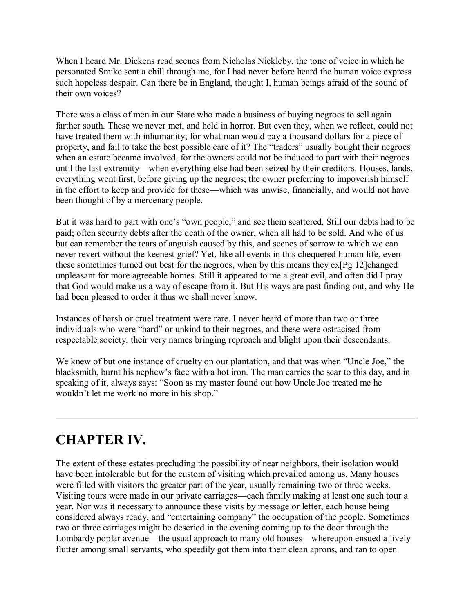When I heard Mr. Dickens read scenes from Nicholas Nickleby, the tone of voice in which he personated Smike sent a chill through me, for I had never before heard the human voice express such hopeless despair. Can there be in England, thought I, human beings afraid of the sound of their own voices?

There was a class of men in our State who made a business of buying negroes to sell again farther south. These we never met, and held in horror. But even they, when we reflect, could not have treated them with inhumanity; for what man would pay a thousand dollars for a piece of property, and fail to take the best possible care of it? The "traders" usually bought their negroes when an estate became involved, for the owners could not be induced to part with their negroes until the last extremity—when everything else had been seized by their creditors. Houses, lands, everything went first, before giving up the negroes; the owner preferring to impoverish himself in the effort to keep and provide for these—which was unwise, financially, and would not have been thought of by a mercenary people.

But it was hard to part with one's "own people," and see them scattered. Still our debts had to be paid; often security debts after the death of the owner, when all had to be sold. And who of us but can remember the tears of anguish caused by this, and scenes of sorrow to which we can never revert without the keenest grief? Yet, like all events in this chequered human life, even these sometimes turned out best for the negroes, when by this means they ex[Pg 12]changed unpleasant for more agreeable homes. Still it appeared to me a great evil, and often did I pray that God would make us a way of escape from it. But His ways are past finding out, and why He had been pleased to order it thus we shall never know.

Instances of harsh or cruel treatment were rare. I never heard of more than two or three individuals who were "hard" or unkind to their negroes, and these were ostracised from respectable society, their very names bringing reproach and blight upon their descendants.

We knew of but one instance of cruelty on our plantation, and that was when "Uncle Joe," the blacksmith, burnt his nephew's face with a hot iron. The man carries the scar to this day, and in speaking of it, always says: "Soon as my master found out how Uncle Joe treated me he wouldn't let me work no more in his shop."

# **CHAPTER IV.**

The extent of these estates precluding the possibility of near neighbors, their isolation would have been intolerable but for the custom of visiting which prevailed among us. Many houses were filled with visitors the greater part of the year, usually remaining two or three weeks. Visiting tours were made in our private carriages—each family making at least one such tour a year. Nor was it necessary to announce these visits by message or letter, each house being considered always ready, and "entertaining company" the occupation of the people. Sometimes two or three carriages might be descried in the evening coming up to the door through the Lombardy poplar avenue—the usual approach to many old houses—whereupon ensued a lively flutter among small servants, who speedily got them into their clean aprons, and ran to open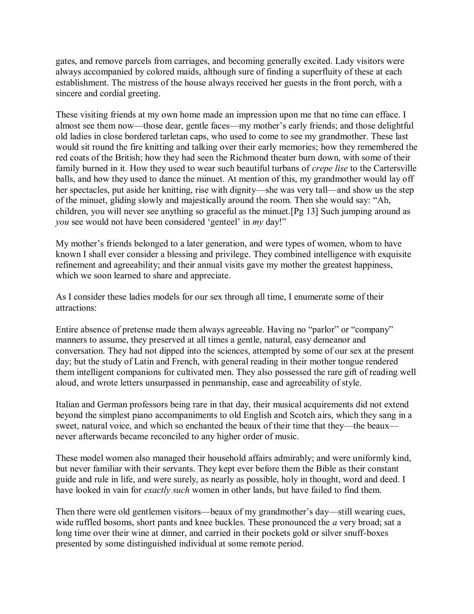gates, and remove parcels from carriages, and becoming generally excited. Lady visitors were always accompanied by colored maids, although sure of finding a superfluity of these at each establishment. The mistress of the house always received her guests in the front porch, with a sincere and cordial greeting.

These visiting friends at my own home made an impression upon me that no time can efface. I almost see them now—those dear, gentle faces—my mother's early friends; and those delightful old ladies in close bordered tarletan caps, who used to come to see my grandmother. These last would sit round the fire knitting and talking over their early memories; how they remembered the red coats of the British; how they had seen the Richmond theater burn down, with some of their family burned in it. How they used to wear such beautiful turbans of *crepe lise* to the Cartersville balls, and how they used to dance the minuet. At mention of this, my grandmother would lay off her spectacles, put aside her knitting, rise with dignity—she was very tall—and show us the step of the minuet, gliding slowly and majestically around the room. Then she would say: "Ah, children, you will never see anything so graceful as the minuet.[Pg 13] Such jumping around as *you* see would not have been considered 'genteel' in *my* day!"

My mother's friends belonged to a later generation, and were types of women, whom to have known I shall ever consider a blessing and privilege. They combined intelligence with exquisite refinement and agreeability; and their annual visits gave my mother the greatest happiness, which we soon learned to share and appreciate.

As I consider these ladies models for our sex through all time, I enumerate some of their attractions:

Entire absence of pretense made them always agreeable. Having no "parlor" or "company" manners to assume, they preserved at all times a gentle, natural, easy demeanor and conversation. They had not dipped into the sciences, attempted by some of our sex at the present day; but the study of Latin and French, with general reading in their mother tongue rendered them intelligent companions for cultivated men. They also possessed the rare gift of reading well aloud, and wrote letters unsurpassed in penmanship, ease and agreeability of style.

Italian and German professors being rare in that day, their musical acquirements did not extend beyond the simplest piano accompaniments to old English and Scotch airs, which they sang in a sweet, natural voice, and which so enchanted the beaux of their time that they—the beaux never afterwards became reconciled to any higher order of music.

These model women also managed their household affairs admirably; and were uniformly kind, but never familiar with their servants. They kept ever before them the Bible as their constant guide and rule in life, and were surely, as nearly as possible, holy in thought, word and deed. I have looked in vain for *exactly such* women in other lands, but have failed to find them.

Then there were old gentlemen visitors—beaux of my grandmother's day—still wearing cues, wide ruffled bosoms, short pants and knee buckles. These pronounced the *a* very broad; sat a long time over their wine at dinner, and carried in their pockets gold or silver snuff-boxes presented by some distinguished individual at some remote period.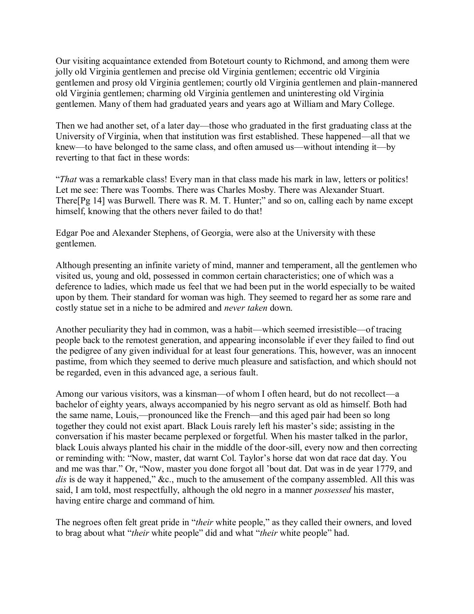Our visiting acquaintance extended from Botetourt county to Richmond, and among them were jolly old Virginia gentlemen and precise old Virginia gentlemen; eccentric old Virginia gentlemen and prosy old Virginia gentlemen; courtly old Virginia gentlemen and plain-mannered old Virginia gentlemen; charming old Virginia gentlemen and uninteresting old Virginia gentlemen. Many of them had graduated years and years ago at William and Mary College.

Then we had another set, of a later day—those who graduated in the first graduating class at the University of Virginia, when that institution was first established. These happened—all that we knew—to have belonged to the same class, and often amused us—without intending it—by reverting to that fact in these words:

"*That* was a remarkable class! Every man in that class made his mark in law, letters or politics! Let me see: There was Toombs. There was Charles Mosby. There was Alexander Stuart. There[Pg 14] was Burwell. There was R. M. T. Hunter;" and so on, calling each by name except himself, knowing that the others never failed to do that!

Edgar Poe and Alexander Stephens, of Georgia, were also at the University with these gentlemen.

Although presenting an infinite variety of mind, manner and temperament, all the gentlemen who visited us, young and old, possessed in common certain characteristics; one of which was a deference to ladies, which made us feel that we had been put in the world especially to be waited upon by them. Their standard for woman was high. They seemed to regard her as some rare and costly statue set in a niche to be admired and *never taken* down.

Another peculiarity they had in common, was a habit—which seemed irresistible—of tracing people back to the remotest generation, and appearing inconsolable if ever they failed to find out the pedigree of any given individual for at least four generations. This, however, was an innocent pastime, from which they seemed to derive much pleasure and satisfaction, and which should not be regarded, even in this advanced age, a serious fault.

Among our various visitors, was a kinsman—of whom I often heard, but do not recollect—a bachelor of eighty years, always accompanied by his negro servant as old as himself. Both had the same name, Louis,—pronounced like the French—and this aged pair had been so long together they could not exist apart. Black Louis rarely left his master's side; assisting in the conversation if his master became perplexed or forgetful. When his master talked in the parlor, black Louis always planted his chair in the middle of the door-sill, every now and then correcting or reminding with: "Now, master, dat warnt Col. Taylor's horse dat won dat race dat day. You and me was thar." Or, "Now, master you done forgot all 'bout dat. Dat was in de year 1779, and dis is de way it happened," &c., much to the amusement of the company assembled. All this was said, I am told, most respectfully, although the old negro in a manner *possessed* his master, having entire charge and command of him.

The negroes often felt great pride in "*their* white people," as they called their owners, and loved to brag about what "*their* white people" did and what "*their* white people" had.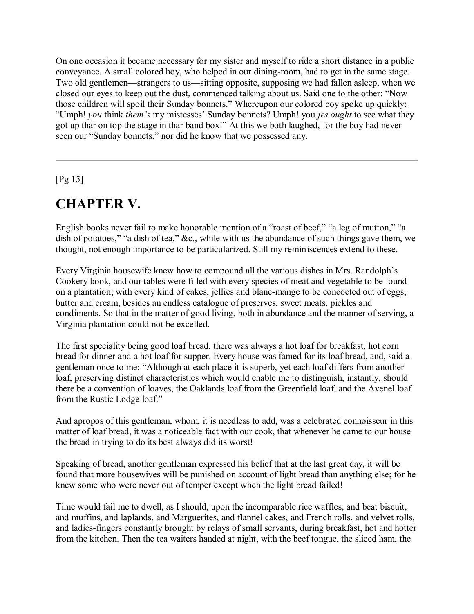On one occasion it became necessary for my sister and myself to ride a short distance in a public conveyance. A small colored boy, who helped in our dining-room, had to get in the same stage. Two old gentlemen—strangers to us—sitting opposite, supposing we had fallen asleep, when we closed our eyes to keep out the dust, commenced talking about us. Said one to the other: "Now those children will spoil their Sunday bonnets." Whereupon our colored boy spoke up quickly: "Umph! *you* think *them's* my mistesses' Sunday bonnets? Umph! you *jes ought* to see what they got up thar on top the stage in thar band box!" At this we both laughed, for the boy had never seen our "Sunday bonnets," nor did he know that we possessed any.

[Pg 15]

# **CHAPTER V.**

English books never fail to make honorable mention of a "roast of beef," "a leg of mutton," "a dish of potatoes," "a dish of tea," &c., while with us the abundance of such things gave them, we thought, not enough importance to be particularized. Still my reminiscences extend to these.

Every Virginia housewife knew how to compound all the various dishes in Mrs. Randolph's Cookery book, and our tables were filled with every species of meat and vegetable to be found on a plantation; with every kind of cakes, jellies and blanc-mange to be concocted out of eggs, butter and cream, besides an endless catalogue of preserves, sweet meats, pickles and condiments. So that in the matter of good living, both in abundance and the manner of serving, a Virginia plantation could not be excelled.

The first speciality being good loaf bread, there was always a hot loaf for breakfast, hot corn bread for dinner and a hot loaf for supper. Every house was famed for its loaf bread, and, said a gentleman once to me: "Although at each place it is superb, yet each loaf differs from another loaf, preserving distinct characteristics which would enable me to distinguish, instantly, should there be a convention of loaves, the Oaklands loaf from the Greenfield loaf, and the Avenel loaf from the Rustic Lodge loaf."

And apropos of this gentleman, whom, it is needless to add, was a celebrated connoisseur in this matter of loaf bread, it was a noticeable fact with our cook, that whenever he came to our house the bread in trying to do its best always did its worst!

Speaking of bread, another gentleman expressed his belief that at the last great day, it will be found that more housewives will be punished on account of light bread than anything else; for he knew some who were never out of temper except when the light bread failed!

Time would fail me to dwell, as I should, upon the incomparable rice waffles, and beat biscuit, and muffins, and laplands, and Marguerites, and flannel cakes, and French rolls, and velvet rolls, and ladies-fingers constantly brought by relays of small servants, during breakfast, hot and hotter from the kitchen. Then the tea waiters handed at night, with the beef tongue, the sliced ham, the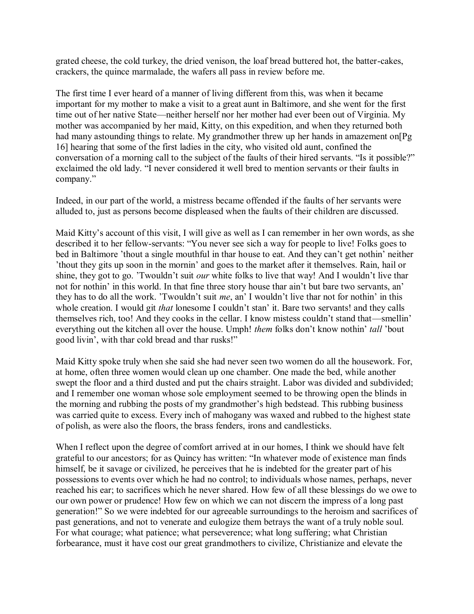grated cheese, the cold turkey, the dried venison, the loaf bread buttered hot, the batter-cakes, crackers, the quince marmalade, the wafers all pass in review before me.

The first time I ever heard of a manner of living different from this, was when it became important for my mother to make a visit to a great aunt in Baltimore, and she went for the first time out of her native State—neither herself nor her mother had ever been out of Virginia. My mother was accompanied by her maid, Kitty, on this expedition, and when they returned both had many astounding things to relate. My grandmother threw up her hands in amazement on [Pg] 16] hearing that some of the first ladies in the city, who visited old aunt, confined the conversation of a morning call to the subject of the faults of their hired servants. "Is it possible?" exclaimed the old lady. "I never considered it well bred to mention servants or their faults in company."

Indeed, in our part of the world, a mistress became offended if the faults of her servants were alluded to, just as persons become displeased when the faults of their children are discussed.

Maid Kitty's account of this visit, I will give as well as I can remember in her own words, as she described it to her fellow-servants: "You never see sich a way for people to live! Folks goes to bed in Baltimore 'thout a single mouthful in thar house to eat. And they can't get nothin' neither 'thout they gits up soon in the mornin' and goes to the market after it themselves. Rain, hail or shine, they got to go. 'Twouldn't suit *our* white folks to live that way! And I wouldn't live thar not for nothin' in this world. In that fine three story house thar ain't but bare two servants, an' they has to do all the work. 'Twouldn't suit *me*, an' I wouldn't live thar not for nothin' in this whole creation. I would git *that* lonesome I couldn't stan' it. Bare two servants! and they calls themselves rich, too! And they cooks in the cellar. I know mistess couldn't stand that—smellin' everything out the kitchen all over the house. Umph! *them* folks don't know nothin' *tall* 'bout good livin', with thar cold bread and thar rusks!"

Maid Kitty spoke truly when she said she had never seen two women do all the housework. For, at home, often three women would clean up one chamber. One made the bed, while another swept the floor and a third dusted and put the chairs straight. Labor was divided and subdivided; and I remember one woman whose sole employment seemed to be throwing open the blinds in the morning and rubbing the posts of my grandmother's high bedstead. This rubbing business was carried quite to excess. Every inch of mahogany was waxed and rubbed to the highest state of polish, as were also the floors, the brass fenders, irons and candlesticks.

When I reflect upon the degree of comfort arrived at in our homes, I think we should have felt grateful to our ancestors; for as Quincy has written: "In whatever mode of existence man finds himself, be it savage or civilized, he perceives that he is indebted for the greater part of his possessions to events over which he had no control; to individuals whose names, perhaps, never reached his ear; to sacrifices which he never shared. How few of all these blessings do we owe to our own power or prudence! How few on which we can not discern the impress of a long past generation!" So we were indebted for our agreeable surroundings to the heroism and sacrifices of past generations, and not to venerate and eulogize them betrays the want of a truly noble soul. For what courage; what patience; what perseverence; what long suffering; what Christian forbearance, must it have cost our great grandmothers to civilize, Christianize and elevate the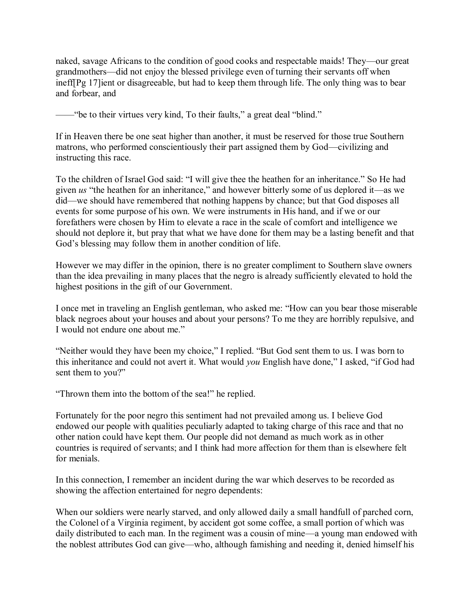naked, savage Africans to the condition of good cooks and respectable maids! They—our great grandmothers—did not enjoy the blessed privilege even of turning their servants off when ineff[Pg 17]ient or disagreeable, but had to keep them through life. The only thing was to bear and forbear, and

-"be to their virtues very kind, To their faults," a great deal "blind."

If in Heaven there be one seat higher than another, it must be reserved for those true Southern matrons, who performed conscientiously their part assigned them by God—civilizing and instructing this race.

To the children of Israel God said: "I will give thee the heathen for an inheritance." So He had given *us* "the heathen for an inheritance," and however bitterly some of us deplored it—as we did—we should have remembered that nothing happens by chance; but that God disposes all events for some purpose of his own. We were instruments in His hand, and if we or our forefathers were chosen by Him to elevate a race in the scale of comfort and intelligence we should not deplore it, but pray that what we have done for them may be a lasting benefit and that God's blessing may follow them in another condition of life.

However we may differ in the opinion, there is no greater compliment to Southern slave owners than the idea prevailing in many places that the negro is already sufficiently elevated to hold the highest positions in the gift of our Government.

I once met in traveling an English gentleman, who asked me: "How can you bear those miserable black negroes about your houses and about your persons? To me they are horribly repulsive, and I would not endure one about me."

"Neither would they have been my choice," I replied. "But God sent them to us. I was born to this inheritance and could not avert it. What would *you* English have done," I asked, "if God had sent them to you?"

"Thrown them into the bottom of the sea!" he replied.

Fortunately for the poor negro this sentiment had not prevailed among us. I believe God endowed our people with qualities peculiarly adapted to taking charge of this race and that no other nation could have kept them. Our people did not demand as much work as in other countries is required of servants; and I think had more affection for them than is elsewhere felt for menials.

In this connection, I remember an incident during the war which deserves to be recorded as showing the affection entertained for negro dependents:

When our soldiers were nearly starved, and only allowed daily a small handfull of parched corn, the Colonel of a Virginia regiment, by accident got some coffee, a small portion of which was daily distributed to each man. In the regiment was a cousin of mine—a young man endowed with the noblest attributes God can give—who, although famishing and needing it, denied himself his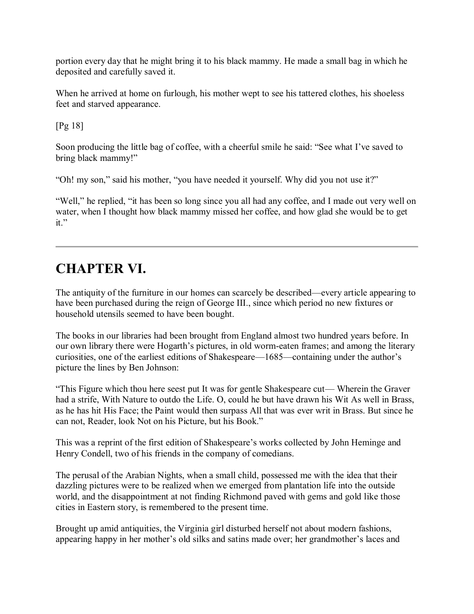portion every day that he might bring it to his black mammy. He made a small bag in which he deposited and carefully saved it.

When he arrived at home on furlough, his mother wept to see his tattered clothes, his shoeless feet and starved appearance.

[Pg 18]

Soon producing the little bag of coffee, with a cheerful smile he said: "See what I've saved to bring black mammy!"

"Oh! my son," said his mother, "you have needed it yourself. Why did you not use it?"

"Well," he replied, "it has been so long since you all had any coffee, and I made out very well on water, when I thought how black mammy missed her coffee, and how glad she would be to get it."

# **CHAPTER VI.**

The antiquity of the furniture in our homes can scarcely be described—every article appearing to have been purchased during the reign of George III., since which period no new fixtures or household utensils seemed to have been bought.

The books in our libraries had been brought from England almost two hundred years before. In our own library there were Hogarth's pictures, in old worm-eaten frames; and among the literary curiosities, one of the earliest editions of Shakespeare—1685—containing under the author's picture the lines by Ben Johnson:

"This Figure which thou here seest put It was for gentle Shakespeare cut— Wherein the Graver had a strife, With Nature to outdo the Life. O, could he but have drawn his Wit As well in Brass, as he has hit His Face; the Paint would then surpass All that was ever writ in Brass. But since he can not, Reader, look Not on his Picture, but his Book."

This was a reprint of the first edition of Shakespeare's works collected by John Heminge and Henry Condell, two of his friends in the company of comedians.

The perusal of the Arabian Nights, when a small child, possessed me with the idea that their dazzling pictures were to be realized when we emerged from plantation life into the outside world, and the disappointment at not finding Richmond paved with gems and gold like those cities in Eastern story, is remembered to the present time.

Brought up amid antiquities, the Virginia girl disturbed herself not about modern fashions, appearing happy in her mother's old silks and satins made over; her grandmother's laces and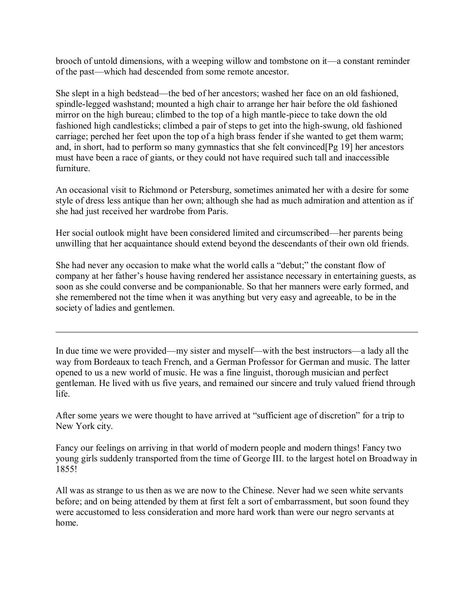brooch of untold dimensions, with a weeping willow and tombstone on it—a constant reminder of the past—which had descended from some remote ancestor.

She slept in a high bedstead—the bed of her ancestors; washed her face on an old fashioned, spindle-legged washstand; mounted a high chair to arrange her hair before the old fashioned mirror on the high bureau; climbed to the top of a high mantle-piece to take down the old fashioned high candlesticks; climbed a pair of steps to get into the high-swung, old fashioned carriage; perched her feet upon the top of a high brass fender if she wanted to get them warm; and, in short, had to perform so many gymnastics that she felt convinced[Pg 19] her ancestors must have been a race of giants, or they could not have required such tall and inaccessible furniture.

An occasional visit to Richmond or Petersburg, sometimes animated her with a desire for some style of dress less antique than her own; although she had as much admiration and attention as if she had just received her wardrobe from Paris.

Her social outlook might have been considered limited and circumscribed—her parents being unwilling that her acquaintance should extend beyond the descendants of their own old friends.

She had never any occasion to make what the world calls a "debut;" the constant flow of company at her father's house having rendered her assistance necessary in entertaining guests, as soon as she could converse and be companionable. So that her manners were early formed, and she remembered not the time when it was anything but very easy and agreeable, to be in the society of ladies and gentlemen.

In due time we were provided—my sister and myself—with the best instructors—a lady all the way from Bordeaux to teach French, and a German Professor for German and music. The latter opened to us a new world of music. He was a fine linguist, thorough musician and perfect gentleman. He lived with us five years, and remained our sincere and truly valued friend through life.

After some years we were thought to have arrived at "sufficient age of discretion" for a trip to New York city.

Fancy our feelings on arriving in that world of modern people and modern things! Fancy two young girls suddenly transported from the time of George III. to the largest hotel on Broadway in 1855!

All was as strange to us then as we are now to the Chinese. Never had we seen white servants before; and on being attended by them at first felt a sort of embarrassment, but soon found they were accustomed to less consideration and more hard work than were our negro servants at home.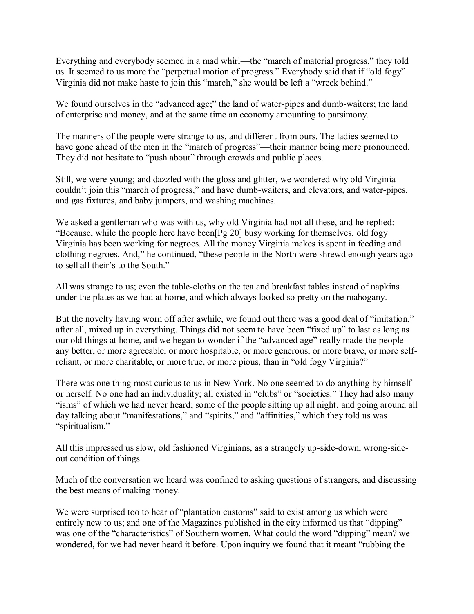Everything and everybody seemed in a mad whirl—the "march of material progress," they told us. It seemed to us more the "perpetual motion of progress." Everybody said that if "old fogy" Virginia did not make haste to join this "march," she would be left a "wreck behind."

We found ourselves in the "advanced age;" the land of water-pipes and dumb-waiters; the land of enterprise and money, and at the same time an economy amounting to parsimony.

The manners of the people were strange to us, and different from ours. The ladies seemed to have gone ahead of the men in the "march of progress"—their manner being more pronounced. They did not hesitate to "push about" through crowds and public places.

Still, we were young; and dazzled with the gloss and glitter, we wondered why old Virginia couldn't join this "march of progress," and have dumb-waiters, and elevators, and water-pipes, and gas fixtures, and baby jumpers, and washing machines.

We asked a gentleman who was with us, why old Virginia had not all these, and he replied: "Because, while the people here have been[Pg 20] busy working for themselves, old fogy Virginia has been working for negroes. All the money Virginia makes is spent in feeding and clothing negroes. And," he continued, "these people in the North were shrewd enough years ago to sell all their's to the South."

All was strange to us; even the table-cloths on the tea and breakfast tables instead of napkins under the plates as we had at home, and which always looked so pretty on the mahogany.

But the novelty having worn off after awhile, we found out there was a good deal of "imitation," after all, mixed up in everything. Things did not seem to have been "fixed up" to last as long as our old things at home, and we began to wonder if the "advanced age" really made the people any better, or more agreeable, or more hospitable, or more generous, or more brave, or more selfreliant, or more charitable, or more true, or more pious, than in "old fogy Virginia?"

There was one thing most curious to us in New York. No one seemed to do anything by himself or herself. No one had an individuality; all existed in "clubs" or "societies." They had also many "isms" of which we had never heard; some of the people sitting up all night, and going around all day talking about "manifestations," and "spirits," and "affinities," which they told us was "spiritualism."

All this impressed us slow, old fashioned Virginians, as a strangely up-side-down, wrong-sideout condition of things.

Much of the conversation we heard was confined to asking questions of strangers, and discussing the best means of making money.

We were surprised too to hear of "plantation customs" said to exist among us which were entirely new to us; and one of the Magazines published in the city informed us that "dipping" was one of the "characteristics" of Southern women. What could the word "dipping" mean? we wondered, for we had never heard it before. Upon inquiry we found that it meant "rubbing the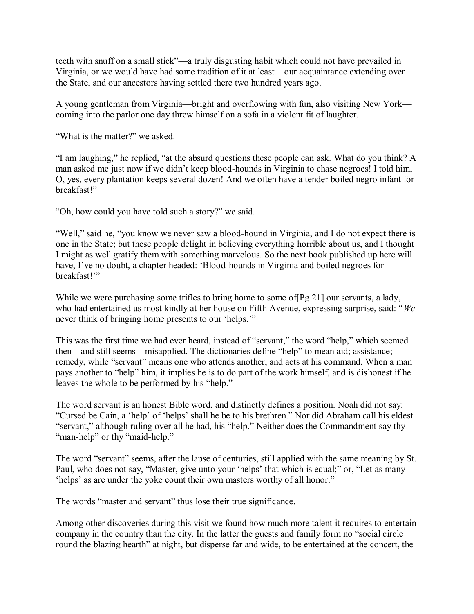teeth with snuff on a small stick"—a truly disgusting habit which could not have prevailed in Virginia, or we would have had some tradition of it at least—our acquaintance extending over the State, and our ancestors having settled there two hundred years ago.

A young gentleman from Virginia—bright and overflowing with fun, also visiting New York coming into the parlor one day threw himself on a sofa in a violent fit of laughter.

"What is the matter?" we asked.

"I am laughing," he replied, "at the absurd questions these people can ask. What do you think? A man asked me just now if we didn't keep blood-hounds in Virginia to chase negroes! I told him, O, yes, every plantation keeps several dozen! And we often have a tender boiled negro infant for breakfast!"

"Oh, how could you have told such a story?" we said.

"Well," said he, "you know we never saw a blood-hound in Virginia, and I do not expect there is one in the State; but these people delight in believing everything horrible about us, and I thought I might as well gratify them with something marvelous. So the next book published up here will have, I've no doubt, a chapter headed: 'Blood-hounds in Virginia and boiled negroes for breakfast!'"

While we were purchasing some trifles to bring home to some of  $[Pg 21]$  our servants, a lady, who had entertained us most kindly at her house on Fifth Avenue, expressing surprise, said: "*We* never think of bringing home presents to our 'helps.'"

This was the first time we had ever heard, instead of "servant," the word "help," which seemed then—and still seems—misapplied. The dictionaries define "help" to mean aid; assistance; remedy, while "servant" means one who attends another, and acts at his command. When a man pays another to "help" him, it implies he is to do part of the work himself, and is dishonest if he leaves the whole to be performed by his "help."

The word servant is an honest Bible word, and distinctly defines a position. Noah did not say: "Cursed be Cain, a 'help' of 'helps' shall he be to his brethren." Nor did Abraham call his eldest "servant," although ruling over all he had, his "help." Neither does the Commandment say thy "man-help" or thy "maid-help."

The word "servant" seems, after the lapse of centuries, still applied with the same meaning by St. Paul, who does not say, "Master, give unto your 'helps' that which is equal;" or, "Let as many 'helps' as are under the yoke count their own masters worthy of all honor."

The words "master and servant" thus lose their true significance.

Among other discoveries during this visit we found how much more talent it requires to entertain company in the country than the city. In the latter the guests and family form no "social circle round the blazing hearth" at night, but disperse far and wide, to be entertained at the concert, the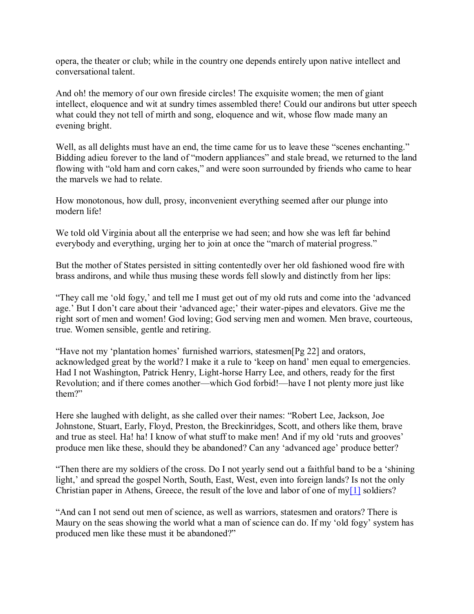opera, the theater or club; while in the country one depends entirely upon native intellect and conversational talent.

And oh! the memory of our own fireside circles! The exquisite women; the men of giant intellect, eloquence and wit at sundry times assembled there! Could our andirons but utter speech what could they not tell of mirth and song, eloquence and wit, whose flow made many an evening bright.

Well, as all delights must have an end, the time came for us to leave these "scenes enchanting." Bidding adieu forever to the land of "modern appliances" and stale bread, we returned to the land flowing with "old ham and corn cakes," and were soon surrounded by friends who came to hear the marvels we had to relate.

How monotonous, how dull, prosy, inconvenient everything seemed after our plunge into modern life!

We told old Virginia about all the enterprise we had seen; and how she was left far behind everybody and everything, urging her to join at once the "march of material progress."

But the mother of States persisted in sitting contentedly over her old fashioned wood fire with brass andirons, and while thus musing these words fell slowly and distinctly from her lips:

"They call me 'old fogy,' and tell me I must get out of my old ruts and come into the 'advanced age.' But I don't care about their 'advanced age;' their water-pipes and elevators. Give me the right sort of men and women! God loving; God serving men and women. Men brave, courteous, true. Women sensible, gentle and retiring.

"Have not my 'plantation homes' furnished warriors, statesmen[Pg 22] and orators, acknowledged great by the world? I make it a rule to 'keep on hand' men equal to emergencies. Had I not Washington, Patrick Henry, Light-horse Harry Lee, and others, ready for the first Revolution; and if there comes another—which God forbid!—have I not plenty more just like them?"

Here she laughed with delight, as she called over their names: "Robert Lee, Jackson, Joe Johnstone, Stuart, Early, Floyd, Preston, the Breckinridges, Scott, and others like them, brave and true as steel. Ha! ha! I know of what stuff to make men! And if my old 'ruts and grooves' produce men like these, should they be abandoned? Can any 'advanced age' produce better?

"Then there are my soldiers of the cross. Do I not yearly send out a faithful band to be a 'shining light,' and spread the gospel North, South, East, West, even into foreign lands? Is not the only Christian paper in Athens, Greece, the result of the love and labor of one of m[y\[1\]](http://www.gutenberg.org/files/44626/44626-h/44626-h.htm#Footnote_1) soldiers?

"And can I not send out men of science, as well as warriors, statesmen and orators? There is Maury on the seas showing the world what a man of science can do. If my 'old fogy' system has produced men like these must it be abandoned?"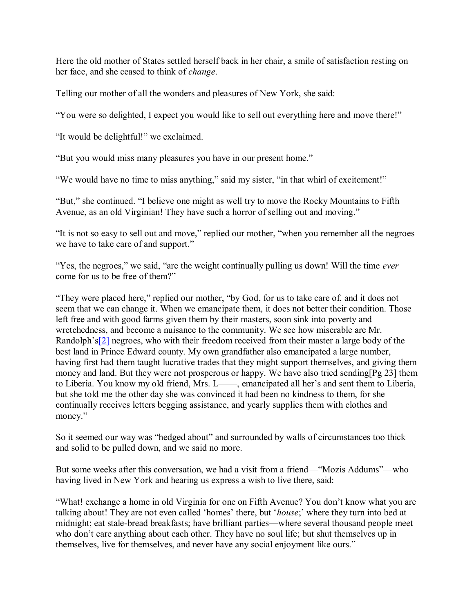Here the old mother of States settled herself back in her chair, a smile of satisfaction resting on her face, and she ceased to think of *change*.

Telling our mother of all the wonders and pleasures of New York, she said:

"You were so delighted, I expect you would like to sell out everything here and move there!"

"It would be delightful!" we exclaimed.

"But you would miss many pleasures you have in our present home."

"We would have no time to miss anything," said my sister, "in that whirl of excitement!"

"But," she continued. "I believe one might as well try to move the Rocky Mountains to Fifth Avenue, as an old Virginian! They have such a horror of selling out and moving."

"It is not so easy to sell out and move," replied our mother, "when you remember all the negroes we have to take care of and support."

"Yes, the negroes," we said, "are the weight continually pulling us down! Will the time *ever* come for us to be free of them?"

"They were placed here," replied our mother, "by God, for us to take care of, and it does not seem that we can change it. When we emancipate them, it does not better their condition. Those left free and with good farms given them by their masters, soon sink into poverty and wretchedness, and become a nuisance to the community. We see how miserable are Mr. Randolph's<sup>[\[2\]](http://www.gutenberg.org/files/44626/44626-h/44626-h.htm#Footnote_2)</sup> negroes, who with their freedom received from their master a large body of the best land in Prince Edward county. My own grandfather also emancipated a large number, having first had them taught lucrative trades that they might support themselves, and giving them money and land. But they were not prosperous or happy. We have also tried sending[Pg 23] them to Liberia. You know my old friend, Mrs. L——, emancipated all her's and sent them to Liberia, but she told me the other day she was convinced it had been no kindness to them, for she continually receives letters begging assistance, and yearly supplies them with clothes and money."

So it seemed our way was "hedged about" and surrounded by walls of circumstances too thick and solid to be pulled down, and we said no more.

But some weeks after this conversation, we had a visit from a friend—"Mozis Addums"—who having lived in New York and hearing us express a wish to live there, said:

"What! exchange a home in old Virginia for one on Fifth Avenue? You don't know what you are talking about! They are not even called 'homes' there, but '*house*;' where they turn into bed at midnight; eat stale-bread breakfasts; have brilliant parties—where several thousand people meet who don't care anything about each other. They have no soul life; but shut themselves up in themselves, live for themselves, and never have any social enjoyment like ours."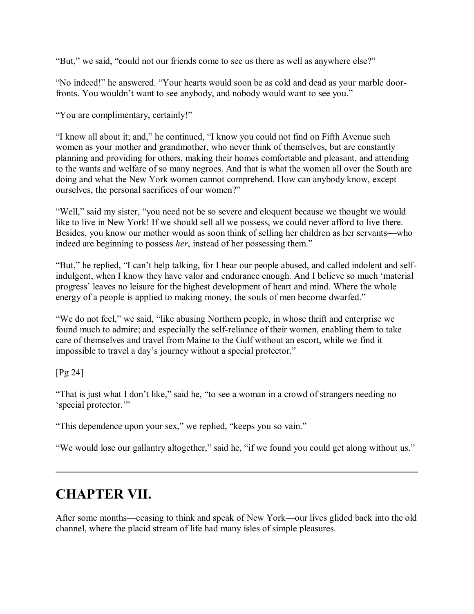"But," we said, "could not our friends come to see us there as well as anywhere else?"

"No indeed!" he answered. "Your hearts would soon be as cold and dead as your marble doorfronts. You wouldn't want to see anybody, and nobody would want to see you."

"You are complimentary, certainly!"

"I know all about it; and," he continued, "I know you could not find on Fifth Avenue such women as your mother and grandmother, who never think of themselves, but are constantly planning and providing for others, making their homes comfortable and pleasant, and attending to the wants and welfare of so many negroes. And that is what the women all over the South are doing and what the New York women cannot comprehend. How can anybody know, except ourselves, the personal sacrifices of our women?"

"Well," said my sister, "you need not be so severe and eloquent because we thought we would like to live in New York! If we should sell all we possess, we could never afford to live there. Besides, you know our mother would as soon think of selling her children as her servants—who indeed are beginning to possess *her*, instead of her possessing them."

"But," he replied, "I can't help talking, for I hear our people abused, and called indolent and selfindulgent, when I know they have valor and endurance enough. And I believe so much 'material progress' leaves no leisure for the highest development of heart and mind. Where the whole energy of a people is applied to making money, the souls of men become dwarfed."

"We do not feel," we said, "like abusing Northern people, in whose thrift and enterprise we found much to admire; and especially the self-reliance of their women, enabling them to take care of themselves and travel from Maine to the Gulf without an escort, while we find it impossible to travel a day's journey without a special protector."

[Pg 24]

"That is just what I don't like," said he, "to see a woman in a crowd of strangers needing no 'special protector.'"

"This dependence upon your sex," we replied, "keeps you so vain."

"We would lose our gallantry altogether," said he, "if we found you could get along without us."

### **CHAPTER VII.**

After some months—ceasing to think and speak of New York—our lives glided back into the old channel, where the placid stream of life had many isles of simple pleasures.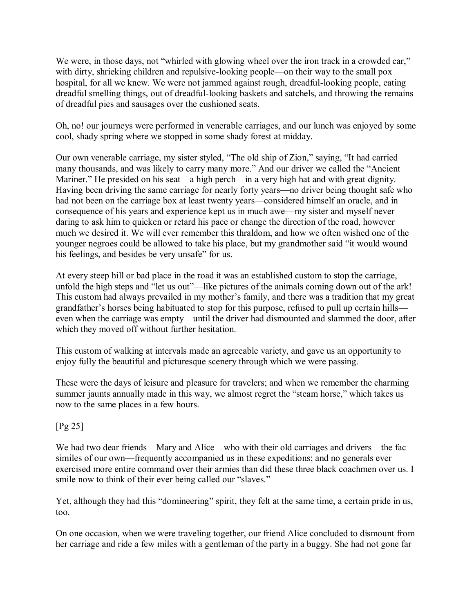We were, in those days, not "whirled with glowing wheel over the iron track in a crowded car," with dirty, shrieking children and repulsive-looking people—on their way to the small pox hospital, for all we knew. We were not jammed against rough, dreadful-looking people, eating dreadful smelling things, out of dreadful-looking baskets and satchels, and throwing the remains of dreadful pies and sausages over the cushioned seats.

Oh, no! our journeys were performed in venerable carriages, and our lunch was enjoyed by some cool, shady spring where we stopped in some shady forest at midday.

Our own venerable carriage, my sister styled, "The old ship of Zion," saying, "It had carried many thousands, and was likely to carry many more." And our driver we called the "Ancient Mariner." He presided on his seat—a high perch—in a very high hat and with great dignity. Having been driving the same carriage for nearly forty years—no driver being thought safe who had not been on the carriage box at least twenty years—considered himself an oracle, and in consequence of his years and experience kept us in much awe—my sister and myself never daring to ask him to quicken or retard his pace or change the direction of the road, however much we desired it. We will ever remember this thraldom, and how we often wished one of the younger negroes could be allowed to take his place, but my grandmother said "it would wound his feelings, and besides be very unsafe" for us.

At every steep hill or bad place in the road it was an established custom to stop the carriage, unfold the high steps and "let us out"—like pictures of the animals coming down out of the ark! This custom had always prevailed in my mother's family, and there was a tradition that my great grandfather's horses being habituated to stop for this purpose, refused to pull up certain hills even when the carriage was empty—until the driver had dismounted and slammed the door, after which they moved off without further hesitation.

This custom of walking at intervals made an agreeable variety, and gave us an opportunity to enjoy fully the beautiful and picturesque scenery through which we were passing.

These were the days of leisure and pleasure for travelers; and when we remember the charming summer jaunts annually made in this way, we almost regret the "steam horse," which takes us now to the same places in a few hours.

#### [Pg 25]

We had two dear friends—Mary and Alice—who with their old carriages and drivers—the fac similes of our own—frequently accompanied us in these expeditions; and no generals ever exercised more entire command over their armies than did these three black coachmen over us. I smile now to think of their ever being called our "slaves."

Yet, although they had this "domineering" spirit, they felt at the same time, a certain pride in us, too.

On one occasion, when we were traveling together, our friend Alice concluded to dismount from her carriage and ride a few miles with a gentleman of the party in a buggy. She had not gone far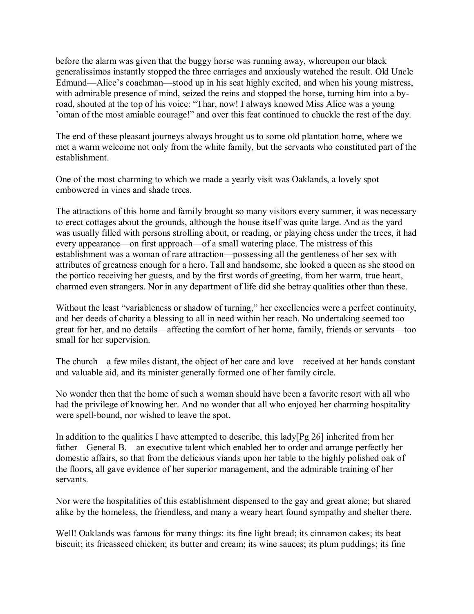before the alarm was given that the buggy horse was running away, whereupon our black generalissimos instantly stopped the three carriages and anxiously watched the result. Old Uncle Edmund—Alice's coachman—stood up in his seat highly excited, and when his young mistress, with admirable presence of mind, seized the reins and stopped the horse, turning him into a byroad, shouted at the top of his voice: "Thar, now! I always knowed Miss Alice was a young 'oman of the most amiable courage!" and over this feat continued to chuckle the rest of the day.

The end of these pleasant journeys always brought us to some old plantation home, where we met a warm welcome not only from the white family, but the servants who constituted part of the establishment.

One of the most charming to which we made a yearly visit was Oaklands, a lovely spot embowered in vines and shade trees.

The attractions of this home and family brought so many visitors every summer, it was necessary to erect cottages about the grounds, although the house itself was quite large. And as the yard was usually filled with persons strolling about, or reading, or playing chess under the trees, it had every appearance—on first approach—of a small watering place. The mistress of this establishment was a woman of rare attraction—possessing all the gentleness of her sex with attributes of greatness enough for a hero. Tall and handsome, she looked a queen as she stood on the portico receiving her guests, and by the first words of greeting, from her warm, true heart, charmed even strangers. Nor in any department of life did she betray qualities other than these.

Without the least "variableness or shadow of turning," her excellencies were a perfect continuity, and her deeds of charity a blessing to all in need within her reach. No undertaking seemed too great for her, and no details—affecting the comfort of her home, family, friends or servants—too small for her supervision.

The church—a few miles distant, the object of her care and love—received at her hands constant and valuable aid, and its minister generally formed one of her family circle.

No wonder then that the home of such a woman should have been a favorite resort with all who had the privilege of knowing her. And no wonder that all who enjoyed her charming hospitality were spell-bound, nor wished to leave the spot.

In addition to the qualities I have attempted to describe, this lady[Pg 26] inherited from her father—General B.—an executive talent which enabled her to order and arrange perfectly her domestic affairs, so that from the delicious viands upon her table to the highly polished oak of the floors, all gave evidence of her superior management, and the admirable training of her servants.

Nor were the hospitalities of this establishment dispensed to the gay and great alone; but shared alike by the homeless, the friendless, and many a weary heart found sympathy and shelter there.

Well! Oaklands was famous for many things: its fine light bread; its cinnamon cakes; its beat biscuit; its fricasseed chicken; its butter and cream; its wine sauces; its plum puddings; its fine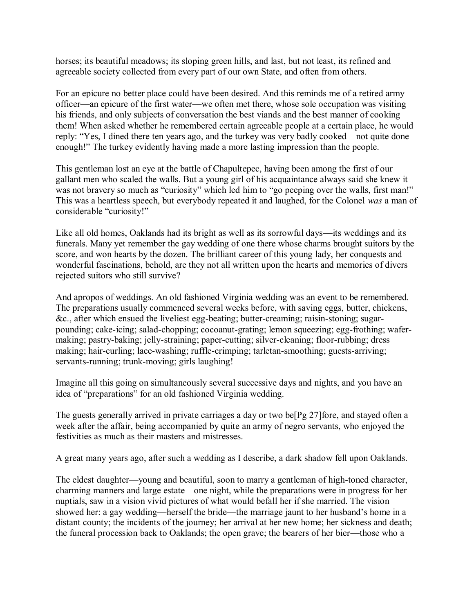horses; its beautiful meadows; its sloping green hills, and last, but not least, its refined and agreeable society collected from every part of our own State, and often from others.

For an epicure no better place could have been desired. And this reminds me of a retired army officer—an epicure of the first water—we often met there, whose sole occupation was visiting his friends, and only subjects of conversation the best viands and the best manner of cooking them! When asked whether he remembered certain agreeable people at a certain place, he would reply: "Yes, I dined there ten years ago, and the turkey was very badly cooked—not quite done enough!" The turkey evidently having made a more lasting impression than the people.

This gentleman lost an eye at the battle of Chapultepec, having been among the first of our gallant men who scaled the walls. But a young girl of his acquaintance always said she knew it was not bravery so much as "curiosity" which led him to "go peeping over the walls, first man!" This was a heartless speech, but everybody repeated it and laughed, for the Colonel *was* a man of considerable "curiosity!"

Like all old homes, Oaklands had its bright as well as its sorrowful days—its weddings and its funerals. Many yet remember the gay wedding of one there whose charms brought suitors by the score, and won hearts by the dozen. The brilliant career of this young lady, her conquests and wonderful fascinations, behold, are they not all written upon the hearts and memories of divers rejected suitors who still survive?

And apropos of weddings. An old fashioned Virginia wedding was an event to be remembered. The preparations usually commenced several weeks before, with saving eggs, butter, chickens, &c., after which ensued the liveliest egg-beating; butter-creaming; raisin-stoning; sugarpounding; cake-icing; salad-chopping; cocoanut-grating; lemon squeezing; egg-frothing; wafermaking; pastry-baking; jelly-straining; paper-cutting; silver-cleaning; floor-rubbing; dress making; hair-curling; lace-washing; ruffle-crimping; tarletan-smoothing; guests-arriving; servants-running; trunk-moving; girls laughing!

Imagine all this going on simultaneously several successive days and nights, and you have an idea of "preparations" for an old fashioned Virginia wedding.

The guests generally arrived in private carriages a day or two be[Pg 27]fore, and stayed often a week after the affair, being accompanied by quite an army of negro servants, who enjoyed the festivities as much as their masters and mistresses.

A great many years ago, after such a wedding as I describe, a dark shadow fell upon Oaklands.

The eldest daughter—young and beautiful, soon to marry a gentleman of high-toned character, charming manners and large estate—one night, while the preparations were in progress for her nuptials, saw in a vision vivid pictures of what would befall her if she married. The vision showed her: a gay wedding—herself the bride—the marriage jaunt to her husband's home in a distant county; the incidents of the journey; her arrival at her new home; her sickness and death; the funeral procession back to Oaklands; the open grave; the bearers of her bier—those who a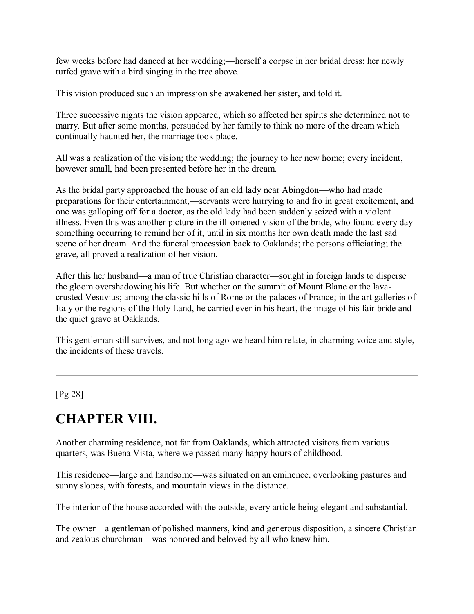few weeks before had danced at her wedding;—herself a corpse in her bridal dress; her newly turfed grave with a bird singing in the tree above.

This vision produced such an impression she awakened her sister, and told it.

Three successive nights the vision appeared, which so affected her spirits she determined not to marry. But after some months, persuaded by her family to think no more of the dream which continually haunted her, the marriage took place.

All was a realization of the vision; the wedding; the journey to her new home; every incident, however small, had been presented before her in the dream.

As the bridal party approached the house of an old lady near Abingdon—who had made preparations for their entertainment,—servants were hurrying to and fro in great excitement, and one was galloping off for a doctor, as the old lady had been suddenly seized with a violent illness. Even this was another picture in the ill-omened vision of the bride, who found every day something occurring to remind her of it, until in six months her own death made the last sad scene of her dream. And the funeral procession back to Oaklands; the persons officiating; the grave, all proved a realization of her vision.

After this her husband—a man of true Christian character—sought in foreign lands to disperse the gloom overshadowing his life. But whether on the summit of Mount Blanc or the lavacrusted Vesuvius; among the classic hills of Rome or the palaces of France; in the art galleries of Italy or the regions of the Holy Land, he carried ever in his heart, the image of his fair bride and the quiet grave at Oaklands.

This gentleman still survives, and not long ago we heard him relate, in charming voice and style, the incidents of these travels.

[Pg 28]

# **CHAPTER VIII.**

Another charming residence, not far from Oaklands, which attracted visitors from various quarters, was Buena Vista, where we passed many happy hours of childhood.

This residence—large and handsome—was situated on an eminence, overlooking pastures and sunny slopes, with forests, and mountain views in the distance.

The interior of the house accorded with the outside, every article being elegant and substantial.

The owner—a gentleman of polished manners, kind and generous disposition, a sincere Christian and zealous churchman—was honored and beloved by all who knew him.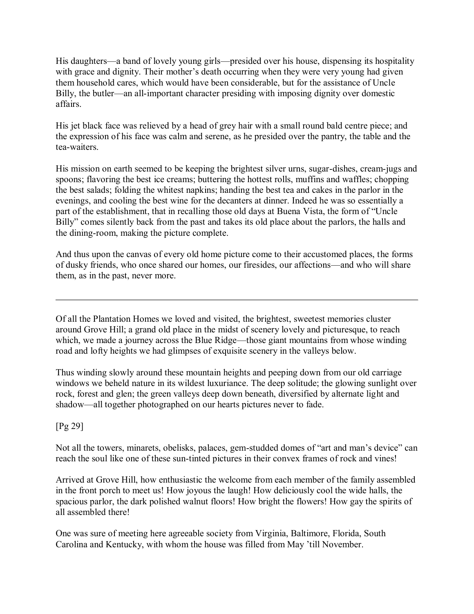His daughters—a band of lovely young girls—presided over his house, dispensing its hospitality with grace and dignity. Their mother's death occurring when they were very young had given them household cares, which would have been considerable, but for the assistance of Uncle Billy, the butler—an all-important character presiding with imposing dignity over domestic affairs.

His jet black face was relieved by a head of grey hair with a small round bald centre piece; and the expression of his face was calm and serene, as he presided over the pantry, the table and the tea-waiters.

His mission on earth seemed to be keeping the brightest silver urns, sugar-dishes, cream-jugs and spoons; flavoring the best ice creams; buttering the hottest rolls, muffins and waffles; chopping the best salads; folding the whitest napkins; handing the best tea and cakes in the parlor in the evenings, and cooling the best wine for the decanters at dinner. Indeed he was so essentially a part of the establishment, that in recalling those old days at Buena Vista, the form of "Uncle Billy" comes silently back from the past and takes its old place about the parlors, the halls and the dining-room, making the picture complete.

And thus upon the canvas of every old home picture come to their accustomed places, the forms of dusky friends, who once shared our homes, our firesides, our affections—and who will share them, as in the past, never more.

Of all the Plantation Homes we loved and visited, the brightest, sweetest memories cluster around Grove Hill; a grand old place in the midst of scenery lovely and picturesque, to reach which, we made a journey across the Blue Ridge—those giant mountains from whose winding road and lofty heights we had glimpses of exquisite scenery in the valleys below.

Thus winding slowly around these mountain heights and peeping down from our old carriage windows we beheld nature in its wildest luxuriance. The deep solitude; the glowing sunlight over rock, forest and glen; the green valleys deep down beneath, diversified by alternate light and shadow—all together photographed on our hearts pictures never to fade.

[Pg 29]

Not all the towers, minarets, obelisks, palaces, gem-studded domes of "art and man's device" can reach the soul like one of these sun-tinted pictures in their convex frames of rock and vines!

Arrived at Grove Hill, how enthusiastic the welcome from each member of the family assembled in the front porch to meet us! How joyous the laugh! How deliciously cool the wide halls, the spacious parlor, the dark polished walnut floors! How bright the flowers! How gay the spirits of all assembled there!

One was sure of meeting here agreeable society from Virginia, Baltimore, Florida, South Carolina and Kentucky, with whom the house was filled from May 'till November.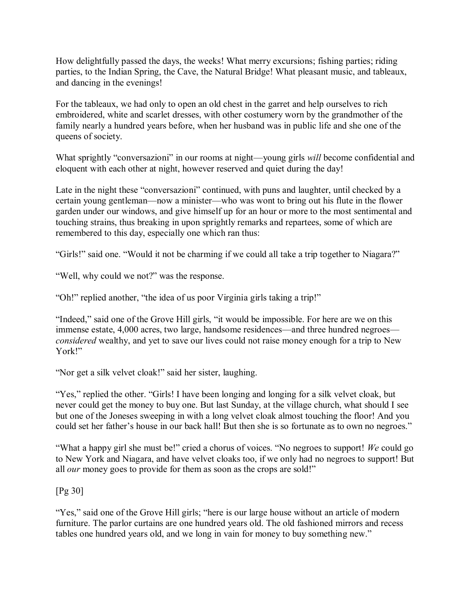How delightfully passed the days, the weeks! What merry excursions; fishing parties; riding parties, to the Indian Spring, the Cave, the Natural Bridge! What pleasant music, and tableaux, and dancing in the evenings!

For the tableaux, we had only to open an old chest in the garret and help ourselves to rich embroidered, white and scarlet dresses, with other costumery worn by the grandmother of the family nearly a hundred years before, when her husband was in public life and she one of the queens of society.

What sprightly "conversazioni" in our rooms at night—young girls *will* become confidential and eloquent with each other at night, however reserved and quiet during the day!

Late in the night these "conversazioni" continued, with puns and laughter, until checked by a certain young gentleman—now a minister—who was wont to bring out his flute in the flower garden under our windows, and give himself up for an hour or more to the most sentimental and touching strains, thus breaking in upon sprightly remarks and repartees, some of which are remembered to this day, especially one which ran thus:

"Girls!" said one. "Would it not be charming if we could all take a trip together to Niagara?"

"Well, why could we not?" was the response.

"Oh!" replied another, "the idea of us poor Virginia girls taking a trip!"

"Indeed," said one of the Grove Hill girls, "it would be impossible. For here are we on this immense estate, 4,000 acres, two large, handsome residences—and three hundred negroes *considered* wealthy, and yet to save our lives could not raise money enough for a trip to New York!"

"Nor get a silk velvet cloak!" said her sister, laughing.

"Yes," replied the other. "Girls! I have been longing and longing for a silk velvet cloak, but never could get the money to buy one. But last Sunday, at the village church, what should I see but one of the Joneses sweeping in with a long velvet cloak almost touching the floor! And you could set her father's house in our back hall! But then she is so fortunate as to own no negroes."

"What a happy girl she must be!" cried a chorus of voices. "No negroes to support! *We* could go to New York and Niagara, and have velvet cloaks too, if we only had no negroes to support! But all *our* money goes to provide for them as soon as the crops are sold!"

[Pg 30]

"Yes," said one of the Grove Hill girls; "here is our large house without an article of modern furniture. The parlor curtains are one hundred years old. The old fashioned mirrors and recess tables one hundred years old, and we long in vain for money to buy something new."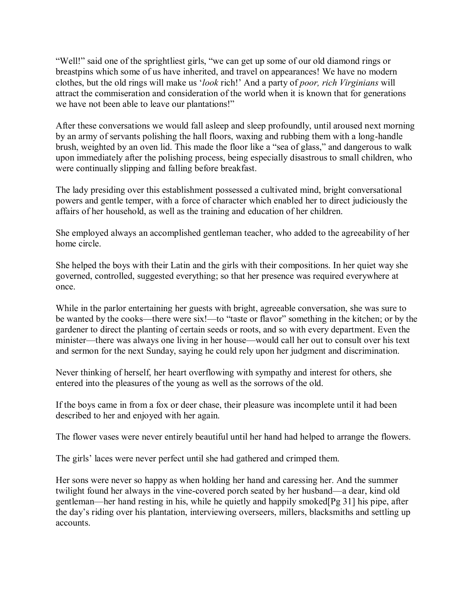"Well!" said one of the sprightliest girls, "we can get up some of our old diamond rings or breastpins which some of us have inherited, and travel on appearances! We have no modern clothes, but the old rings will make us '*look* rich!' And a party of *poor, rich Virginians* will attract the commiseration and consideration of the world when it is known that for generations we have not been able to leave our plantations!"

After these conversations we would fall asleep and sleep profoundly, until aroused next morning by an army of servants polishing the hall floors, waxing and rubbing them with a long-handle brush, weighted by an oven lid. This made the floor like a "sea of glass," and dangerous to walk upon immediately after the polishing process, being especially disastrous to small children, who were continually slipping and falling before breakfast.

The lady presiding over this establishment possessed a cultivated mind, bright conversational powers and gentle temper, with a force of character which enabled her to direct judiciously the affairs of her household, as well as the training and education of her children.

She employed always an accomplished gentleman teacher, who added to the agreeability of her home circle.

She helped the boys with their Latin and the girls with their compositions. In her quiet way she governed, controlled, suggested everything; so that her presence was required everywhere at once.

While in the parlor entertaining her guests with bright, agreeable conversation, she was sure to be wanted by the cooks—there were six!—to "taste or flavor" something in the kitchen; or by the gardener to direct the planting of certain seeds or roots, and so with every department. Even the minister—there was always one living in her house—would call her out to consult over his text and sermon for the next Sunday, saying he could rely upon her judgment and discrimination.

Never thinking of herself, her heart overflowing with sympathy and interest for others, she entered into the pleasures of the young as well as the sorrows of the old.

If the boys came in from a fox or deer chase, their pleasure was incomplete until it had been described to her and enjoyed with her again.

The flower vases were never entirely beautiful until her hand had helped to arrange the flowers.

The girls' laces were never perfect until she had gathered and crimped them.

Her sons were never so happy as when holding her hand and caressing her. And the summer twilight found her always in the vine-covered porch seated by her husband—a dear, kind old gentleman—her hand resting in his, while he quietly and happily smoked[Pg 31] his pipe, after the day's riding over his plantation, interviewing overseers, millers, blacksmiths and settling up accounts.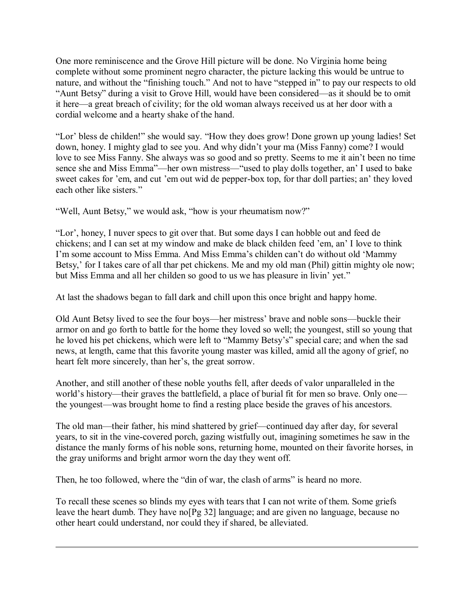One more reminiscence and the Grove Hill picture will be done. No Virginia home being complete without some prominent negro character, the picture lacking this would be untrue to nature, and without the "finishing touch." And not to have "stepped in" to pay our respects to old "Aunt Betsy" during a visit to Grove Hill, would have been considered—as it should be to omit it here—a great breach of civility; for the old woman always received us at her door with a cordial welcome and a hearty shake of the hand.

"Lor' bless de childen!" she would say. "How they does grow! Done grown up young ladies! Set down, honey. I mighty glad to see you. And why didn't your ma (Miss Fanny) come? I would love to see Miss Fanny. She always was so good and so pretty. Seems to me it ain't been no time sence she and Miss Emma"—her own mistress—"used to play dolls together, an' I used to bake sweet cakes for 'em, and cut 'em out wid de pepper-box top, for thar doll parties; an' they loved each other like sisters."

"Well, Aunt Betsy," we would ask, "how is your rheumatism now?"

"Lor', honey, I nuver specs to git over that. But some days I can hobble out and feed de chickens; and I can set at my window and make de black childen feed 'em, an' I love to think I'm some account to Miss Emma. And Miss Emma's childen can't do without old 'Mammy Betsy,' for I takes care of all thar pet chickens. Me and my old man (Phil) gittin mighty ole now; but Miss Emma and all her childen so good to us we has pleasure in livin' yet."

At last the shadows began to fall dark and chill upon this once bright and happy home.

Old Aunt Betsy lived to see the four boys—her mistress' brave and noble sons—buckle their armor on and go forth to battle for the home they loved so well; the youngest, still so young that he loved his pet chickens, which were left to "Mammy Betsy's" special care; and when the sad news, at length, came that this favorite young master was killed, amid all the agony of grief, no heart felt more sincerely, than her's, the great sorrow.

Another, and still another of these noble youths fell, after deeds of valor unparalleled in the world's history—their graves the battlefield, a place of burial fit for men so brave. Only one the youngest—was brought home to find a resting place beside the graves of his ancestors.

The old man—their father, his mind shattered by grief—continued day after day, for several years, to sit in the vine-covered porch, gazing wistfully out, imagining sometimes he saw in the distance the manly forms of his noble sons, returning home, mounted on their favorite horses, in the gray uniforms and bright armor worn the day they went off.

Then, he too followed, where the "din of war, the clash of arms" is heard no more.

To recall these scenes so blinds my eyes with tears that I can not write of them. Some griefs leave the heart dumb. They have no[Pg 32] language; and are given no language, because no other heart could understand, nor could they if shared, be alleviated.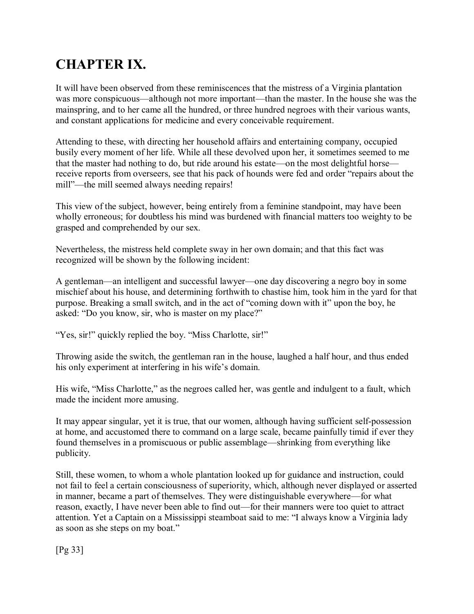# **CHAPTER IX.**

It will have been observed from these reminiscences that the mistress of a Virginia plantation was more conspicuous—although not more important—than the master. In the house she was the mainspring, and to her came all the hundred, or three hundred negroes with their various wants, and constant applications for medicine and every conceivable requirement.

Attending to these, with directing her household affairs and entertaining company, occupied busily every moment of her life. While all these devolved upon her, it sometimes seemed to me that the master had nothing to do, but ride around his estate—on the most delightful horse receive reports from overseers, see that his pack of hounds were fed and order "repairs about the mill"—the mill seemed always needing repairs!

This view of the subject, however, being entirely from a feminine standpoint, may have been wholly erroneous; for doubtless his mind was burdened with financial matters too weighty to be grasped and comprehended by our sex.

Nevertheless, the mistress held complete sway in her own domain; and that this fact was recognized will be shown by the following incident:

A gentleman—an intelligent and successful lawyer—one day discovering a negro boy in some mischief about his house, and determining forthwith to chastise him, took him in the yard for that purpose. Breaking a small switch, and in the act of "coming down with it" upon the boy, he asked: "Do you know, sir, who is master on my place?"

"Yes, sir!" quickly replied the boy. "Miss Charlotte, sir!"

Throwing aside the switch, the gentleman ran in the house, laughed a half hour, and thus ended his only experiment at interfering in his wife's domain.

His wife, "Miss Charlotte," as the negroes called her, was gentle and indulgent to a fault, which made the incident more amusing.

It may appear singular, yet it is true, that our women, although having sufficient self-possession at home, and accustomed there to command on a large scale, became painfully timid if ever they found themselves in a promiscuous or public assemblage—shrinking from everything like publicity.

Still, these women, to whom a whole plantation looked up for guidance and instruction, could not fail to feel a certain consciousness of superiority, which, although never displayed or asserted in manner, became a part of themselves. They were distinguishable everywhere—for what reason, exactly, I have never been able to find out—for their manners were too quiet to attract attention. Yet a Captain on a Mississippi steamboat said to me: "I always know a Virginia lady as soon as she steps on my boat."

[Pg 33]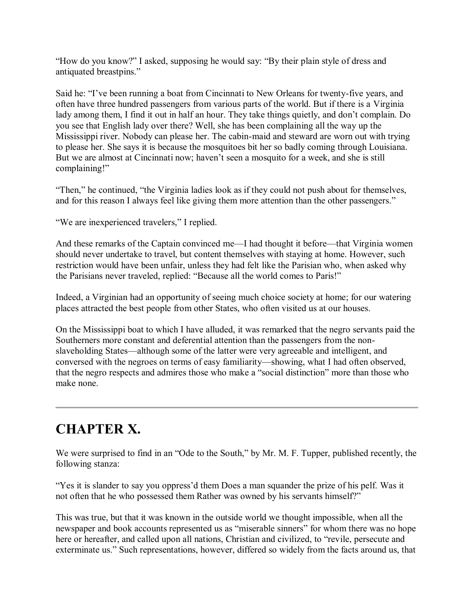"How do you know?" I asked, supposing he would say: "By their plain style of dress and antiquated breastpins."

Said he: "I've been running a boat from Cincinnati to New Orleans for twenty-five years, and often have three hundred passengers from various parts of the world. But if there is a Virginia lady among them, I find it out in half an hour. They take things quietly, and don't complain. Do you see that English lady over there? Well, she has been complaining all the way up the Mississippi river. Nobody can please her. The cabin-maid and steward are worn out with trying to please her. She says it is because the mosquitoes bit her so badly coming through Louisiana. But we are almost at Cincinnati now; haven't seen a mosquito for a week, and she is still complaining!"

"Then," he continued, "the Virginia ladies look as if they could not push about for themselves, and for this reason I always feel like giving them more attention than the other passengers."

"We are inexperienced travelers," I replied.

And these remarks of the Captain convinced me—I had thought it before—that Virginia women should never undertake to travel, but content themselves with staying at home. However, such restriction would have been unfair, unless they had felt like the Parisian who, when asked why the Parisians never traveled, replied: "Because all the world comes to Paris!"

Indeed, a Virginian had an opportunity of seeing much choice society at home; for our watering places attracted the best people from other States, who often visited us at our houses.

On the Mississippi boat to which I have alluded, it was remarked that the negro servants paid the Southerners more constant and deferential attention than the passengers from the nonslaveholding States—although some of the latter were very agreeable and intelligent, and conversed with the negroes on terms of easy familiarity—showing, what I had often observed, that the negro respects and admires those who make a "social distinction" more than those who make none.

# **CHAPTER X.**

We were surprised to find in an "Ode to the South," by Mr. M. F. Tupper, published recently, the following stanza:

"Yes it is slander to say you oppress'd them Does a man squander the prize of his pelf. Was it not often that he who possessed them Rather was owned by his servants himself?"

This was true, but that it was known in the outside world we thought impossible, when all the newspaper and book accounts represented us as "miserable sinners" for whom there was no hope here or hereafter, and called upon all nations, Christian and civilized, to "revile, persecute and exterminate us." Such representations, however, differed so widely from the facts around us, that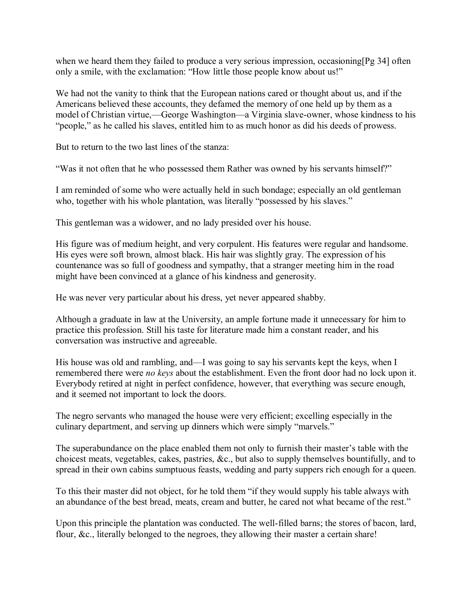when we heard them they failed to produce a very serious impression, occasioning [Pg 34] often only a smile, with the exclamation: "How little those people know about us!"

We had not the vanity to think that the European nations cared or thought about us, and if the Americans believed these accounts, they defamed the memory of one held up by them as a model of Christian virtue,—George Washington—a Virginia slave-owner, whose kindness to his "people," as he called his slaves, entitled him to as much honor as did his deeds of prowess.

But to return to the two last lines of the stanza:

"Was it not often that he who possessed them Rather was owned by his servants himself?"

I am reminded of some who were actually held in such bondage; especially an old gentleman who, together with his whole plantation, was literally "possessed by his slaves."

This gentleman was a widower, and no lady presided over his house.

His figure was of medium height, and very corpulent. His features were regular and handsome. His eyes were soft brown, almost black. His hair was slightly gray. The expression of his countenance was so full of goodness and sympathy, that a stranger meeting him in the road might have been convinced at a glance of his kindness and generosity.

He was never very particular about his dress, yet never appeared shabby.

Although a graduate in law at the University, an ample fortune made it unnecessary for him to practice this profession. Still his taste for literature made him a constant reader, and his conversation was instructive and agreeable.

His house was old and rambling, and—I was going to say his servants kept the keys, when I remembered there were *no keys* about the establishment. Even the front door had no lock upon it. Everybody retired at night in perfect confidence, however, that everything was secure enough, and it seemed not important to lock the doors.

The negro servants who managed the house were very efficient; excelling especially in the culinary department, and serving up dinners which were simply "marvels."

The superabundance on the place enabled them not only to furnish their master's table with the choicest meats, vegetables, cakes, pastries, &c., but also to supply themselves bountifully, and to spread in their own cabins sumptuous feasts, wedding and party suppers rich enough for a queen.

To this their master did not object, for he told them "if they would supply his table always with an abundance of the best bread, meats, cream and butter, he cared not what became of the rest."

Upon this principle the plantation was conducted. The well-filled barns; the stores of bacon, lard, flour, &c., literally belonged to the negroes, they allowing their master a certain share!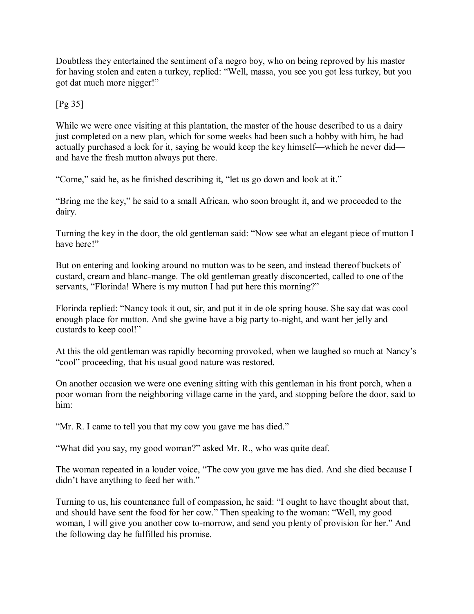Doubtless they entertained the sentiment of a negro boy, who on being reproved by his master for having stolen and eaten a turkey, replied: "Well, massa, you see you got less turkey, but you got dat much more nigger!"

#### [Pg 35]

While we were once visiting at this plantation, the master of the house described to us a dairy just completed on a new plan, which for some weeks had been such a hobby with him, he had actually purchased a lock for it, saying he would keep the key himself—which he never did and have the fresh mutton always put there.

"Come," said he, as he finished describing it, "let us go down and look at it."

"Bring me the key," he said to a small African, who soon brought it, and we proceeded to the dairy.

Turning the key in the door, the old gentleman said: "Now see what an elegant piece of mutton I have here!"

But on entering and looking around no mutton was to be seen, and instead thereof buckets of custard, cream and blanc-mange. The old gentleman greatly disconcerted, called to one of the servants, "Florinda! Where is my mutton I had put here this morning?"

Florinda replied: "Nancy took it out, sir, and put it in de ole spring house. She say dat was cool enough place for mutton. And she gwine have a big party to-night, and want her jelly and custards to keep cool!"

At this the old gentleman was rapidly becoming provoked, when we laughed so much at Nancy's "cool" proceeding, that his usual good nature was restored.

On another occasion we were one evening sitting with this gentleman in his front porch, when a poor woman from the neighboring village came in the yard, and stopping before the door, said to him:

"Mr. R. I came to tell you that my cow you gave me has died."

"What did you say, my good woman?" asked Mr. R., who was quite deaf.

The woman repeated in a louder voice, "The cow you gave me has died. And she died because I didn't have anything to feed her with."

Turning to us, his countenance full of compassion, he said: "I ought to have thought about that, and should have sent the food for her cow." Then speaking to the woman: "Well, my good woman, I will give you another cow to-morrow, and send you plenty of provision for her." And the following day he fulfilled his promise.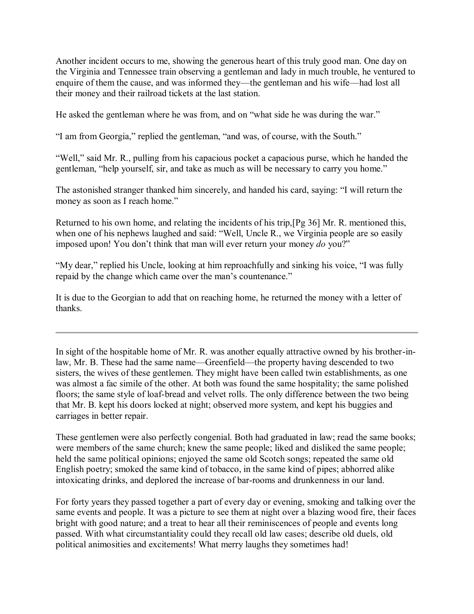Another incident occurs to me, showing the generous heart of this truly good man. One day on the Virginia and Tennessee train observing a gentleman and lady in much trouble, he ventured to enquire of them the cause, and was informed they—the gentleman and his wife—had lost all their money and their railroad tickets at the last station.

He asked the gentleman where he was from, and on "what side he was during the war."

"I am from Georgia," replied the gentleman, "and was, of course, with the South."

"Well," said Mr. R., pulling from his capacious pocket a capacious purse, which he handed the gentleman, "help yourself, sir, and take as much as will be necessary to carry you home."

The astonished stranger thanked him sincerely, and handed his card, saying: "I will return the money as soon as I reach home."

Returned to his own home, and relating the incidents of his trip,[Pg 36] Mr. R. mentioned this, when one of his nephews laughed and said: "Well, Uncle R., we Virginia people are so easily imposed upon! You don't think that man will ever return your money *do* you?"

"My dear," replied his Uncle, looking at him reproachfully and sinking his voice, "I was fully repaid by the change which came over the man's countenance."

It is due to the Georgian to add that on reaching home, he returned the money with a letter of thanks.

In sight of the hospitable home of Mr. R. was another equally attractive owned by his brother-inlaw, Mr. B. These had the same name—Greenfield—the property having descended to two sisters, the wives of these gentlemen. They might have been called twin establishments, as one was almost a fac simile of the other. At both was found the same hospitality; the same polished floors; the same style of loaf-bread and velvet rolls. The only difference between the two being that Mr. B. kept his doors locked at night; observed more system, and kept his buggies and carriages in better repair.

These gentlemen were also perfectly congenial. Both had graduated in law; read the same books; were members of the same church; knew the same people; liked and disliked the same people; held the same political opinions; enjoyed the same old Scotch songs; repeated the same old English poetry; smoked the same kind of tobacco, in the same kind of pipes; abhorred alike intoxicating drinks, and deplored the increase of bar-rooms and drunkenness in our land.

For forty years they passed together a part of every day or evening, smoking and talking over the same events and people. It was a picture to see them at night over a blazing wood fire, their faces bright with good nature; and a treat to hear all their reminiscences of people and events long passed. With what circumstantiality could they recall old law cases; describe old duels, old political animosities and excitements! What merry laughs they sometimes had!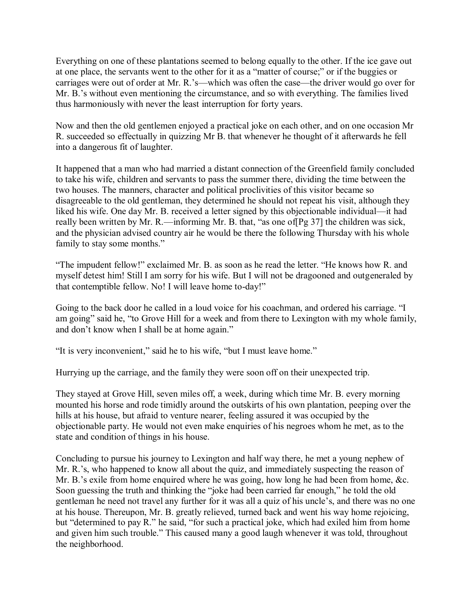Everything on one of these plantations seemed to belong equally to the other. If the ice gave out at one place, the servants went to the other for it as a "matter of course;" or if the buggies or carriages were out of order at Mr. R.'s—which was often the case—the driver would go over for Mr. B.'s without even mentioning the circumstance, and so with everything. The families lived thus harmoniously with never the least interruption for forty years.

Now and then the old gentlemen enjoyed a practical joke on each other, and on one occasion Mr R. succeeded so effectually in quizzing Mr B. that whenever he thought of it afterwards he fell into a dangerous fit of laughter.

It happened that a man who had married a distant connection of the Greenfield family concluded to take his wife, children and servants to pass the summer there, dividing the time between the two houses. The manners, character and political proclivities of this visitor became so disagreeable to the old gentleman, they determined he should not repeat his visit, although they liked his wife. One day Mr. B. received a letter signed by this objectionable individual—it had really been written by Mr. R.—informing Mr. B. that, "as one of[Pg 37] the children was sick, and the physician advised country air he would be there the following Thursday with his whole family to stay some months."

"The impudent fellow!" exclaimed Mr. B. as soon as he read the letter. "He knows how R. and myself detest him! Still I am sorry for his wife. But I will not be dragooned and outgeneraled by that contemptible fellow. No! I will leave home to-day!"

Going to the back door he called in a loud voice for his coachman, and ordered his carriage. "I am going" said he, "to Grove Hill for a week and from there to Lexington with my whole family, and don't know when I shall be at home again."

"It is very inconvenient," said he to his wife, "but I must leave home."

Hurrying up the carriage, and the family they were soon off on their unexpected trip.

They stayed at Grove Hill, seven miles off, a week, during which time Mr. B. every morning mounted his horse and rode timidly around the outskirts of his own plantation, peeping over the hills at his house, but afraid to venture nearer, feeling assured it was occupied by the objectionable party. He would not even make enquiries of his negroes whom he met, as to the state and condition of things in his house.

Concluding to pursue his journey to Lexington and half way there, he met a young nephew of Mr. R.'s, who happened to know all about the quiz, and immediately suspecting the reason of Mr. B.'s exile from home enquired where he was going, how long he had been from home, &c. Soon guessing the truth and thinking the "joke had been carried far enough," he told the old gentleman he need not travel any further for it was all a quiz of his uncle's, and there was no one at his house. Thereupon, Mr. B. greatly relieved, turned back and went his way home rejoicing, but "determined to pay R." he said, "for such a practical joke, which had exiled him from home and given him such trouble." This caused many a good laugh whenever it was told, throughout the neighborhood.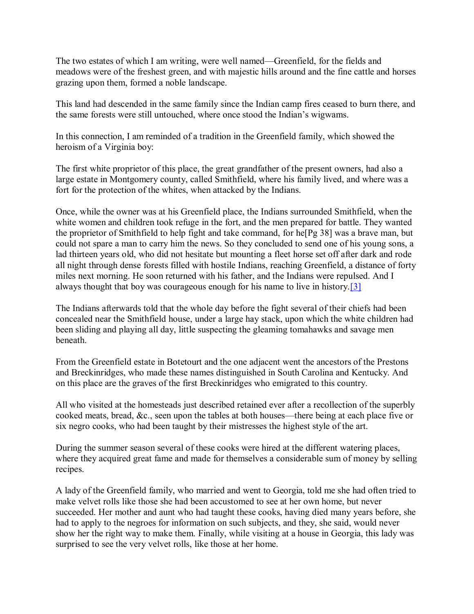The two estates of which I am writing, were well named—Greenfield, for the fields and meadows were of the freshest green, and with majestic hills around and the fine cattle and horses grazing upon them, formed a noble landscape.

This land had descended in the same family since the Indian camp fires ceased to burn there, and the same forests were still untouched, where once stood the Indian's wigwams.

In this connection, I am reminded of a tradition in the Greenfield family, which showed the heroism of a Virginia boy:

The first white proprietor of this place, the great grandfather of the present owners, had also a large estate in Montgomery county, called Smithfield, where his family lived, and where was a fort for the protection of the whites, when attacked by the Indians.

Once, while the owner was at his Greenfield place, the Indians surrounded Smithfield, when the white women and children took refuge in the fort, and the men prepared for battle. They wanted the proprietor of Smithfield to help fight and take command, for he[Pg 38] was a brave man, but could not spare a man to carry him the news. So they concluded to send one of his young sons, a lad thirteen years old, who did not hesitate but mounting a fleet horse set off after dark and rode all night through dense forests filled with hostile Indians, reaching Greenfield, a distance of forty miles next morning. He soon returned with his father, and the Indians were repulsed. And I always thought that boy was courageous enough for his name to live in history[.\[3\]](http://www.gutenberg.org/files/44626/44626-h/44626-h.htm#Footnote_3)

The Indians afterwards told that the whole day before the fight several of their chiefs had been concealed near the Smithfield house, under a large hay stack, upon which the white children had been sliding and playing all day, little suspecting the gleaming tomahawks and savage men beneath.

From the Greenfield estate in Botetourt and the one adjacent went the ancestors of the Prestons and Breckinridges, who made these names distinguished in South Carolina and Kentucky. And on this place are the graves of the first Breckinridges who emigrated to this country.

All who visited at the homesteads just described retained ever after a recollection of the superbly cooked meats, bread, &c., seen upon the tables at both houses—there being at each place five or six negro cooks, who had been taught by their mistresses the highest style of the art.

During the summer season several of these cooks were hired at the different watering places, where they acquired great fame and made for themselves a considerable sum of money by selling recipes.

A lady of the Greenfield family, who married and went to Georgia, told me she had often tried to make velvet rolls like those she had been accustomed to see at her own home, but never succeeded. Her mother and aunt who had taught these cooks, having died many years before, she had to apply to the negroes for information on such subjects, and they, she said, would never show her the right way to make them. Finally, while visiting at a house in Georgia, this lady was surprised to see the very velvet rolls, like those at her home.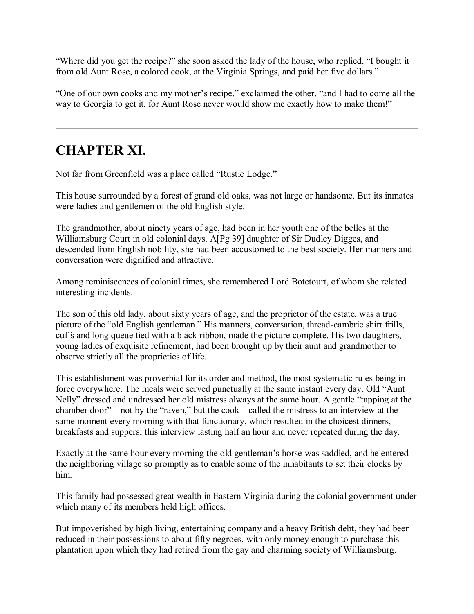"Where did you get the recipe?" she soon asked the lady of the house, who replied, "I bought it from old Aunt Rose, a colored cook, at the Virginia Springs, and paid her five dollars."

"One of our own cooks and my mother's recipe," exclaimed the other, "and I had to come all the way to Georgia to get it, for Aunt Rose never would show me exactly how to make them!"

# **CHAPTER XI.**

Not far from Greenfield was a place called "Rustic Lodge."

This house surrounded by a forest of grand old oaks, was not large or handsome. But its inmates were ladies and gentlemen of the old English style.

The grandmother, about ninety years of age, had been in her youth one of the belles at the Williamsburg Court in old colonial days. A[Pg 39] daughter of Sir Dudley Digges, and descended from English nobility, she had been accustomed to the best society. Her manners and conversation were dignified and attractive.

Among reminiscences of colonial times, she remembered Lord Botetourt, of whom she related interesting incidents.

The son of this old lady, about sixty years of age, and the proprietor of the estate, was a true picture of the "old English gentleman." His manners, conversation, thread-cambric shirt frills, cuffs and long queue tied with a black ribbon, made the picture complete. His two daughters, young ladies of exquisite refinement, had been brought up by their aunt and grandmother to observe strictly all the proprieties of life.

This establishment was proverbial for its order and method, the most systematic rules being in force everywhere. The meals were served punctually at the same instant every day. Old "Aunt Nelly" dressed and undressed her old mistress always at the same hour. A gentle "tapping at the chamber door"—not by the "raven," but the cook—called the mistress to an interview at the same moment every morning with that functionary, which resulted in the choicest dinners, breakfasts and suppers; this interview lasting half an hour and never repeated during the day.

Exactly at the same hour every morning the old gentleman's horse was saddled, and he entered the neighboring village so promptly as to enable some of the inhabitants to set their clocks by him.

This family had possessed great wealth in Eastern Virginia during the colonial government under which many of its members held high offices.

But impoverished by high living, entertaining company and a heavy British debt, they had been reduced in their possessions to about fifty negroes, with only money enough to purchase this plantation upon which they had retired from the gay and charming society of Williamsburg.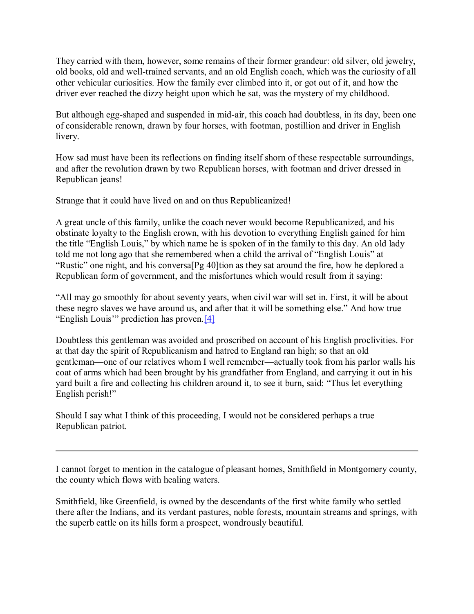They carried with them, however, some remains of their former grandeur: old silver, old jewelry, old books, old and well-trained servants, and an old English coach, which was the curiosity of all other vehicular curiosities. How the family ever climbed into it, or got out of it, and how the driver ever reached the dizzy height upon which he sat, was the mystery of my childhood.

But although egg-shaped and suspended in mid-air, this coach had doubtless, in its day, been one of considerable renown, drawn by four horses, with footman, postillion and driver in English livery.

How sad must have been its reflections on finding itself shorn of these respectable surroundings, and after the revolution drawn by two Republican horses, with footman and driver dressed in Republican jeans!

Strange that it could have lived on and on thus Republicanized!

A great uncle of this family, unlike the coach never would become Republicanized, and his obstinate loyalty to the English crown, with his devotion to everything English gained for him the title "English Louis," by which name he is spoken of in the family to this day. An old lady told me not long ago that she remembered when a child the arrival of "English Louis" at "Rustic" one night, and his conversa[Pg 40]tion as they sat around the fire, how he deplored a Republican form of government, and the misfortunes which would result from it saying:

"All may go smoothly for about seventy years, when civil war will set in. First, it will be about these negro slaves we have around us, and after that it will be something else." And how true "English Louis'" prediction has proven.[\[4\]](http://www.gutenberg.org/files/44626/44626-h/44626-h.htm#Footnote_4)

Doubtless this gentleman was avoided and proscribed on account of his English proclivities. For at that day the spirit of Republicanism and hatred to England ran high; so that an old gentleman—one of our relatives whom I well remember—actually took from his parlor walls his coat of arms which had been brought by his grandfather from England, and carrying it out in his yard built a fire and collecting his children around it, to see it burn, said: "Thus let everything English perish!"

Should I say what I think of this proceeding, I would not be considered perhaps a true Republican patriot.

I cannot forget to mention in the catalogue of pleasant homes, Smithfield in Montgomery county, the county which flows with healing waters.

Smithfield, like Greenfield, is owned by the descendants of the first white family who settled there after the Indians, and its verdant pastures, noble forests, mountain streams and springs, with the superb cattle on its hills form a prospect, wondrously beautiful.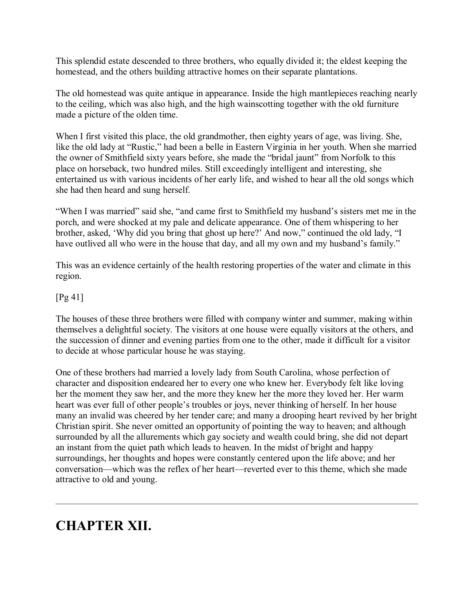This splendid estate descended to three brothers, who equally divided it; the eldest keeping the homestead, and the others building attractive homes on their separate plantations.

The old homestead was quite antique in appearance. Inside the high mantlepieces reaching nearly to the ceiling, which was also high, and the high wainscotting together with the old furniture made a picture of the olden time.

When I first visited this place, the old grandmother, then eighty years of age, was living. She, like the old lady at "Rustic," had been a belle in Eastern Virginia in her youth. When she married the owner of Smithfield sixty years before, she made the "bridal jaunt" from Norfolk to this place on horseback, two hundred miles. Still exceedingly intelligent and interesting, she entertained us with various incidents of her early life, and wished to hear all the old songs which she had then heard and sung herself.

"When I was married" said she, "and came first to Smithfield my husband's sisters met me in the porch, and were shocked at my pale and delicate appearance. One of them whispering to her brother, asked, 'Why did you bring that ghost up here?' And now," continued the old lady, "I have outlived all who were in the house that day, and all my own and my husband's family."

This was an evidence certainly of the health restoring properties of the water and climate in this region.

### [Pg 41]

The houses of these three brothers were filled with company winter and summer, making within themselves a delightful society. The visitors at one house were equally visitors at the others, and the succession of dinner and evening parties from one to the other, made it difficult for a visitor to decide at whose particular house he was staying.

One of these brothers had married a lovely lady from South Carolina, whose perfection of character and disposition endeared her to every one who knew her. Everybody felt like loving her the moment they saw her, and the more they knew her the more they loved her. Her warm heart was ever full of other people's troubles or joys, never thinking of herself. In her house many an invalid was cheered by her tender care; and many a drooping heart revived by her bright Christian spirit. She never omitted an opportunity of pointing the way to heaven; and although surrounded by all the allurements which gay society and wealth could bring, she did not depart an instant from the quiet path which leads to heaven. In the midst of bright and happy surroundings, her thoughts and hopes were constantly centered upon the life above; and her conversation—which was the reflex of her heart—reverted ever to this theme, which she made attractive to old and young.

## **CHAPTER XII.**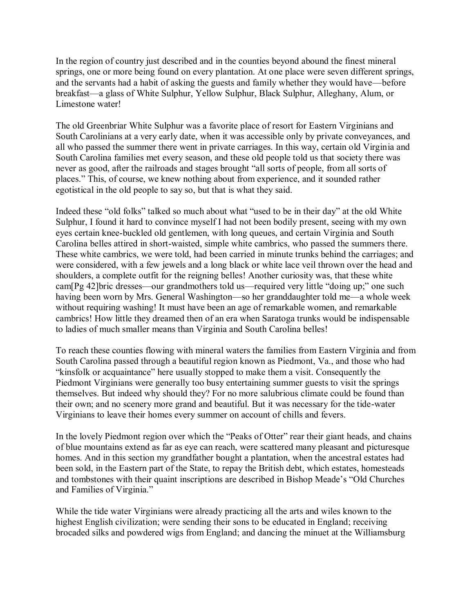In the region of country just described and in the counties beyond abound the finest mineral springs, one or more being found on every plantation. At one place were seven different springs, and the servants had a habit of asking the guests and family whether they would have—before breakfast—a glass of White Sulphur, Yellow Sulphur, Black Sulphur, Alleghany, Alum, or Limestone water!

The old Greenbriar White Sulphur was a favorite place of resort for Eastern Virginians and South Carolinians at a very early date, when it was accessible only by private conveyances, and all who passed the summer there went in private carriages. In this way, certain old Virginia and South Carolina families met every season, and these old people told us that society there was never as good, after the railroads and stages brought "all sorts of people, from all sorts of places." This, of course, we knew nothing about from experience, and it sounded rather egotistical in the old people to say so, but that is what they said.

Indeed these "old folks" talked so much about what "used to be in their day" at the old White Sulphur, I found it hard to convince myself I had not been bodily present, seeing with my own eyes certain knee-buckled old gentlemen, with long queues, and certain Virginia and South Carolina belles attired in short-waisted, simple white cambrics, who passed the summers there. These white cambrics, we were told, had been carried in minute trunks behind the carriages; and were considered, with a few jewels and a long black or white lace veil thrown over the head and shoulders, a complete outfit for the reigning belles! Another curiosity was, that these white cam[Pg 42]bric dresses—our grandmothers told us—required very little "doing up;" one such having been worn by Mrs. General Washington—so her granddaughter told me—a whole week without requiring washing! It must have been an age of remarkable women, and remarkable cambrics! How little they dreamed then of an era when Saratoga trunks would be indispensable to ladies of much smaller means than Virginia and South Carolina belles!

To reach these counties flowing with mineral waters the families from Eastern Virginia and from South Carolina passed through a beautiful region known as Piedmont, Va., and those who had "kinsfolk or acquaintance" here usually stopped to make them a visit. Consequently the Piedmont Virginians were generally too busy entertaining summer guests to visit the springs themselves. But indeed why should they? For no more salubrious climate could be found than their own; and no scenery more grand and beautiful. But it was necessary for the tide-water Virginians to leave their homes every summer on account of chills and fevers.

In the lovely Piedmont region over which the "Peaks of Otter" rear their giant heads, and chains of blue mountains extend as far as eye can reach, were scattered many pleasant and picturesque homes. And in this section my grandfather bought a plantation, when the ancestral estates had been sold, in the Eastern part of the State, to repay the British debt, which estates, homesteads and tombstones with their quaint inscriptions are described in Bishop Meade's "Old Churches and Families of Virginia."

While the tide water Virginians were already practicing all the arts and wiles known to the highest English civilization; were sending their sons to be educated in England; receiving brocaded silks and powdered wigs from England; and dancing the minuet at the Williamsburg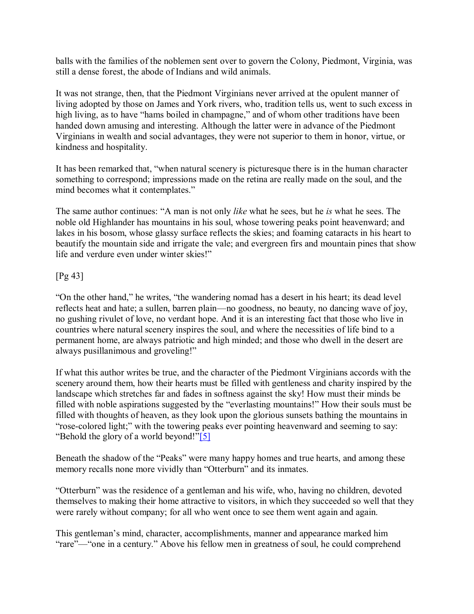balls with the families of the noblemen sent over to govern the Colony, Piedmont, Virginia, was still a dense forest, the abode of Indians and wild animals.

It was not strange, then, that the Piedmont Virginians never arrived at the opulent manner of living adopted by those on James and York rivers, who, tradition tells us, went to such excess in high living, as to have "hams boiled in champagne," and of whom other traditions have been handed down amusing and interesting. Although the latter were in advance of the Piedmont Virginians in wealth and social advantages, they were not superior to them in honor, virtue, or kindness and hospitality.

It has been remarked that, "when natural scenery is picturesque there is in the human character something to correspond; impressions made on the retina are really made on the soul, and the mind becomes what it contemplates."

The same author continues: "A man is not only *like* what he sees, but he *is* what he sees. The noble old Highlander has mountains in his soul, whose towering peaks point heavenward; and lakes in his bosom, whose glassy surface reflects the skies; and foaming cataracts in his heart to beautify the mountain side and irrigate the vale; and evergreen firs and mountain pines that show life and verdure even under winter skies!"

#### [Pg 43]

"On the other hand," he writes, "the wandering nomad has a desert in his heart; its dead level reflects heat and hate; a sullen, barren plain—no goodness, no beauty, no dancing wave of joy, no gushing rivulet of love, no verdant hope. And it is an interesting fact that those who live in countries where natural scenery inspires the soul, and where the necessities of life bind to a permanent home, are always patriotic and high minded; and those who dwell in the desert are always pusillanimous and groveling!"

If what this author writes be true, and the character of the Piedmont Virginians accords with the scenery around them, how their hearts must be filled with gentleness and charity inspired by the landscape which stretches far and fades in softness against the sky! How must their minds be filled with noble aspirations suggested by the "everlasting mountains!" How their souls must be filled with thoughts of heaven, as they look upon the glorious sunsets bathing the mountains in "rose-colored light;" with the towering peaks ever pointing heavenward and seeming to say: "Behold the glory of a world beyond!"[\[5\]](http://www.gutenberg.org/files/44626/44626-h/44626-h.htm#Footnote_5)

Beneath the shadow of the "Peaks" were many happy homes and true hearts, and among these memory recalls none more vividly than "Otterburn" and its inmates.

"Otterburn" was the residence of a gentleman and his wife, who, having no children, devoted themselves to making their home attractive to visitors, in which they succeeded so well that they were rarely without company; for all who went once to see them went again and again.

This gentleman's mind, character, accomplishments, manner and appearance marked him "rare"—"one in a century." Above his fellow men in greatness of soul, he could comprehend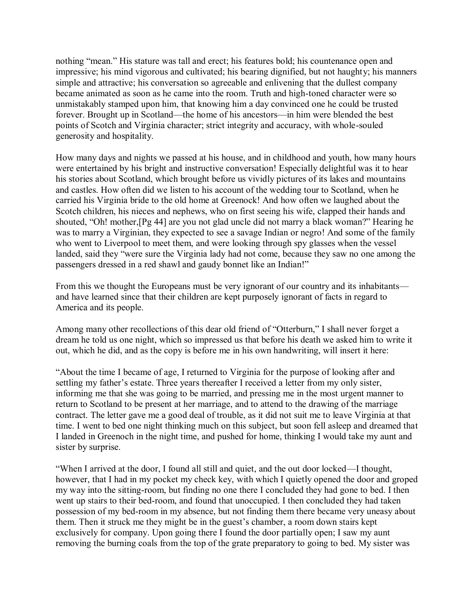nothing "mean." His stature was tall and erect; his features bold; his countenance open and impressive; his mind vigorous and cultivated; his bearing dignified, but not haughty; his manners simple and attractive; his conversation so agreeable and enlivening that the dullest company became animated as soon as he came into the room. Truth and high-toned character were so unmistakably stamped upon him, that knowing him a day convinced one he could be trusted forever. Brought up in Scotland—the home of his ancestors—in him were blended the best points of Scotch and Virginia character; strict integrity and accuracy, with whole-souled generosity and hospitality.

How many days and nights we passed at his house, and in childhood and youth, how many hours were entertained by his bright and instructive conversation! Especially delightful was it to hear his stories about Scotland, which brought before us vividly pictures of its lakes and mountains and castles. How often did we listen to his account of the wedding tour to Scotland, when he carried his Virginia bride to the old home at Greenock! And how often we laughed about the Scotch children, his nieces and nephews, who on first seeing his wife, clapped their hands and shouted, "Oh! mother,[Pg 44] are you not glad uncle did not marry a black woman?" Hearing he was to marry a Virginian, they expected to see a savage Indian or negro! And some of the family who went to Liverpool to meet them, and were looking through spy glasses when the vessel landed, said they "were sure the Virginia lady had not come, because they saw no one among the passengers dressed in a red shawl and gaudy bonnet like an Indian!"

From this we thought the Europeans must be very ignorant of our country and its inhabitants and have learned since that their children are kept purposely ignorant of facts in regard to America and its people.

Among many other recollections of this dear old friend of "Otterburn," I shall never forget a dream he told us one night, which so impressed us that before his death we asked him to write it out, which he did, and as the copy is before me in his own handwriting, will insert it here:

"About the time I became of age, I returned to Virginia for the purpose of looking after and settling my father's estate. Three years thereafter I received a letter from my only sister, informing me that she was going to be married, and pressing me in the most urgent manner to return to Scotland to be present at her marriage, and to attend to the drawing of the marriage contract. The letter gave me a good deal of trouble, as it did not suit me to leave Virginia at that time. I went to bed one night thinking much on this subject, but soon fell asleep and dreamed that I landed in Greenoch in the night time, and pushed for home, thinking I would take my aunt and sister by surprise.

"When I arrived at the door, I found all still and quiet, and the out door locked—I thought, however, that I had in my pocket my check key, with which I quietly opened the door and groped my way into the sitting-room, but finding no one there I concluded they had gone to bed. I then went up stairs to their bed-room, and found that unoccupied. I then concluded they had taken possession of my bed-room in my absence, but not finding them there became very uneasy about them. Then it struck me they might be in the guest's chamber, a room down stairs kept exclusively for company. Upon going there I found the door partially open; I saw my aunt removing the burning coals from the top of the grate preparatory to going to bed. My sister was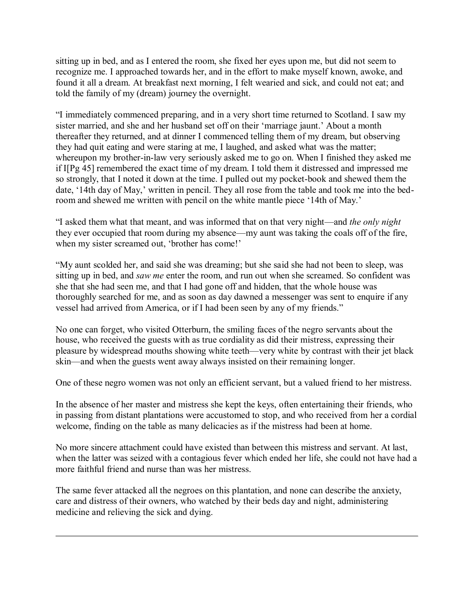sitting up in bed, and as I entered the room, she fixed her eyes upon me, but did not seem to recognize me. I approached towards her, and in the effort to make myself known, awoke, and found it all a dream. At breakfast next morning, I felt wearied and sick, and could not eat; and told the family of my (dream) journey the overnight.

"I immediately commenced preparing, and in a very short time returned to Scotland. I saw my sister married, and she and her husband set off on their 'marriage jaunt.' About a month thereafter they returned, and at dinner I commenced telling them of my dream, but observing they had quit eating and were staring at me, I laughed, and asked what was the matter; whereupon my brother-in-law very seriously asked me to go on. When I finished they asked me if I[Pg 45] remembered the exact time of my dream. I told them it distressed and impressed me so strongly, that I noted it down at the time. I pulled out my pocket-book and shewed them the date, '14th day of May,' written in pencil. They all rose from the table and took me into the bedroom and shewed me written with pencil on the white mantle piece '14th of May.'

"I asked them what that meant, and was informed that on that very night—and *the only night* they ever occupied that room during my absence—my aunt was taking the coals off of the fire, when my sister screamed out, 'brother has come!'

"My aunt scolded her, and said she was dreaming; but she said she had not been to sleep, was sitting up in bed, and *saw me* enter the room, and run out when she screamed. So confident was she that she had seen me, and that I had gone off and hidden, that the whole house was thoroughly searched for me, and as soon as day dawned a messenger was sent to enquire if any vessel had arrived from America, or if I had been seen by any of my friends."

No one can forget, who visited Otterburn, the smiling faces of the negro servants about the house, who received the guests with as true cordiality as did their mistress, expressing their pleasure by widespread mouths showing white teeth—very white by contrast with their jet black skin—and when the guests went away always insisted on their remaining longer.

One of these negro women was not only an efficient servant, but a valued friend to her mistress.

In the absence of her master and mistress she kept the keys, often entertaining their friends, who in passing from distant plantations were accustomed to stop, and who received from her a cordial welcome, finding on the table as many delicacies as if the mistress had been at home.

No more sincere attachment could have existed than between this mistress and servant. At last, when the latter was seized with a contagious fever which ended her life, she could not have had a more faithful friend and nurse than was her mistress.

The same fever attacked all the negroes on this plantation, and none can describe the anxiety, care and distress of their owners, who watched by their beds day and night, administering medicine and relieving the sick and dying.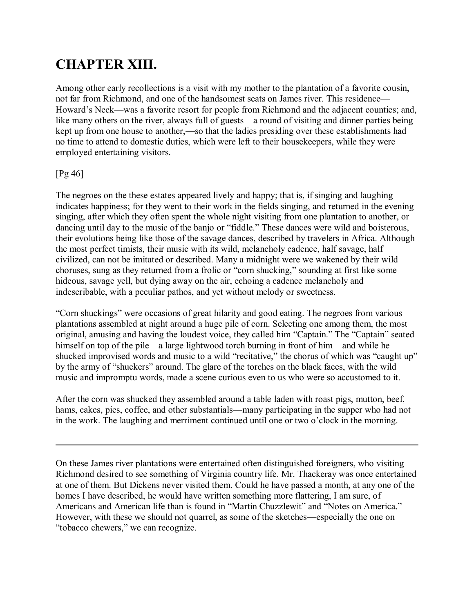# **CHAPTER XIII.**

Among other early recollections is a visit with my mother to the plantation of a favorite cousin, not far from Richmond, and one of the handsomest seats on James river. This residence— Howard's Neck—was a favorite resort for people from Richmond and the adjacent counties; and, like many others on the river, always full of guests—a round of visiting and dinner parties being kept up from one house to another,—so that the ladies presiding over these establishments had no time to attend to domestic duties, which were left to their housekeepers, while they were employed entertaining visitors.

#### [Pg 46]

The negroes on the these estates appeared lively and happy; that is, if singing and laughing indicates happiness; for they went to their work in the fields singing, and returned in the evening singing, after which they often spent the whole night visiting from one plantation to another, or dancing until day to the music of the banjo or "fiddle." These dances were wild and boisterous, their evolutions being like those of the savage dances, described by travelers in Africa. Although the most perfect timists, their music with its wild, melancholy cadence, half savage, half civilized, can not be imitated or described. Many a midnight were we wakened by their wild choruses, sung as they returned from a frolic or "corn shucking," sounding at first like some hideous, savage yell, but dying away on the air, echoing a cadence melancholy and indescribable, with a peculiar pathos, and yet without melody or sweetness.

"Corn shuckings" were occasions of great hilarity and good eating. The negroes from various plantations assembled at night around a huge pile of corn. Selecting one among them, the most original, amusing and having the loudest voice, they called him "Captain." The "Captain" seated himself on top of the pile—a large lightwood torch burning in front of him—and while he shucked improvised words and music to a wild "recitative," the chorus of which was "caught up" by the army of "shuckers" around. The glare of the torches on the black faces, with the wild music and impromptu words, made a scene curious even to us who were so accustomed to it.

After the corn was shucked they assembled around a table laden with roast pigs, mutton, beef, hams, cakes, pies, coffee, and other substantials—many participating in the supper who had not in the work. The laughing and merriment continued until one or two o'clock in the morning.

On these James river plantations were entertained often distinguished foreigners, who visiting Richmond desired to see something of Virginia country life. Mr. Thackeray was once entertained at one of them. But Dickens never visited them. Could he have passed a month, at any one of the homes I have described, he would have written something more flattering, I am sure, of Americans and American life than is found in "Martin Chuzzlewit" and "Notes on America." However, with these we should not quarrel, as some of the sketches—especially the one on "tobacco chewers," we can recognize.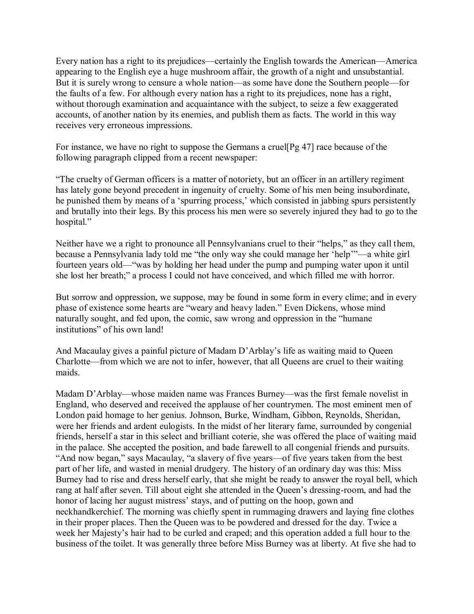Every nation has a right to its prejudices—certainly the English towards the American—America appearing to the English eye a huge mushroom affair, the growth of a night and unsubstantial. But it is surely wrong to censure a whole nation—as some have done the Southern people—for the faults of a few. For although every nation has a right to its prejudices, none has a right, without thorough examination and acquaintance with the subject, to seize a few exaggerated accounts, of another nation by its enemies, and publish them as facts. The world in this way receives very erroneous impressions.

For instance, we have no right to suppose the Germans a cruel[Pg 47] race because of the following paragraph clipped from a recent newspaper:

"The cruelty of German officers is a matter of notoriety, but an officer in an artillery regiment has lately gone beyond precedent in ingenuity of cruelty. Some of his men being insubordinate, he punished them by means of a 'spurring process,' which consisted in jabbing spurs persistently and brutally into their legs. By this process his men were so severely injured they had to go to the hospital."

Neither have we a right to pronounce all Pennsylvanians cruel to their "helps," as they call them, because a Pennsylvania lady told me "the only way she could manage her 'help'"—a white girl fourteen years old—"was by holding her head under the pump and pumping water upon it until she lost her breath;" a process I could not have conceived, and which filled me with horror.

But sorrow and oppression, we suppose, may be found in some form in every clime; and in every phase of existence some hearts are "weary and heavy laden." Even Dickens, whose mind naturally sought, and fed upon, the comic, saw wrong and oppression in the "humane institutions" of his own land!

And Macaulay gives a painful picture of Madam D'Arblay's life as waiting maid to Queen Charlotte—from which we are not to infer, however, that all Queens are cruel to their waiting maids.

Madam D'Arblay—whose maiden name was Frances Burney—was the first female novelist in England, who deserved and received the applause of her countrymen. The most eminent men of London paid homage to her genius. Johnson, Burke, Windham, Gibbon, Reynolds, Sheridan, were her friends and ardent eulogists. In the midst of her literary fame, surrounded by congenial friends, herself a star in this select and brilliant coterie, she was offered the place of waiting maid in the palace. She accepted the position, and bade farewell to all congenial friends and pursuits. "And now began," says Macaulay, "a slavery of five years—of five years taken from the best part of her life, and wasted in menial drudgery. The history of an ordinary day was this: Miss Burney had to rise and dress herself early, that she might be ready to answer the royal bell, which rang at half after seven. Till about eight she attended in the Queen's dressing-room, and had the honor of lacing her august mistress' stays, and of putting on the hoop, gown and neckhandkerchief. The morning was chiefly spent in rummaging drawers and laying fine clothes in their proper places. Then the Queen was to be powdered and dressed for the day. Twice a week her Majesty's hair had to be curled and craped; and this operation added a full hour to the business of the toilet. It was generally three before Miss Burney was at liberty. At five she had to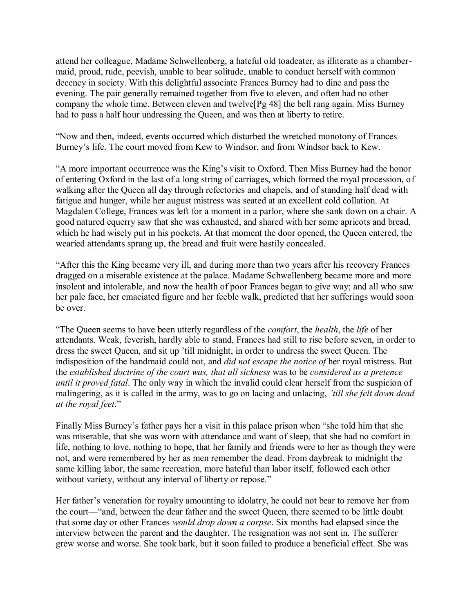attend her colleague, Madame Schwellenberg, a hateful old toadeater, as illiterate as a chambermaid, proud, rude, peevish, unable to bear solitude, unable to conduct herself with common decency in society. With this delightful associate Frances Burney had to dine and pass the evening. The pair generally remained together from five to eleven, and often had no other company the whole time. Between eleven and twelve[Pg 48] the bell rang again. Miss Burney had to pass a half hour undressing the Queen, and was then at liberty to retire.

"Now and then, indeed, events occurred which disturbed the wretched monotony of Frances Burney's life. The court moved from Kew to Windsor, and from Windsor back to Kew.

"A more important occurrence was the King's visit to Oxford. Then Miss Burney had the honor of entering Oxford in the last of a long string of carriages, which formed the royal procession, of walking after the Queen all day through refectories and chapels, and of standing half dead with fatigue and hunger, while her august mistress was seated at an excellent cold collation. At Magdalen College, Frances was left for a moment in a parlor, where she sank down on a chair. A good natured equerry saw that she was exhausted, and shared with her some apricots and bread, which he had wisely put in his pockets. At that moment the door opened, the Queen entered, the wearied attendants sprang up, the bread and fruit were hastily concealed.

"After this the King became very ill, and during more than two years after his recovery Frances dragged on a miserable existence at the palace. Madame Schwellenberg became more and more insolent and intolerable, and now the health of poor Frances began to give way; and all who saw her pale face, her emaciated figure and her feeble walk, predicted that her sufferings would soon be over.

"The Queen seems to have been utterly regardless of the *comfort*, the *health*, the *life* of her attendants. Weak, feverish, hardly able to stand, Frances had still to rise before seven, in order to dress the sweet Queen, and sit up 'till midnight, in order to undress the sweet Queen. The indisposition of the handmaid could not, and *did not escape the notice of* her royal mistress. But the *established doctrine of the court was, that all sickness* was to be *considered as a pretence until it proved fatal*. The only way in which the invalid could clear herself from the suspicion of malingering, as it is called in the army, was to go on lacing and unlacing, *'till she felt down dead at the royal feet*."

Finally Miss Burney's father pays her a visit in this palace prison when "she told him that she was miserable, that she was worn with attendance and want of sleep, that she had no comfort in life, nothing to love, nothing to hope, that her family and friends were to her as though they were not, and were remembered by her as men remember the dead. From daybreak to midnight the same killing labor, the same recreation, more hateful than labor itself, followed each other without variety, without any interval of liberty or repose."

Her father's veneration for royalty amounting to idolatry, he could not bear to remove her from the court—"and, between the dear father and the sweet Queen, there seemed to be little doubt that some day or other Frances *would drop down a corpse*. Six months had elapsed since the interview between the parent and the daughter. The resignation was not sent in. The sufferer grew worse and worse. She took bark, but it soon failed to produce a beneficial effect. She was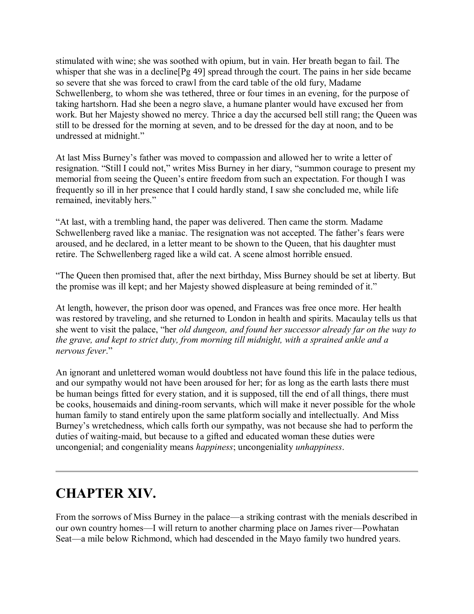stimulated with wine; she was soothed with opium, but in vain. Her breath began to fail. The whisper that she was in a decline [Pg 49] spread through the court. The pains in her side became so severe that she was forced to crawl from the card table of the old fury, Madame Schwellenberg, to whom she was tethered, three or four times in an evening, for the purpose of taking hartshorn. Had she been a negro slave, a humane planter would have excused her from work. But her Majesty showed no mercy. Thrice a day the accursed bell still rang; the Queen was still to be dressed for the morning at seven, and to be dressed for the day at noon, and to be undressed at midnight."

At last Miss Burney's father was moved to compassion and allowed her to write a letter of resignation. "Still I could not," writes Miss Burney in her diary, "summon courage to present my memorial from seeing the Queen's entire freedom from such an expectation. For though I was frequently so ill in her presence that I could hardly stand, I saw she concluded me, while life remained, inevitably hers."

"At last, with a trembling hand, the paper was delivered. Then came the storm. Madame Schwellenberg raved like a maniac. The resignation was not accepted. The father's fears were aroused, and he declared, in a letter meant to be shown to the Queen, that his daughter must retire. The Schwellenberg raged like a wild cat. A scene almost horrible ensued.

"The Queen then promised that, after the next birthday, Miss Burney should be set at liberty. But the promise was ill kept; and her Majesty showed displeasure at being reminded of it."

At length, however, the prison door was opened, and Frances was free once more. Her health was restored by traveling, and she returned to London in health and spirits. Macaulay tells us that she went to visit the palace, "her *old dungeon, and found her successor already far on the way to the grave, and kept to strict duty, from morning till midnight, with a sprained ankle and a nervous fever*."

An ignorant and unlettered woman would doubtless not have found this life in the palace tedious, and our sympathy would not have been aroused for her; for as long as the earth lasts there must be human beings fitted for every station, and it is supposed, till the end of all things, there must be cooks, housemaids and dining-room servants, which will make it never possible for the whole human family to stand entirely upon the same platform socially and intellectually. And Miss Burney's wretchedness, which calls forth our sympathy, was not because she had to perform the duties of waiting-maid, but because to a gifted and educated woman these duties were uncongenial; and congeniality means *happiness*; uncongeniality *unhappiness*.

## **CHAPTER XIV.**

From the sorrows of Miss Burney in the palace—a striking contrast with the menials described in our own country homes—I will return to another charming place on James river—Powhatan Seat—a mile below Richmond, which had descended in the Mayo family two hundred years.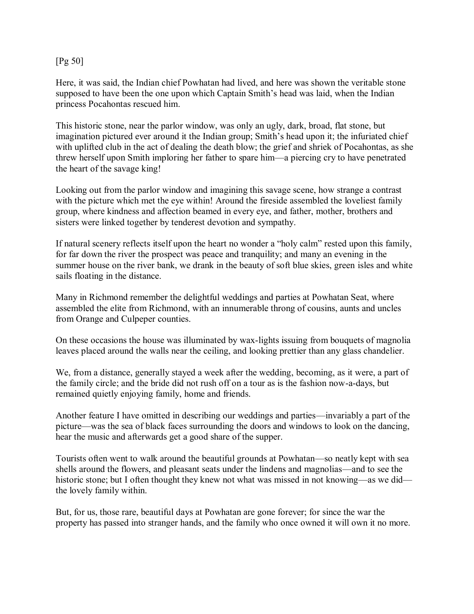#### [Pg 50]

Here, it was said, the Indian chief Powhatan had lived, and here was shown the veritable stone supposed to have been the one upon which Captain Smith's head was laid, when the Indian princess Pocahontas rescued him.

This historic stone, near the parlor window, was only an ugly, dark, broad, flat stone, but imagination pictured ever around it the Indian group; Smith's head upon it; the infuriated chief with uplifted club in the act of dealing the death blow; the grief and shriek of Pocahontas, as she threw herself upon Smith imploring her father to spare him—a piercing cry to have penetrated the heart of the savage king!

Looking out from the parlor window and imagining this savage scene, how strange a contrast with the picture which met the eye within! Around the fireside assembled the loveliest family group, where kindness and affection beamed in every eye, and father, mother, brothers and sisters were linked together by tenderest devotion and sympathy.

If natural scenery reflects itself upon the heart no wonder a "holy calm" rested upon this family, for far down the river the prospect was peace and tranquility; and many an evening in the summer house on the river bank, we drank in the beauty of soft blue skies, green isles and white sails floating in the distance.

Many in Richmond remember the delightful weddings and parties at Powhatan Seat, where assembled the elite from Richmond, with an innumerable throng of cousins, aunts and uncles from Orange and Culpeper counties.

On these occasions the house was illuminated by wax-lights issuing from bouquets of magnolia leaves placed around the walls near the ceiling, and looking prettier than any glass chandelier.

We, from a distance, generally stayed a week after the wedding, becoming, as it were, a part of the family circle; and the bride did not rush off on a tour as is the fashion now-a-days, but remained quietly enjoying family, home and friends.

Another feature I have omitted in describing our weddings and parties—invariably a part of the picture—was the sea of black faces surrounding the doors and windows to look on the dancing, hear the music and afterwards get a good share of the supper.

Tourists often went to walk around the beautiful grounds at Powhatan—so neatly kept with sea shells around the flowers, and pleasant seats under the lindens and magnolias—and to see the historic stone; but I often thought they knew not what was missed in not knowing—as we did the lovely family within.

But, for us, those rare, beautiful days at Powhatan are gone forever; for since the war the property has passed into stranger hands, and the family who once owned it will own it no more.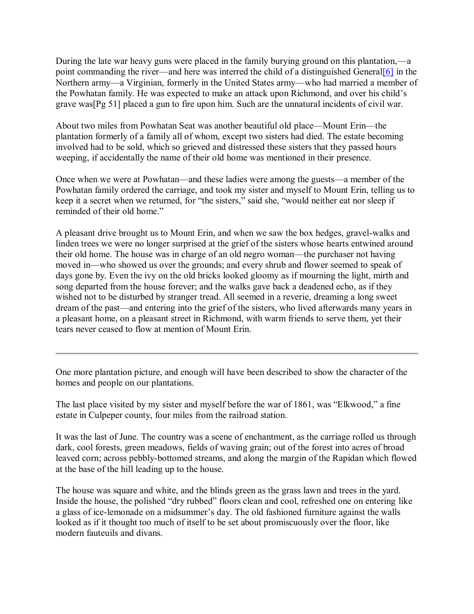During the late war heavy guns were placed in the family burying ground on this plantation,—a point commanding the river—and here was interred the child of a distinguished Genera[l\[6\]](http://www.gutenberg.org/files/44626/44626-h/44626-h.htm#Footnote_6) in the Northern army—a Virginian, formerly in the United States army—who had married a member of the Powhatan family. He was expected to make an attack upon Richmond, and over his child's grave was[Pg 51] placed a gun to fire upon him. Such are the unnatural incidents of civil war.

About two miles from Powhatan Seat was another beautiful old place—Mount Erin—the plantation formerly of a family all of whom, except two sisters had died. The estate becoming involved had to be sold, which so grieved and distressed these sisters that they passed hours weeping, if accidentally the name of their old home was mentioned in their presence.

Once when we were at Powhatan—and these ladies were among the guests—a member of the Powhatan family ordered the carriage, and took my sister and myself to Mount Erin, telling us to keep it a secret when we returned, for "the sisters," said she, "would neither eat nor sleep if reminded of their old home."

A pleasant drive brought us to Mount Erin, and when we saw the box hedges, gravel-walks and linden trees we were no longer surprised at the grief of the sisters whose hearts entwined around their old home. The house was in charge of an old negro woman—the purchaser not having moved in—who showed us over the grounds; and every shrub and flower seemed to speak of days gone by. Even the ivy on the old bricks looked gloomy as if mourning the light, mirth and song departed from the house forever; and the walks gave back a deadened echo, as if they wished not to be disturbed by stranger tread. All seemed in a reverie, dreaming a long sweet dream of the past—and entering into the grief of the sisters, who lived afterwards many years in a pleasant home, on a pleasant street in Richmond, with warm friends to serve them, yet their tears never ceased to flow at mention of Mount Erin.

One more plantation picture, and enough will have been described to show the character of the homes and people on our plantations.

The last place visited by my sister and myself before the war of 1861, was "Elkwood," a fine estate in Culpeper county, four miles from the railroad station.

It was the last of June. The country was a scene of enchantment, as the carriage rolled us through dark, cool forests, green meadows, fields of waving grain; out of the forest into acres of broad leaved corn; across pebbly-bottomed streams, and along the margin of the Rapidan which flowed at the base of the hill leading up to the house.

The house was square and white, and the blinds green as the grass lawn and trees in the yard. Inside the house, the polished "dry rubbed" floors clean and cool, refreshed one on entering like a glass of ice-lemonade on a midsummer's day. The old fashioned furniture against the walls looked as if it thought too much of itself to be set about promiscuously over the floor, like modern fauteuils and divans.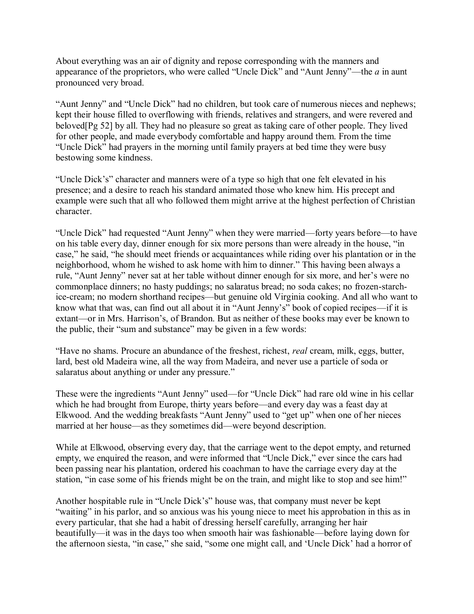About everything was an air of dignity and repose corresponding with the manners and appearance of the proprietors, who were called "Uncle Dick" and "Aunt Jenny"—the *a* in aunt pronounced very broad.

"Aunt Jenny" and "Uncle Dick" had no children, but took care of numerous nieces and nephews; kept their house filled to overflowing with friends, relatives and strangers, and were revered and beloved[Pg 52] by all. They had no pleasure so great as taking care of other people. They lived for other people, and made everybody comfortable and happy around them. From the time "Uncle Dick" had prayers in the morning until family prayers at bed time they were busy bestowing some kindness.

"Uncle Dick's" character and manners were of a type so high that one felt elevated in his presence; and a desire to reach his standard animated those who knew him. His precept and example were such that all who followed them might arrive at the highest perfection of Christian character.

"Uncle Dick" had requested "Aunt Jenny" when they were married—forty years before—to have on his table every day, dinner enough for six more persons than were already in the house, "in case," he said, "he should meet friends or acquaintances while riding over his plantation or in the neighborhood, whom he wished to ask home with him to dinner." This having been always a rule, "Aunt Jenny" never sat at her table without dinner enough for six more, and her's were no commonplace dinners; no hasty puddings; no salaratus bread; no soda cakes; no frozen-starchice-cream; no modern shorthand recipes—but genuine old Virginia cooking. And all who want to know what that was, can find out all about it in "Aunt Jenny's" book of copied recipes—if it is extant—or in Mrs. Harrison's, of Brandon. But as neither of these books may ever be known to the public, their "sum and substance" may be given in a few words:

"Have no shams. Procure an abundance of the freshest, richest, *real* cream, milk, eggs, butter, lard, best old Madeira wine, all the way from Madeira, and never use a particle of soda or salaratus about anything or under any pressure."

These were the ingredients "Aunt Jenny" used—for "Uncle Dick" had rare old wine in his cellar which he had brought from Europe, thirty years before—and every day was a feast day at Elkwood. And the wedding breakfasts "Aunt Jenny" used to "get up" when one of her nieces married at her house—as they sometimes did—were beyond description.

While at Elkwood, observing every day, that the carriage went to the depot empty, and returned empty, we enquired the reason, and were informed that "Uncle Dick," ever since the cars had been passing near his plantation, ordered his coachman to have the carriage every day at the station, "in case some of his friends might be on the train, and might like to stop and see him!"

Another hospitable rule in "Uncle Dick's" house was, that company must never be kept "waiting" in his parlor, and so anxious was his young niece to meet his approbation in this as in every particular, that she had a habit of dressing herself carefully, arranging her hair beautifully—it was in the days too when smooth hair was fashionable—before laying down for the afternoon siesta, "in case," she said, "some one might call, and 'Uncle Dick' had a horror of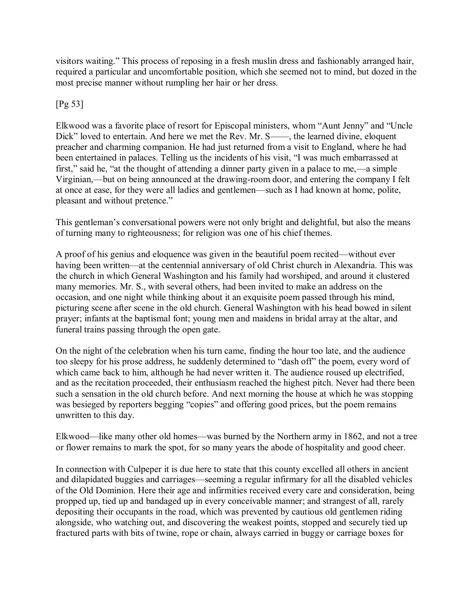visitors waiting." This process of reposing in a fresh muslin dress and fashionably arranged hair, required a particular and uncomfortable position, which she seemed not to mind, but dozed in the most precise manner without rumpling her hair or her dress.

### [Pg 53]

Elkwood was a favorite place of resort for Episcopal ministers, whom "Aunt Jenny" and "Uncle Dick" loved to entertain. And here we met the Rev. Mr. S——, the learned divine, eloquent preacher and charming companion. He had just returned from a visit to England, where he had been entertained in palaces. Telling us the incidents of his visit, "I was much embarrassed at first," said he, "at the thought of attending a dinner party given in a palace to me,—a simple Virginian,—but on being announced at the drawing-room door, and entering the company I felt at once at ease, for they were all ladies and gentlemen—such as I had known at home, polite, pleasant and without pretence."

This gentleman's conversational powers were not only bright and delightful, but also the means of turning many to righteousness; for religion was one of his chief themes.

A proof of his genius and eloquence was given in the beautiful poem recited—without ever having been written—at the centennial anniversary of old Christ church in Alexandria. This was the church in which General Washington and his family had worshiped, and around it clustered many memories. Mr. S., with several others, had been invited to make an address on the occasion, and one night while thinking about it an exquisite poem passed through his mind, picturing scene after scene in the old church. General Washington with his head bowed in silent prayer; infants at the baptismal font; young men and maidens in bridal array at the altar, and funeral trains passing through the open gate.

On the night of the celebration when his turn came, finding the hour too late, and the audience too sleepy for his prose address, he suddenly determined to "dash off" the poem, every word of which came back to him, although he had never written it. The audience roused up electrified, and as the recitation proceeded, their enthusiasm reached the highest pitch. Never had there been such a sensation in the old church before. And next morning the house at which he was stopping was besieged by reporters begging "copies" and offering good prices, but the poem remains unwritten to this day.

Elkwood—like many other old homes—was burned by the Northern army in 1862, and not a tree or flower remains to mark the spot, for so many years the abode of hospitality and good cheer.

In connection with Culpeper it is due here to state that this county excelled all others in ancient and dilapidated buggies and carriages—seeming a regular infirmary for all the disabled vehicles of the Old Dominion. Here their age and infirmities received every care and consideration, being propped up, tied up and bandaged up in every conceivable manner; and strangest of all, rarely depositing their occupants in the road, which was prevented by cautious old gentlemen riding alongside, who watching out, and discovering the weakest points, stopped and securely tied up fractured parts with bits of twine, rope or chain, always carried in buggy or carriage boxes for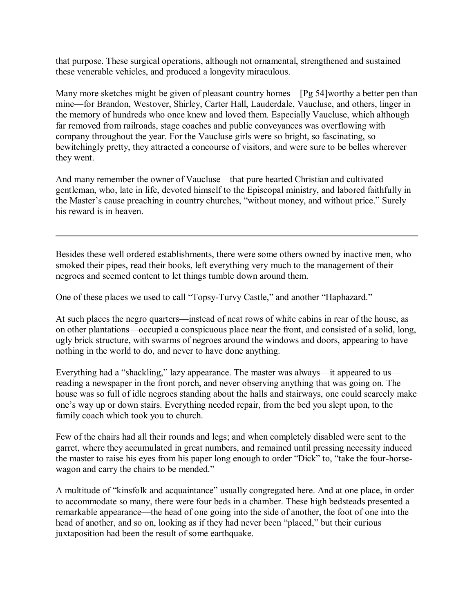that purpose. These surgical operations, although not ornamental, strengthened and sustained these venerable vehicles, and produced a longevity miraculous.

Many more sketches might be given of pleasant country homes—[Pg 54]worthy a better pen than mine—for Brandon, Westover, Shirley, Carter Hall, Lauderdale, Vaucluse, and others, linger in the memory of hundreds who once knew and loved them. Especially Vaucluse, which although far removed from railroads, stage coaches and public conveyances was overflowing with company throughout the year. For the Vaucluse girls were so bright, so fascinating, so bewitchingly pretty, they attracted a concourse of visitors, and were sure to be belles wherever they went.

And many remember the owner of Vaucluse—that pure hearted Christian and cultivated gentleman, who, late in life, devoted himself to the Episcopal ministry, and labored faithfully in the Master's cause preaching in country churches, "without money, and without price." Surely his reward is in heaven.

Besides these well ordered establishments, there were some others owned by inactive men, who smoked their pipes, read their books, left everything very much to the management of their negroes and seemed content to let things tumble down around them.

One of these places we used to call "Topsy-Turvy Castle," and another "Haphazard."

At such places the negro quarters—instead of neat rows of white cabins in rear of the house, as on other plantations—occupied a conspicuous place near the front, and consisted of a solid, long, ugly brick structure, with swarms of negroes around the windows and doors, appearing to have nothing in the world to do, and never to have done anything.

Everything had a "shackling," lazy appearance. The master was always—it appeared to us reading a newspaper in the front porch, and never observing anything that was going on. The house was so full of idle negroes standing about the halls and stairways, one could scarcely make one's way up or down stairs. Everything needed repair, from the bed you slept upon, to the family coach which took you to church.

Few of the chairs had all their rounds and legs; and when completely disabled were sent to the garret, where they accumulated in great numbers, and remained until pressing necessity induced the master to raise his eyes from his paper long enough to order "Dick" to, "take the four-horsewagon and carry the chairs to be mended."

A multitude of "kinsfolk and acquaintance" usually congregated here. And at one place, in order to accommodate so many, there were four beds in a chamber. These high bedsteads presented a remarkable appearance—the head of one going into the side of another, the foot of one into the head of another, and so on, looking as if they had never been "placed," but their curious juxtaposition had been the result of some earthquake.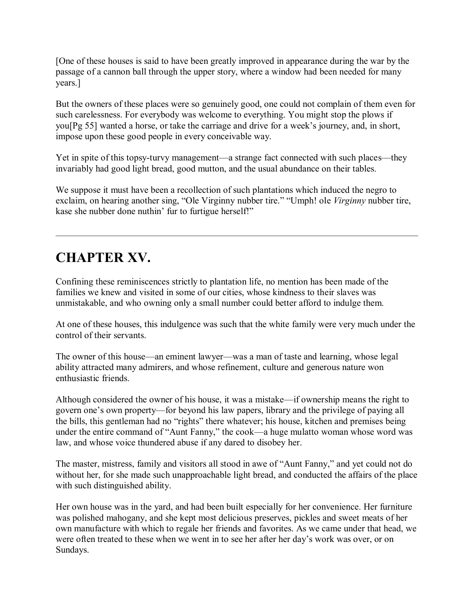[One of these houses is said to have been greatly improved in appearance during the war by the passage of a cannon ball through the upper story, where a window had been needed for many years.]

But the owners of these places were so genuinely good, one could not complain of them even for such carelessness. For everybody was welcome to everything. You might stop the plows if you[Pg 55] wanted a horse, or take the carriage and drive for a week's journey, and, in short, impose upon these good people in every conceivable way.

Yet in spite of this topsy-turvy management—a strange fact connected with such places—they invariably had good light bread, good mutton, and the usual abundance on their tables.

We suppose it must have been a recollection of such plantations which induced the negro to exclaim, on hearing another sing, "Ole Virginny nubber tire." "Umph! ole *Virginny* nubber tire, kase she nubber done nuthin' fur to furtigue herself!"

# **CHAPTER XV.**

Confining these reminiscences strictly to plantation life, no mention has been made of the families we knew and visited in some of our cities, whose kindness to their slaves was unmistakable, and who owning only a small number could better afford to indulge them.

At one of these houses, this indulgence was such that the white family were very much under the control of their servants.

The owner of this house—an eminent lawyer—was a man of taste and learning, whose legal ability attracted many admirers, and whose refinement, culture and generous nature won enthusiastic friends.

Although considered the owner of his house, it was a mistake—if ownership means the right to govern one's own property—for beyond his law papers, library and the privilege of paying all the bills, this gentleman had no "rights" there whatever; his house, kitchen and premises being under the entire command of "Aunt Fanny," the cook—a huge mulatto woman whose word was law, and whose voice thundered abuse if any dared to disobey her.

The master, mistress, family and visitors all stood in awe of "Aunt Fanny," and yet could not do without her, for she made such unapproachable light bread, and conducted the affairs of the place with such distinguished ability.

Her own house was in the yard, and had been built especially for her convenience. Her furniture was polished mahogany, and she kept most delicious preserves, pickles and sweet meats of her own manufacture with which to regale her friends and favorites. As we came under that head, we were often treated to these when we went in to see her after her day's work was over, or on Sundays.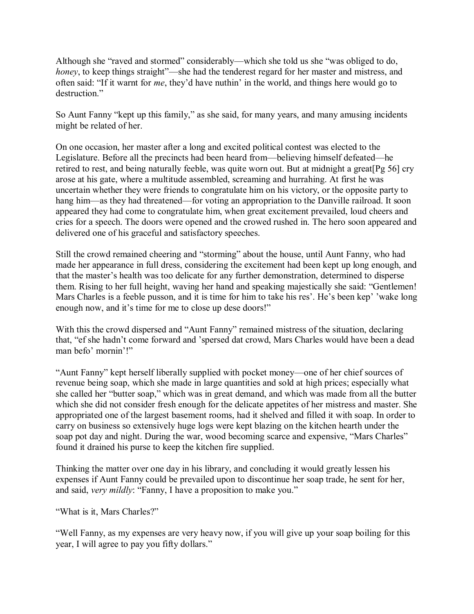Although she "raved and stormed" considerably—which she told us she "was obliged to do, *honey*, to keep things straight"—she had the tenderest regard for her master and mistress, and often said: "If it warnt for *me*, they'd have nuthin' in the world, and things here would go to destruction."

So Aunt Fanny "kept up this family," as she said, for many years, and many amusing incidents might be related of her.

On one occasion, her master after a long and excited political contest was elected to the Legislature. Before all the precincts had been heard from—believing himself defeated—he retired to rest, and being naturally feeble, was quite worn out. But at midnight a great[Pg 56] cry arose at his gate, where a multitude assembled, screaming and hurrahing. At first he was uncertain whether they were friends to congratulate him on his victory, or the opposite party to hang him—as they had threatened—for voting an appropriation to the Danville railroad. It soon appeared they had come to congratulate him, when great excitement prevailed, loud cheers and cries for a speech. The doors were opened and the crowed rushed in. The hero soon appeared and delivered one of his graceful and satisfactory speeches.

Still the crowd remained cheering and "storming" about the house, until Aunt Fanny, who had made her appearance in full dress, considering the excitement had been kept up long enough, and that the master's health was too delicate for any further demonstration, determined to disperse them. Rising to her full height, waving her hand and speaking majestically she said: "Gentlemen! Mars Charles is a feeble pusson, and it is time for him to take his res'. He's been kep' 'wake long enough now, and it's time for me to close up dese doors!"

With this the crowd dispersed and "Aunt Fanny" remained mistress of the situation, declaring that, "ef she hadn't come forward and 'spersed dat crowd, Mars Charles would have been a dead man befo' mornin'!"

"Aunt Fanny" kept herself liberally supplied with pocket money—one of her chief sources of revenue being soap, which she made in large quantities and sold at high prices; especially what she called her "butter soap," which was in great demand, and which was made from all the butter which she did not consider fresh enough for the delicate appetites of her mistress and master. She appropriated one of the largest basement rooms, had it shelved and filled it with soap. In order to carry on business so extensively huge logs were kept blazing on the kitchen hearth under the soap pot day and night. During the war, wood becoming scarce and expensive, "Mars Charles" found it drained his purse to keep the kitchen fire supplied.

Thinking the matter over one day in his library, and concluding it would greatly lessen his expenses if Aunt Fanny could be prevailed upon to discontinue her soap trade, he sent for her, and said, *very mildly*: "Fanny, I have a proposition to make you."

"What is it, Mars Charles?"

"Well Fanny, as my expenses are very heavy now, if you will give up your soap boiling for this year, I will agree to pay you fifty dollars."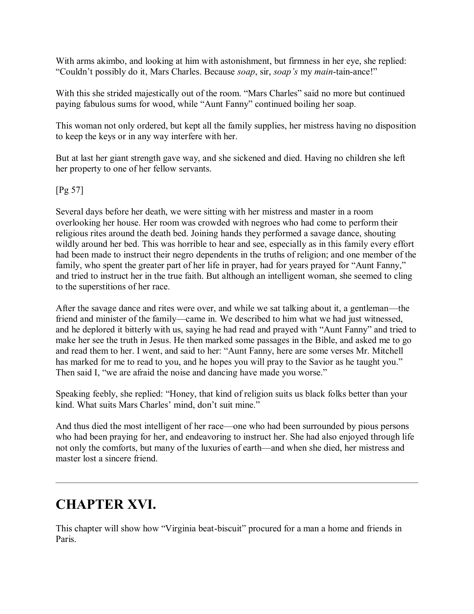With arms akimbo, and looking at him with astonishment, but firmness in her eye, she replied: "Couldn't possibly do it, Mars Charles. Because *soap*, sir, *soap's* my *main*-tain-ance!"

With this she strided majestically out of the room. "Mars Charles" said no more but continued paying fabulous sums for wood, while "Aunt Fanny" continued boiling her soap.

This woman not only ordered, but kept all the family supplies, her mistress having no disposition to keep the keys or in any way interfere with her.

But at last her giant strength gave way, and she sickened and died. Having no children she left her property to one of her fellow servants.

[Pg 57]

Several days before her death, we were sitting with her mistress and master in a room overlooking her house. Her room was crowded with negroes who had come to perform their religious rites around the death bed. Joining hands they performed a savage dance, shouting wildly around her bed. This was horrible to hear and see, especially as in this family every effort had been made to instruct their negro dependents in the truths of religion; and one member of the family, who spent the greater part of her life in prayer, had for years prayed for "Aunt Fanny," and tried to instruct her in the true faith. But although an intelligent woman, she seemed to cling to the superstitions of her race.

After the savage dance and rites were over, and while we sat talking about it, a gentleman—the friend and minister of the family—came in. We described to him what we had just witnessed, and he deplored it bitterly with us, saying he had read and prayed with "Aunt Fanny" and tried to make her see the truth in Jesus. He then marked some passages in the Bible, and asked me to go and read them to her. I went, and said to her: "Aunt Fanny, here are some verses Mr. Mitchell has marked for me to read to you, and he hopes you will pray to the Savior as he taught you." Then said I, "we are afraid the noise and dancing have made you worse."

Speaking feebly, she replied: "Honey, that kind of religion suits us black folks better than your kind. What suits Mars Charles' mind, don't suit mine."

And thus died the most intelligent of her race—one who had been surrounded by pious persons who had been praying for her, and endeavoring to instruct her. She had also enjoyed through life not only the comforts, but many of the luxuries of earth—and when she died, her mistress and master lost a sincere friend.

# **CHAPTER XVI.**

This chapter will show how "Virginia beat-biscuit" procured for a man a home and friends in **Paris**.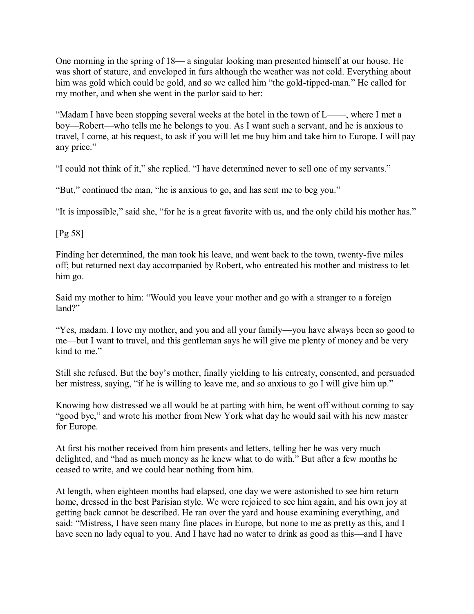One morning in the spring of 18— a singular looking man presented himself at our house. He was short of stature, and enveloped in furs although the weather was not cold. Everything about him was gold which could be gold, and so we called him "the gold-tipped-man." He called for my mother, and when she went in the parlor said to her:

"Madam I have been stopping several weeks at the hotel in the town of L——, where I met a boy—Robert—who tells me he belongs to you. As I want such a servant, and he is anxious to travel, I come, at his request, to ask if you will let me buy him and take him to Europe. I will pay any price."

"I could not think of it," she replied. "I have determined never to sell one of my servants."

"But," continued the man, "he is anxious to go, and has sent me to beg you."

"It is impossible," said she, "for he is a great favorite with us, and the only child his mother has."

[Pg 58]

Finding her determined, the man took his leave, and went back to the town, twenty-five miles off; but returned next day accompanied by Robert, who entreated his mother and mistress to let him go.

Said my mother to him: "Would you leave your mother and go with a stranger to a foreign land?"

"Yes, madam. I love my mother, and you and all your family—you have always been so good to me—but I want to travel, and this gentleman says he will give me plenty of money and be very kind to me"

Still she refused. But the boy's mother, finally yielding to his entreaty, consented, and persuaded her mistress, saying, "if he is willing to leave me, and so anxious to go I will give him up."

Knowing how distressed we all would be at parting with him, he went off without coming to say "good bye," and wrote his mother from New York what day he would sail with his new master for Europe.

At first his mother received from him presents and letters, telling her he was very much delighted, and "had as much money as he knew what to do with." But after a few months he ceased to write, and we could hear nothing from him.

At length, when eighteen months had elapsed, one day we were astonished to see him return home, dressed in the best Parisian style. We were rejoiced to see him again, and his own joy at getting back cannot be described. He ran over the yard and house examining everything, and said: "Mistress, I have seen many fine places in Europe, but none to me as pretty as this, and I have seen no lady equal to you. And I have had no water to drink as good as this—and I have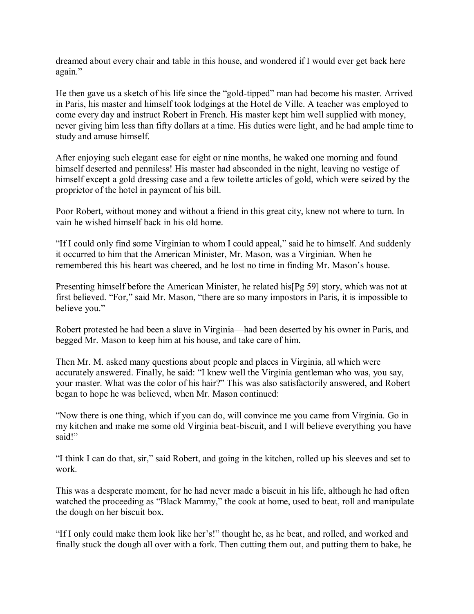dreamed about every chair and table in this house, and wondered if I would ever get back here again."

He then gave us a sketch of his life since the "gold-tipped" man had become his master. Arrived in Paris, his master and himself took lodgings at the Hotel de Ville. A teacher was employed to come every day and instruct Robert in French. His master kept him well supplied with money, never giving him less than fifty dollars at a time. His duties were light, and he had ample time to study and amuse himself.

After enjoying such elegant ease for eight or nine months, he waked one morning and found himself deserted and penniless! His master had absconded in the night, leaving no vestige of himself except a gold dressing case and a few toilette articles of gold, which were seized by the proprietor of the hotel in payment of his bill.

Poor Robert, without money and without a friend in this great city, knew not where to turn. In vain he wished himself back in his old home.

"If I could only find some Virginian to whom I could appeal," said he to himself. And suddenly it occurred to him that the American Minister, Mr. Mason, was a Virginian. When he remembered this his heart was cheered, and he lost no time in finding Mr. Mason's house.

Presenting himself before the American Minister, he related his[Pg 59] story, which was not at first believed. "For," said Mr. Mason, "there are so many impostors in Paris, it is impossible to believe you."

Robert protested he had been a slave in Virginia—had been deserted by his owner in Paris, and begged Mr. Mason to keep him at his house, and take care of him.

Then Mr. M. asked many questions about people and places in Virginia, all which were accurately answered. Finally, he said: "I knew well the Virginia gentleman who was, you say, your master. What was the color of his hair?" This was also satisfactorily answered, and Robert began to hope he was believed, when Mr. Mason continued:

"Now there is one thing, which if you can do, will convince me you came from Virginia. Go in my kitchen and make me some old Virginia beat-biscuit, and I will believe everything you have said!"

"I think I can do that, sir," said Robert, and going in the kitchen, rolled up his sleeves and set to work.

This was a desperate moment, for he had never made a biscuit in his life, although he had often watched the proceeding as "Black Mammy," the cook at home, used to beat, roll and manipulate the dough on her biscuit box.

"If I only could make them look like her's!" thought he, as he beat, and rolled, and worked and finally stuck the dough all over with a fork. Then cutting them out, and putting them to bake, he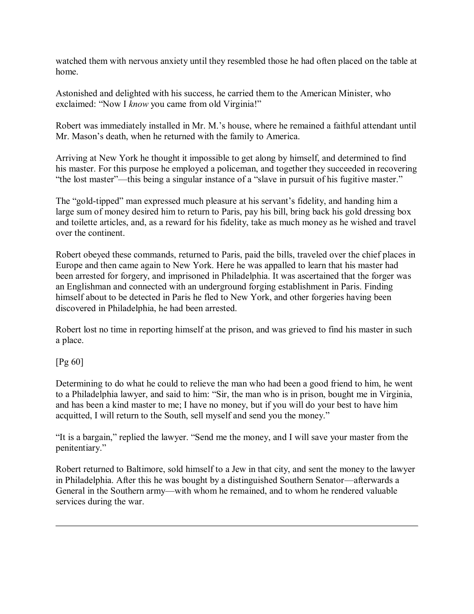watched them with nervous anxiety until they resembled those he had often placed on the table at home.

Astonished and delighted with his success, he carried them to the American Minister, who exclaimed: "Now I *know* you came from old Virginia!"

Robert was immediately installed in Mr. M.'s house, where he remained a faithful attendant until Mr. Mason's death, when he returned with the family to America.

Arriving at New York he thought it impossible to get along by himself, and determined to find his master. For this purpose he employed a policeman, and together they succeeded in recovering "the lost master"—this being a singular instance of a "slave in pursuit of his fugitive master."

The "gold-tipped" man expressed much pleasure at his servant's fidelity, and handing him a large sum of money desired him to return to Paris, pay his bill, bring back his gold dressing box and toilette articles, and, as a reward for his fidelity, take as much money as he wished and travel over the continent.

Robert obeyed these commands, returned to Paris, paid the bills, traveled over the chief places in Europe and then came again to New York. Here he was appalled to learn that his master had been arrested for forgery, and imprisoned in Philadelphia. It was ascertained that the forger was an Englishman and connected with an underground forging establishment in Paris. Finding himself about to be detected in Paris he fled to New York, and other forgeries having been discovered in Philadelphia, he had been arrested.

Robert lost no time in reporting himself at the prison, and was grieved to find his master in such a place.

#### [Pg 60]

Determining to do what he could to relieve the man who had been a good friend to him, he went to a Philadelphia lawyer, and said to him: "Sir, the man who is in prison, bought me in Virginia, and has been a kind master to me; I have no money, but if you will do your best to have him acquitted, I will return to the South, sell myself and send you the money."

"It is a bargain," replied the lawyer. "Send me the money, and I will save your master from the penitentiary."

Robert returned to Baltimore, sold himself to a Jew in that city, and sent the money to the lawyer in Philadelphia. After this he was bought by a distinguished Southern Senator—afterwards a General in the Southern army—with whom he remained, and to whom he rendered valuable services during the war.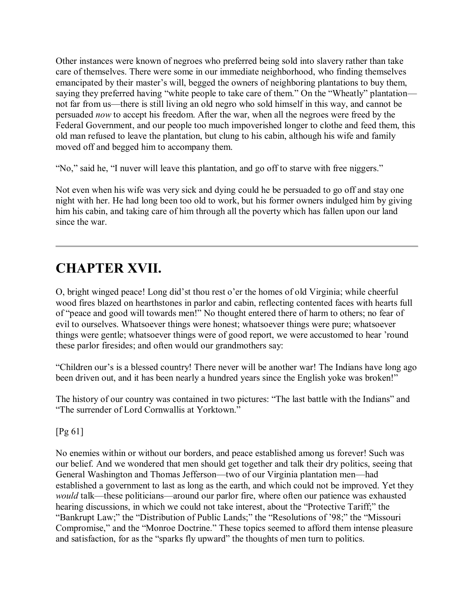Other instances were known of negroes who preferred being sold into slavery rather than take care of themselves. There were some in our immediate neighborhood, who finding themselves emancipated by their master's will, begged the owners of neighboring plantations to buy them, saying they preferred having "white people to take care of them." On the "Wheatly" plantation not far from us—there is still living an old negro who sold himself in this way, and cannot be persuaded *now* to accept his freedom. After the war, when all the negroes were freed by the Federal Government, and our people too much impoverished longer to clothe and feed them, this old man refused to leave the plantation, but clung to his cabin, although his wife and family moved off and begged him to accompany them.

"No," said he, "I nuver will leave this plantation, and go off to starve with free niggers."

Not even when his wife was very sick and dying could he be persuaded to go off and stay one night with her. He had long been too old to work, but his former owners indulged him by giving him his cabin, and taking care of him through all the poverty which has fallen upon our land since the war.

## **CHAPTER XVII.**

O, bright winged peace! Long did'st thou rest o'er the homes of old Virginia; while cheerful wood fires blazed on hearthstones in parlor and cabin, reflecting contented faces with hearts full of "peace and good will towards men!" No thought entered there of harm to others; no fear of evil to ourselves. Whatsoever things were honest; whatsoever things were pure; whatsoever things were gentle; whatsoever things were of good report, we were accustomed to hear 'round these parlor firesides; and often would our grandmothers say:

"Children our's is a blessed country! There never will be another war! The Indians have long ago been driven out, and it has been nearly a hundred years since the English yoke was broken!"

The history of our country was contained in two pictures: "The last battle with the Indians" and "The surrender of Lord Cornwallis at Yorktown."

[Pg 61]

No enemies within or without our borders, and peace established among us forever! Such was our belief. And we wondered that men should get together and talk their dry politics, seeing that General Washington and Thomas Jefferson—two of our Virginia plantation men—had established a government to last as long as the earth, and which could not be improved. Yet they *would* talk—these politicians—around our parlor fire, where often our patience was exhausted hearing discussions, in which we could not take interest, about the "Protective Tariff;" the "Bankrupt Law;" the "Distribution of Public Lands;" the "Resolutions of '98;" the "Missouri Compromise," and the "Monroe Doctrine." These topics seemed to afford them intense pleasure and satisfaction, for as the "sparks fly upward" the thoughts of men turn to politics.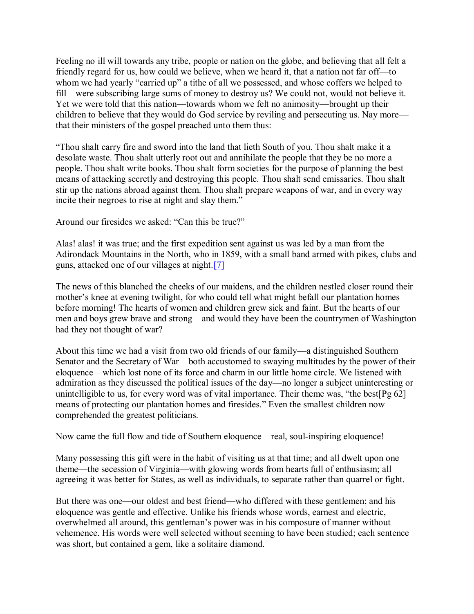Feeling no ill will towards any tribe, people or nation on the globe, and believing that all felt a friendly regard for us, how could we believe, when we heard it, that a nation not far off—to whom we had yearly "carried up" a tithe of all we possessed, and whose coffers we helped to fill—were subscribing large sums of money to destroy us? We could not, would not believe it. Yet we were told that this nation—towards whom we felt no animosity—brought up their children to believe that they would do God service by reviling and persecuting us. Nay more that their ministers of the gospel preached unto them thus:

"Thou shalt carry fire and sword into the land that lieth South of you. Thou shalt make it a desolate waste. Thou shalt utterly root out and annihilate the people that they be no more a people. Thou shalt write books. Thou shalt form societies for the purpose of planning the best means of attacking secretly and destroying this people. Thou shalt send emissaries. Thou shalt stir up the nations abroad against them. Thou shalt prepare weapons of war, and in every way incite their negroes to rise at night and slay them."

Around our firesides we asked: "Can this be true?"

Alas! alas! it was true; and the first expedition sent against us was led by a man from the Adirondack Mountains in the North, who in 1859, with a small band armed with pikes, clubs and guns, attacked one of our villages at night[.\[7\]](http://www.gutenberg.org/files/44626/44626-h/44626-h.htm#Footnote_7)

The news of this blanched the cheeks of our maidens, and the children nestled closer round their mother's knee at evening twilight, for who could tell what might befall our plantation homes before morning! The hearts of women and children grew sick and faint. But the hearts of our men and boys grew brave and strong—and would they have been the countrymen of Washington had they not thought of war?

About this time we had a visit from two old friends of our family—a distinguished Southern Senator and the Secretary of War—both accustomed to swaying multitudes by the power of their eloquence—which lost none of its force and charm in our little home circle. We listened with admiration as they discussed the political issues of the day—no longer a subject uninteresting or unintelligible to us, for every word was of vital importance. Their theme was, "the best[Pg  $62$ ] means of protecting our plantation homes and firesides." Even the smallest children now comprehended the greatest politicians.

Now came the full flow and tide of Southern eloquence—real, soul-inspiring eloquence!

Many possessing this gift were in the habit of visiting us at that time; and all dwelt upon one theme—the secession of Virginia—with glowing words from hearts full of enthusiasm; all agreeing it was better for States, as well as individuals, to separate rather than quarrel or fight.

But there was one—our oldest and best friend—who differed with these gentlemen; and his eloquence was gentle and effective. Unlike his friends whose words, earnest and electric, overwhelmed all around, this gentleman's power was in his composure of manner without vehemence. His words were well selected without seeming to have been studied; each sentence was short, but contained a gem, like a solitaire diamond.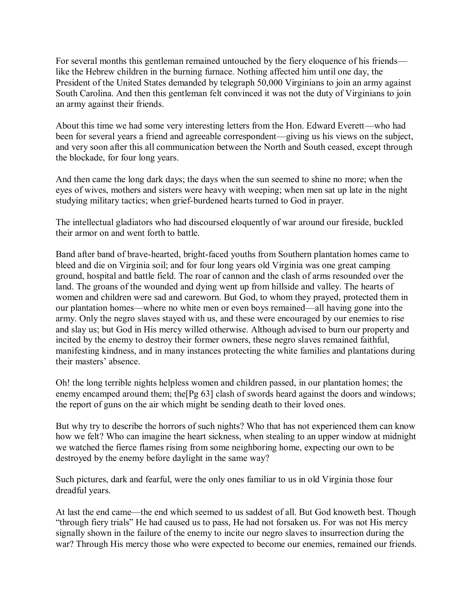For several months this gentleman remained untouched by the fiery eloquence of his friends like the Hebrew children in the burning furnace. Nothing affected him until one day, the President of the United States demanded by telegraph 50,000 Virginians to join an army against South Carolina. And then this gentleman felt convinced it was not the duty of Virginians to join an army against their friends.

About this time we had some very interesting letters from the Hon. Edward Everett—who had been for several years a friend and agreeable correspondent—giving us his views on the subject, and very soon after this all communication between the North and South ceased, except through the blockade, for four long years.

And then came the long dark days; the days when the sun seemed to shine no more; when the eyes of wives, mothers and sisters were heavy with weeping; when men sat up late in the night studying military tactics; when grief-burdened hearts turned to God in prayer.

The intellectual gladiators who had discoursed eloquently of war around our fireside, buckled their armor on and went forth to battle.

Band after band of brave-hearted, bright-faced youths from Southern plantation homes came to bleed and die on Virginia soil; and for four long years old Virginia was one great camping ground, hospital and battle field. The roar of cannon and the clash of arms resounded over the land. The groans of the wounded and dying went up from hillside and valley. The hearts of women and children were sad and careworn. But God, to whom they prayed, protected them in our plantation homes—where no white men or even boys remained—all having gone into the army. Only the negro slaves stayed with us, and these were encouraged by our enemies to rise and slay us; but God in His mercy willed otherwise. Although advised to burn our property and incited by the enemy to destroy their former owners, these negro slaves remained faithful, manifesting kindness, and in many instances protecting the white families and plantations during their masters' absence.

Oh! the long terrible nights helpless women and children passed, in our plantation homes; the enemy encamped around them; the<sup>[Pg 63]</sup> clash of swords heard against the doors and windows; the report of guns on the air which might be sending death to their loved ones.

But why try to describe the horrors of such nights? Who that has not experienced them can know how we felt? Who can imagine the heart sickness, when stealing to an upper window at midnight we watched the fierce flames rising from some neighboring home, expecting our own to be destroyed by the enemy before daylight in the same way?

Such pictures, dark and fearful, were the only ones familiar to us in old Virginia those four dreadful years.

At last the end came—the end which seemed to us saddest of all. But God knoweth best. Though "through fiery trials" He had caused us to pass, He had not forsaken us. For was not His mercy signally shown in the failure of the enemy to incite our negro slaves to insurrection during the war? Through His mercy those who were expected to become our enemies, remained our friends.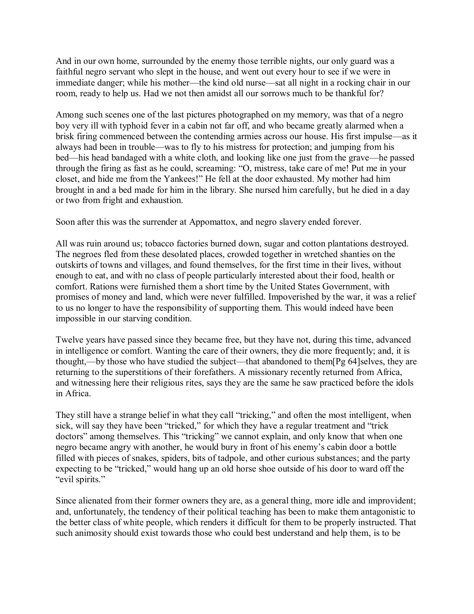And in our own home, surrounded by the enemy those terrible nights, our only guard was a faithful negro servant who slept in the house, and went out every hour to see if we were in immediate danger; while his mother—the kind old nurse—sat all night in a rocking chair in our room, ready to help us. Had we not then amidst all our sorrows much to be thankful for?

Among such scenes one of the last pictures photographed on my memory, was that of a negro boy very ill with typhoid fever in a cabin not far off, and who became greatly alarmed when a brisk firing commenced between the contending armies across our house. His first impulse—as it always had been in trouble—was to fly to his mistress for protection; and jumping from his bed—his head bandaged with a white cloth, and looking like one just from the grave—he passed through the firing as fast as he could, screaming: "O, mistress, take care of me! Put me in your closet, and hide me from the Yankees!" He fell at the door exhausted. My mother had him brought in and a bed made for him in the library. She nursed him carefully, but he died in a day or two from fright and exhaustion.

Soon after this was the surrender at Appomattox, and negro slavery ended forever.

All was ruin around us; tobacco factories burned down, sugar and cotton plantations destroyed. The negroes fled from these desolated places, crowded together in wretched shanties on the outskirts of towns and villages, and found themselves, for the first time in their lives, without enough to eat, and with no class of people particularly interested about their food, health or comfort. Rations were furnished them a short time by the United States Government, with promises of money and land, which were never fulfilled. Impoverished by the war, it was a relief to us no longer to have the responsibility of supporting them. This would indeed have been impossible in our starving condition.

Twelve years have passed since they became free, but they have not, during this time, advanced in intelligence or comfort. Wanting the care of their owners, they die more frequently; and, it is thought,—by those who have studied the subject—that abandoned to them[Pg 64]selves, they are returning to the superstitions of their forefathers. A missionary recently returned from Africa, and witnessing here their religious rites, says they are the same he saw practiced before the idols in Africa.

They still have a strange belief in what they call "tricking," and often the most intelligent, when sick, will say they have been "tricked," for which they have a regular treatment and "trick doctors" among themselves. This "tricking" we cannot explain, and only know that when one negro became angry with another, he would bury in front of his enemy's cabin door a bottle filled with pieces of snakes, spiders, bits of tadpole, and other curious substances; and the party expecting to be "tricked," would hang up an old horse shoe outside of his door to ward off the "evil spirits."

Since alienated from their former owners they are, as a general thing, more idle and improvident; and, unfortunately, the tendency of their political teaching has been to make them antagonistic to the better class of white people, which renders it difficult for them to be properly instructed. That such animosity should exist towards those who could best understand and help them, is to be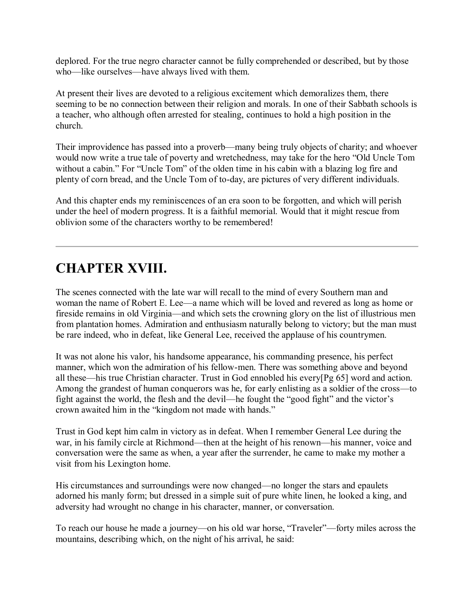deplored. For the true negro character cannot be fully comprehended or described, but by those who—like ourselves—have always lived with them.

At present their lives are devoted to a religious excitement which demoralizes them, there seeming to be no connection between their religion and morals. In one of their Sabbath schools is a teacher, who although often arrested for stealing, continues to hold a high position in the church.

Their improvidence has passed into a proverb—many being truly objects of charity; and whoever would now write a true tale of poverty and wretchedness, may take for the hero "Old Uncle Tom without a cabin." For "Uncle Tom" of the olden time in his cabin with a blazing log fire and plenty of corn bread, and the Uncle Tom of to-day, are pictures of very different individuals.

And this chapter ends my reminiscences of an era soon to be forgotten, and which will perish under the heel of modern progress. It is a faithful memorial. Would that it might rescue from oblivion some of the characters worthy to be remembered!

## **CHAPTER XVIII.**

The scenes connected with the late war will recall to the mind of every Southern man and woman the name of Robert E. Lee—a name which will be loved and revered as long as home or fireside remains in old Virginia—and which sets the crowning glory on the list of illustrious men from plantation homes. Admiration and enthusiasm naturally belong to victory; but the man must be rare indeed, who in defeat, like General Lee, received the applause of his countrymen.

It was not alone his valor, his handsome appearance, his commanding presence, his perfect manner, which won the admiration of his fellow-men. There was something above and beyond all these—his true Christian character. Trust in God ennobled his every[Pg 65] word and action. Among the grandest of human conquerors was he, for early enlisting as a soldier of the cross—to fight against the world, the flesh and the devil—he fought the "good fight" and the victor's crown awaited him in the "kingdom not made with hands."

Trust in God kept him calm in victory as in defeat. When I remember General Lee during the war, in his family circle at Richmond—then at the height of his renown—his manner, voice and conversation were the same as when, a year after the surrender, he came to make my mother a visit from his Lexington home.

His circumstances and surroundings were now changed—no longer the stars and epaulets adorned his manly form; but dressed in a simple suit of pure white linen, he looked a king, and adversity had wrought no change in his character, manner, or conversation.

To reach our house he made a journey—on his old war horse, "Traveler"—forty miles across the mountains, describing which, on the night of his arrival, he said: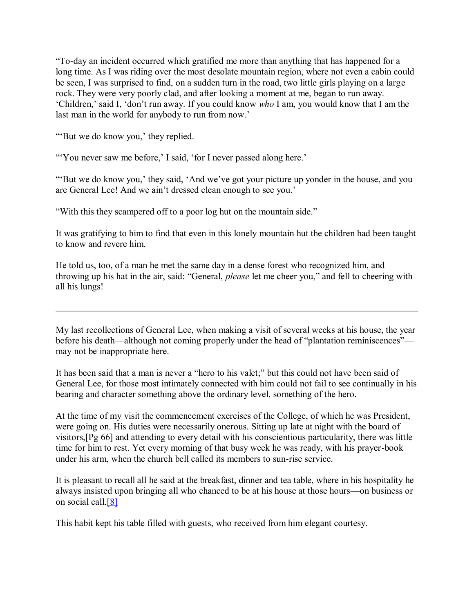"To-day an incident occurred which gratified me more than anything that has happened for a long time. As I was riding over the most desolate mountain region, where not even a cabin could be seen, I was surprised to find, on a sudden turn in the road, two little girls playing on a large rock. They were very poorly clad, and after looking a moment at me, began to run away. 'Children,' said I, 'don't run away. If you could know *who* I am, you would know that I am the last man in the world for anybody to run from now.'

"'But we do know you,' they replied.

"You never saw me before,' I said, 'for I never passed along here.'

"'But we do know you,' they said, 'And we've got your picture up yonder in the house, and you are General Lee! And we ain't dressed clean enough to see you.'

"With this they scampered off to a poor log hut on the mountain side."

It was gratifying to him to find that even in this lonely mountain hut the children had been taught to know and revere him.

He told us, too, of a man he met the same day in a dense forest who recognized him, and throwing up his hat in the air, said: "General, *please* let me cheer you," and fell to cheering with all his lungs!

My last recollections of General Lee, when making a visit of several weeks at his house, the year before his death—although not coming properly under the head of "plantation reminiscences" may not be inappropriate here.

It has been said that a man is never a "hero to his valet;" but this could not have been said of General Lee, for those most intimately connected with him could not fail to see continually in his bearing and character something above the ordinary level, something of the hero.

At the time of my visit the commencement exercises of the College, of which he was President, were going on. His duties were necessarily onerous. Sitting up late at night with the board of visitors,[Pg 66] and attending to every detail with his conscientious particularity, there was little time for him to rest. Yet every morning of that busy week he was ready, with his prayer-book under his arm, when the church bell called its members to sun-rise service.

It is pleasant to recall all he said at the breakfast, dinner and tea table, where in his hospitality he always insisted upon bringing all who chanced to be at his house at those hours—on business or on social call[.\[8\]](http://www.gutenberg.org/files/44626/44626-h/44626-h.htm#Footnote_8)

This habit kept his table filled with guests, who received from him elegant courtesy.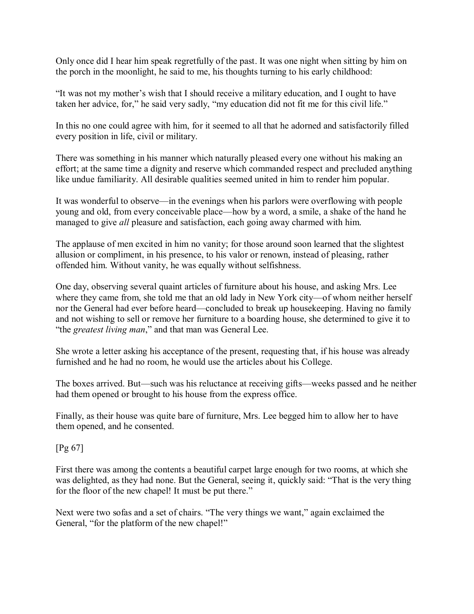Only once did I hear him speak regretfully of the past. It was one night when sitting by him on the porch in the moonlight, he said to me, his thoughts turning to his early childhood:

"It was not my mother's wish that I should receive a military education, and I ought to have taken her advice, for," he said very sadly, "my education did not fit me for this civil life."

In this no one could agree with him, for it seemed to all that he adorned and satisfactorily filled every position in life, civil or military.

There was something in his manner which naturally pleased every one without his making an effort; at the same time a dignity and reserve which commanded respect and precluded anything like undue familiarity. All desirable qualities seemed united in him to render him popular.

It was wonderful to observe—in the evenings when his parlors were overflowing with people young and old, from every conceivable place—how by a word, a smile, a shake of the hand he managed to give *all* pleasure and satisfaction, each going away charmed with him.

The applause of men excited in him no vanity; for those around soon learned that the slightest allusion or compliment, in his presence, to his valor or renown, instead of pleasing, rather offended him. Without vanity, he was equally without selfishness.

One day, observing several quaint articles of furniture about his house, and asking Mrs. Lee where they came from, she told me that an old lady in New York city—of whom neither herself nor the General had ever before heard—concluded to break up housekeeping. Having no family and not wishing to sell or remove her furniture to a boarding house, she determined to give it to "the *greatest living man*," and that man was General Lee.

She wrote a letter asking his acceptance of the present, requesting that, if his house was already furnished and he had no room, he would use the articles about his College.

The boxes arrived. But—such was his reluctance at receiving gifts—weeks passed and he neither had them opened or brought to his house from the express office.

Finally, as their house was quite bare of furniture, Mrs. Lee begged him to allow her to have them opened, and he consented.

[Pg 67]

First there was among the contents a beautiful carpet large enough for two rooms, at which she was delighted, as they had none. But the General, seeing it, quickly said: "That is the very thing for the floor of the new chapel! It must be put there."

Next were two sofas and a set of chairs. "The very things we want," again exclaimed the General, "for the platform of the new chapel!"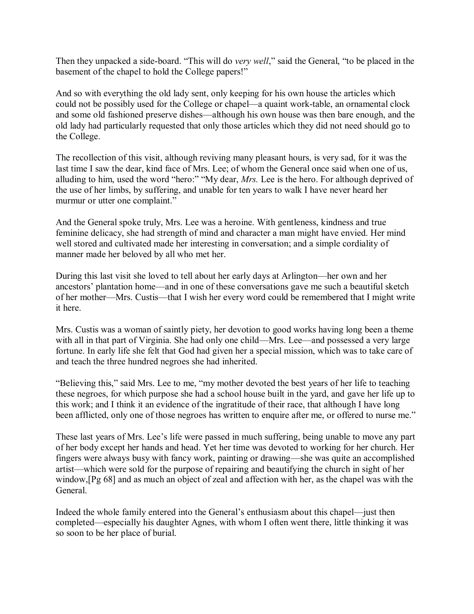Then they unpacked a side-board. "This will do *very well*," said the General, "to be placed in the basement of the chapel to hold the College papers!"

And so with everything the old lady sent, only keeping for his own house the articles which could not be possibly used for the College or chapel—a quaint work-table, an ornamental clock and some old fashioned preserve dishes—although his own house was then bare enough, and the old lady had particularly requested that only those articles which they did not need should go to the College.

The recollection of this visit, although reviving many pleasant hours, is very sad, for it was the last time I saw the dear, kind face of Mrs. Lee; of whom the General once said when one of us, alluding to him, used the word "hero:" "My dear, *Mrs.* Lee is the hero. For although deprived of the use of her limbs, by suffering, and unable for ten years to walk I have never heard her murmur or utter one complaint."

And the General spoke truly, Mrs. Lee was a heroine. With gentleness, kindness and true feminine delicacy, she had strength of mind and character a man might have envied. Her mind well stored and cultivated made her interesting in conversation; and a simple cordiality of manner made her beloved by all who met her.

During this last visit she loved to tell about her early days at Arlington—her own and her ancestors' plantation home—and in one of these conversations gave me such a beautiful sketch of her mother—Mrs. Custis—that I wish her every word could be remembered that I might write it here.

Mrs. Custis was a woman of saintly piety, her devotion to good works having long been a theme with all in that part of Virginia. She had only one child—Mrs. Lee—and possessed a very large fortune. In early life she felt that God had given her a special mission, which was to take care of and teach the three hundred negroes she had inherited.

"Believing this," said Mrs. Lee to me, "my mother devoted the best years of her life to teaching these negroes, for which purpose she had a school house built in the yard, and gave her life up to this work; and I think it an evidence of the ingratitude of their race, that although I have long been afflicted, only one of those negroes has written to enquire after me, or offered to nurse me."

These last years of Mrs. Lee's life were passed in much suffering, being unable to move any part of her body except her hands and head. Yet her time was devoted to working for her church. Her fingers were always busy with fancy work, painting or drawing—she was quite an accomplished artist—which were sold for the purpose of repairing and beautifying the church in sight of her window,[Pg 68] and as much an object of zeal and affection with her, as the chapel was with the General.

Indeed the whole family entered into the General's enthusiasm about this chapel—just then completed—especially his daughter Agnes, with whom I often went there, little thinking it was so soon to be her place of burial.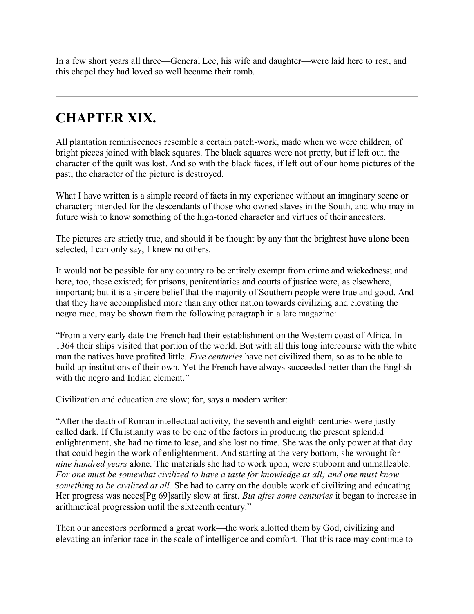In a few short years all three—General Lee, his wife and daughter—were laid here to rest, and this chapel they had loved so well became their tomb.

# **CHAPTER XIX.**

All plantation reminiscences resemble a certain patch-work, made when we were children, of bright pieces joined with black squares. The black squares were not pretty, but if left out, the character of the quilt was lost. And so with the black faces, if left out of our home pictures of the past, the character of the picture is destroyed.

What I have written is a simple record of facts in my experience without an imaginary scene or character; intended for the descendants of those who owned slaves in the South, and who may in future wish to know something of the high-toned character and virtues of their ancestors.

The pictures are strictly true, and should it be thought by any that the brightest have alone been selected, I can only say, I knew no others.

It would not be possible for any country to be entirely exempt from crime and wickedness; and here, too, these existed; for prisons, penitentiaries and courts of justice were, as elsewhere, important; but it is a sincere belief that the majority of Southern people were true and good. And that they have accomplished more than any other nation towards civilizing and elevating the negro race, may be shown from the following paragraph in a late magazine:

"From a very early date the French had their establishment on the Western coast of Africa. In 1364 their ships visited that portion of the world. But with all this long intercourse with the white man the natives have profited little. *Five centuries* have not civilized them, so as to be able to build up institutions of their own. Yet the French have always succeeded better than the English with the negro and Indian element."

Civilization and education are slow; for, says a modern writer:

"After the death of Roman intellectual activity, the seventh and eighth centuries were justly called dark. If Christianity was to be one of the factors in producing the present splendid enlightenment, she had no time to lose, and she lost no time. She was the only power at that day that could begin the work of enlightenment. And starting at the very bottom, she wrought for *nine hundred years* alone. The materials she had to work upon, were stubborn and unmalleable. *For one must be somewhat civilized to have a taste for knowledge at all; and one must know something to be civilized at all.* She had to carry on the double work of civilizing and educating. Her progress was neces[Pg 69]sarily slow at first. *But after some centuries* it began to increase in arithmetical progression until the sixteenth century."

Then our ancestors performed a great work—the work allotted them by God, civilizing and elevating an inferior race in the scale of intelligence and comfort. That this race may continue to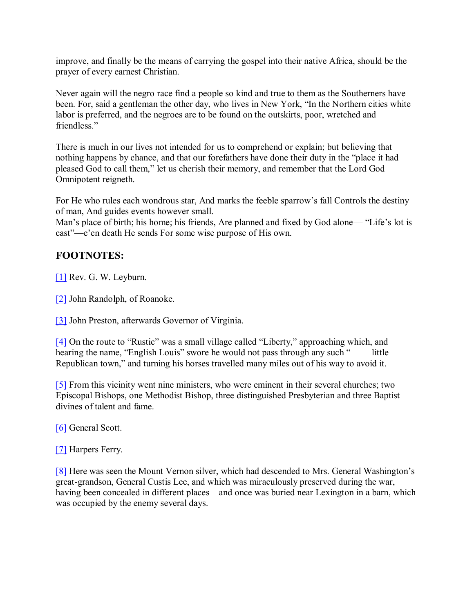improve, and finally be the means of carrying the gospel into their native Africa, should be the prayer of every earnest Christian.

Never again will the negro race find a people so kind and true to them as the Southerners have been. For, said a gentleman the other day, who lives in New York, "In the Northern cities white labor is preferred, and the negroes are to be found on the outskirts, poor, wretched and friendless."

There is much in our lives not intended for us to comprehend or explain; but believing that nothing happens by chance, and that our forefathers have done their duty in the "place it had pleased God to call them," let us cherish their memory, and remember that the Lord God Omnipotent reigneth.

For He who rules each wondrous star, And marks the feeble sparrow's fall Controls the destiny of man, And guides events however small.

Man's place of birth; his home; his friends, Are planned and fixed by God alone— "Life's lot is cast"—e'en death He sends For some wise purpose of His own.

### **FOOTNOTES:**

[\[1\]](http://www.gutenberg.org/files/44626/44626-h/44626-h.htm#FNanchor_1) Rev. G. W. Leyburn.

[\[2\]](http://www.gutenberg.org/files/44626/44626-h/44626-h.htm#FNanchor_2) John Randolph, of Roanoke.

[\[3\]](http://www.gutenberg.org/files/44626/44626-h/44626-h.htm#FNanchor_3) John Preston, afterwards Governor of Virginia.

[\[4\]](http://www.gutenberg.org/files/44626/44626-h/44626-h.htm#FNanchor_4) On the route to "Rustic" was a small village called "Liberty," approaching which, and hearing the name, "English Louis" swore he would not pass through any such "---- little Republican town," and turning his horses travelled many miles out of his way to avoid it.

[\[5\]](http://www.gutenberg.org/files/44626/44626-h/44626-h.htm#FNanchor_5) From this vicinity went nine ministers, who were eminent in their several churches; two Episcopal Bishops, one Methodist Bishop, three distinguished Presbyterian and three Baptist divines of talent and fame.

[\[6\]](http://www.gutenberg.org/files/44626/44626-h/44626-h.htm#FNanchor_6) General Scott.

[\[7\]](http://www.gutenberg.org/files/44626/44626-h/44626-h.htm#FNanchor_7) Harpers Ferry.

[\[8\]](http://www.gutenberg.org/files/44626/44626-h/44626-h.htm#FNanchor_8) Here was seen the Mount Vernon silver, which had descended to Mrs. General Washington's great-grandson, General Custis Lee, and which was miraculously preserved during the war, having been concealed in different places—and once was buried near Lexington in a barn, which was occupied by the enemy several days.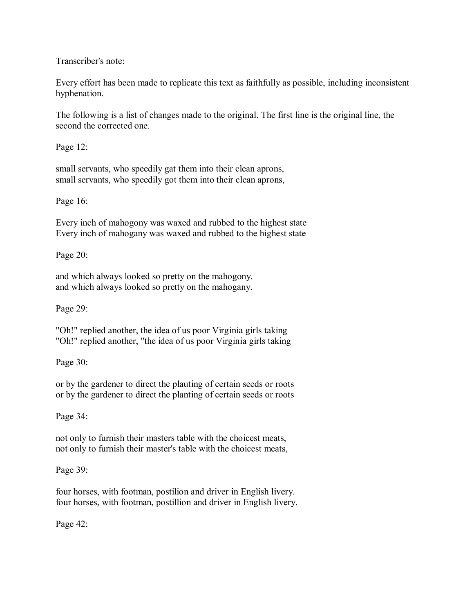Transcriber's note:

Every effort has been made to replicate this text as faithfully as possible, including inconsistent hyphenation.

The following is a list of changes made to the original. The first line is the original line, the second the corrected one.

Page 12:

small servants, who speedily gat them into their clean aprons, small servants, who speedily got them into their clean aprons,

Page 16:

Every inch of mahogony was waxed and rubbed to the highest state Every inch of mahogany was waxed and rubbed to the highest state

Page 20:

and which always looked so pretty on the mahogony. and which always looked so pretty on the mahogany.

Page 29:

"Oh!" replied another, the idea of us poor Virginia girls taking "Oh!" replied another, "the idea of us poor Virginia girls taking

Page 30:

or by the gardener to direct the plauting of certain seeds or roots or by the gardener to direct the planting of certain seeds or roots

Page 34:

not only to furnish their masters table with the choicest meats, not only to furnish their master's table with the choicest meats,

Page 39:

four horses, with footman, postilion and driver in English livery. four horses, with footman, postillion and driver in English livery.

Page 42: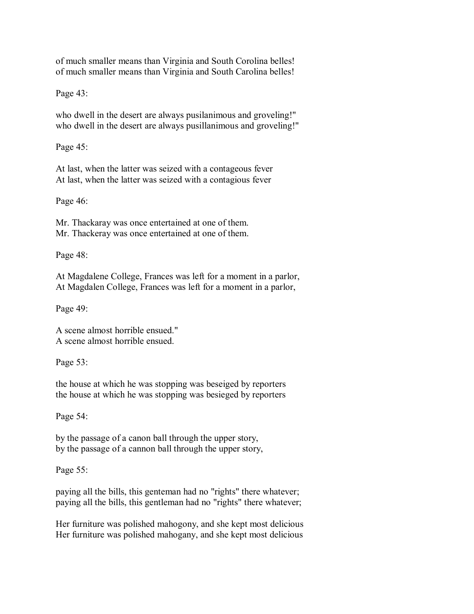of much smaller means than Virginia and South Corolina belles! of much smaller means than Virginia and South Carolina belles!

Page 43:

who dwell in the desert are always pusilanimous and groveling!" who dwell in the desert are always pusillanimous and groveling!"

Page 45:

At last, when the latter was seized with a contageous fever At last, when the latter was seized with a contagious fever

Page 46:

Mr. Thackaray was once entertained at one of them. Mr. Thackeray was once entertained at one of them.

Page 48:

At Magdalene College, Frances was left for a moment in a parlor, At Magdalen College, Frances was left for a moment in a parlor,

Page 49:

A scene almost horrible ensued." A scene almost horrible ensued.

Page 53:

the house at which he was stopping was beseiged by reporters the house at which he was stopping was besieged by reporters

Page 54:

by the passage of a canon ball through the upper story, by the passage of a cannon ball through the upper story,

Page 55:

paying all the bills, this genteman had no "rights" there whatever; paying all the bills, this gentleman had no "rights" there whatever;

Her furniture was polished mahogony, and she kept most delicious Her furniture was polished mahogany, and she kept most delicious